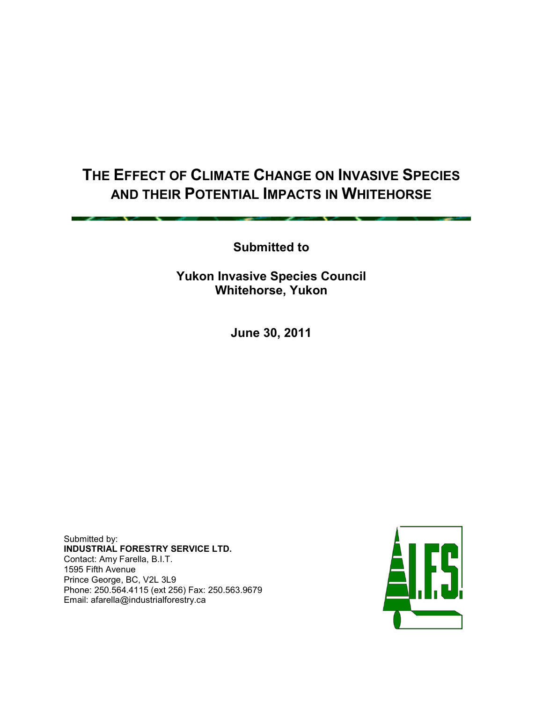# **THE EFFECT OF CLIMATE CHANGE ON INVASIVE SPECIES AND THEIR POTENTIAL IMPACTS IN WHITEHORSE**

**Submitted to** 

**Yukon Invasive Species Council Whitehorse, Yukon**

**June 30, 2011**

Submitted by: **INDUSTRIAL FORESTRY SERVICE LTD.** Contact: Amy Farella, B.I.T. 1595 Fifth Avenue Prince George, BC, V2L 3L9 Phone: 250.564.4115 (ext 256) Fax: 250.563.9679 Email: afarella@industrialforestry.ca

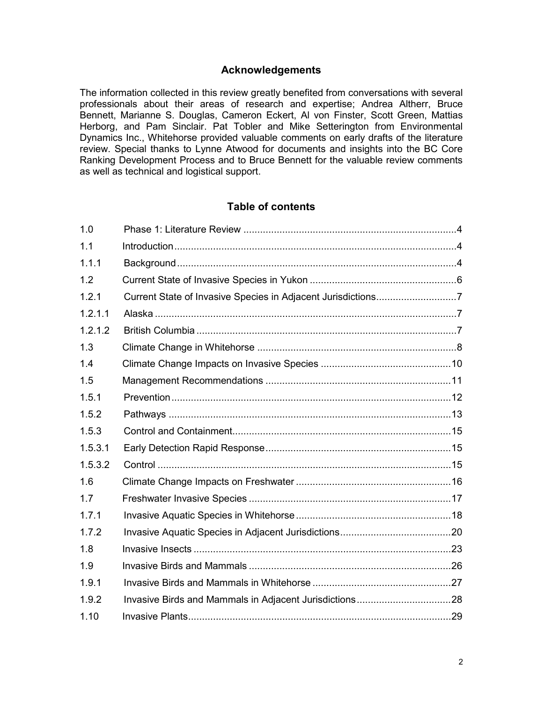#### **Acknowledgements**

The information collected in this review greatly benefited from conversations with several professionals about their areas of research and expertise; Andrea Altherr, Bruce Bennett, Marianne S. Douglas, Cameron Eckert, Al von Finster, Scott Green, Mattias Herborg, and Pam Sinclair. Pat Tobler and Mike Setterington from Environmental Dynamics Inc., Whitehorse provided valuable comments on early drafts of the literature review. Special thanks to Lynne Atwood for documents and insights into the BC Core Ranking Development Process and to Bruce Bennett for the valuable review comments as well as technical and logistical support.

# **Table of contents**

| 1.0     |  |
|---------|--|
| 1.1     |  |
| 1.1.1   |  |
| 1.2     |  |
| 1.2.1   |  |
| 1.2.1.1 |  |
| 1.2.1.2 |  |
| 1.3     |  |
| 1.4     |  |
| 1.5     |  |
| 1.5.1   |  |
| 1.5.2   |  |
| 1.5.3   |  |
| 1.5.3.1 |  |
| 1.5.3.2 |  |
| 1.6     |  |
| 1.7     |  |
| 1.7.1   |  |
| 1.7.2   |  |
| 1.8     |  |
| 1.9     |  |
| 1.9.1   |  |
| 1.9.2   |  |
| 1.10    |  |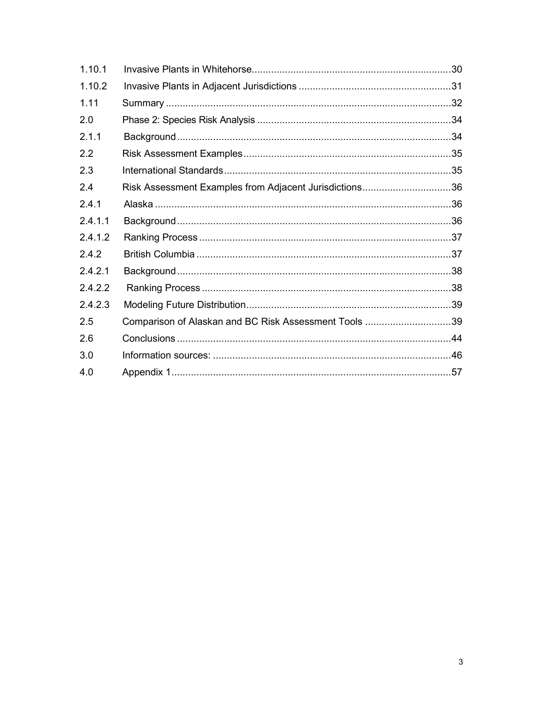| 1.10.1  |                                                        |  |
|---------|--------------------------------------------------------|--|
| 1.10.2  |                                                        |  |
| 1.11    |                                                        |  |
| 2.0     |                                                        |  |
| 2.1.1   |                                                        |  |
| 2.2     |                                                        |  |
| 2.3     |                                                        |  |
| 2.4     | Risk Assessment Examples from Adjacent Jurisdictions36 |  |
| 2.4.1   |                                                        |  |
| 2.4.1.1 |                                                        |  |
| 2.4.1.2 |                                                        |  |
| 2.4.2   |                                                        |  |
| 2.4.2.1 |                                                        |  |
| 2.4.2.2 |                                                        |  |
| 2.4.2.3 |                                                        |  |
| 2.5     | Comparison of Alaskan and BC Risk Assessment Tools 39  |  |
| 2.6     |                                                        |  |
| 3.0     |                                                        |  |
| 4.0     |                                                        |  |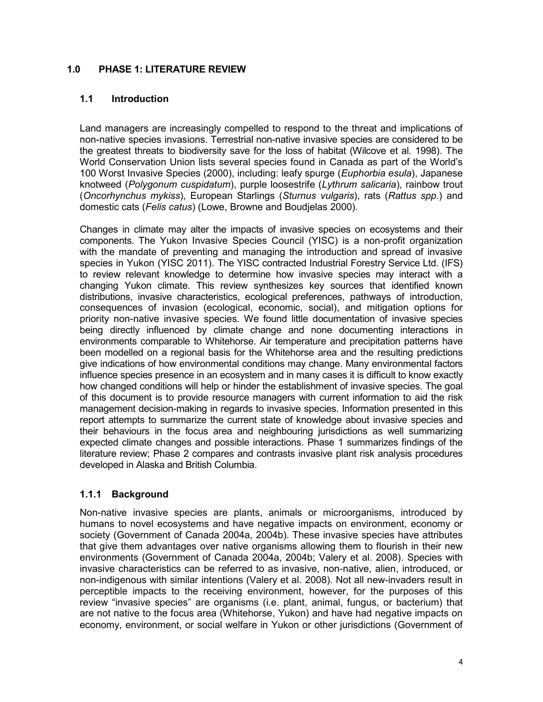# **1.0 PHASE 1: LITERATURE REVIEW**

# **1.1 Introduction**

Land managers are increasingly compelled to respond to the threat and implications of non-native species invasions. Terrestrial non-native invasive species are considered to be the greatest threats to biodiversity save for the loss of habitat (Wilcove et al*.* 1998). The World Conservation Union lists several species found in Canada as part of the World's 100 Worst Invasive Species (2000), including: leafy spurge (*Euphorbia esula*), Japanese knotweed (*Polygonum cuspidatum*), purple loosestrife (*Lythrum salicaria*), rainbow trout (*Oncorhynchus mykiss*), European Starlings (*Sturnus vulgaris*), rats (*Rattus spp.*) and domestic cats (*Felis catus*) (Lowe, Browne and Boudjelas 2000).

Changes in climate may alter the impacts of invasive species on ecosystems and their components. The Yukon Invasive Species Council (YISC) is a non-profit organization with the mandate of preventing and managing the introduction and spread of invasive species in Yukon (YISC 2011). The YISC contracted Industrial Forestry Service Ltd. (IFS) to review relevant knowledge to determine how invasive species may interact with a changing Yukon climate. This review synthesizes key sources that identified known distributions, invasive characteristics, ecological preferences, pathways of introduction, consequences of invasion (ecological, economic, social), and mitigation options for priority non-native invasive species. We found little documentation of invasive species being directly influenced by climate change and none documenting interactions in environments comparable to Whitehorse. Air temperature and precipitation patterns have been modelled on a regional basis for the Whitehorse area and the resulting predictions give indications of how environmental conditions may change. Many environmental factors influence species presence in an ecosystem and in many cases it is difficult to know exactly how changed conditions will help or hinder the establishment of invasive species. The goal of this document is to provide resource managers with current information to aid the risk management decision-making in regards to invasive species. Information presented in this report attempts to summarize the current state of knowledge about invasive species and their behaviours in the focus area and neighbouring jurisdictions as well summarizing expected climate changes and possible interactions. Phase 1 summarizes findings of the literature review; Phase 2 compares and contrasts invasive plant risk analysis procedures developed in Alaska and British Columbia.

# **1.1.1 Background**

Non-native invasive species are plants, animals or microorganisms, introduced by humans to novel ecosystems and have negative impacts on environment, economy or society (Government of Canada 2004a, 2004b). These invasive species have attributes that give them advantages over native organisms allowing them to flourish in their new environments (Government of Canada 2004a, 2004b; Valery et al. 2008). Species with invasive characteristics can be referred to as invasive, non-native, alien, introduced, or non-indigenous with similar intentions (Valery et al*.* 2008). Not all new-invaders result in perceptible impacts to the receiving environment, however, for the purposes of this review "invasive species" are organisms (i.e. plant, animal, fungus, or bacterium) that are not native to the focus area (Whitehorse, Yukon) and have had negative impacts on economy, environment, or social welfare in Yukon or other jurisdictions (Government of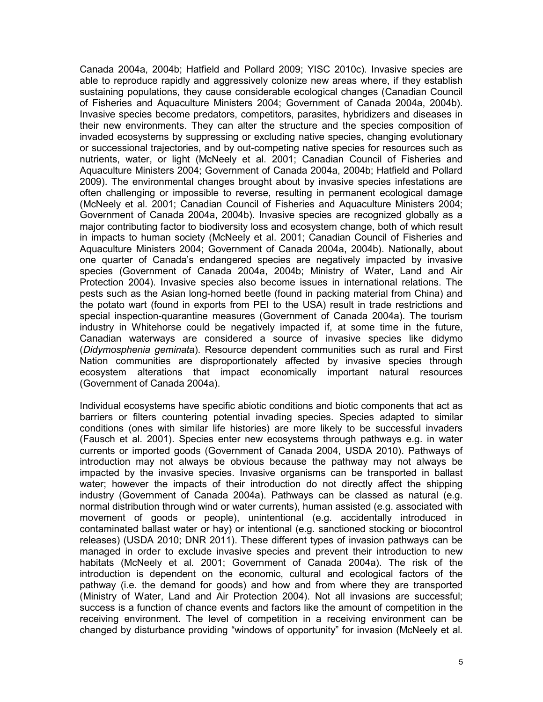Canada 2004a, 2004b; Hatfield and Pollard 2009; YISC 2010c). Invasive species are able to reproduce rapidly and aggressively colonize new areas where, if they establish sustaining populations, they cause considerable ecological changes (Canadian Council of Fisheries and Aquaculture Ministers 2004; Government of Canada 2004a, 2004b). Invasive species become predators, competitors, parasites, hybridizers and diseases in their new environments. They can alter the structure and the species composition of invaded ecosystems by suppressing or excluding native species, changing evolutionary or successional trajectories, and by out-competing native species for resources such as nutrients, water, or light (McNeely et al. 2001; Canadian Council of Fisheries and Aquaculture Ministers 2004; Government of Canada 2004a, 2004b; Hatfield and Pollard 2009). The environmental changes brought about by invasive species infestations are often challenging or impossible to reverse, resulting in permanent ecological damage (McNeely et al*.* 2001; Canadian Council of Fisheries and Aquaculture Ministers 2004; Government of Canada 2004a, 2004b). Invasive species are recognized globally as a major contributing factor to biodiversity loss and ecosystem change, both of which result in impacts to human society (McNeely et al. 2001; Canadian Council of Fisheries and Aquaculture Ministers 2004; Government of Canada 2004a, 2004b). Nationally, about one quarter of Canada's endangered species are negatively impacted by invasive species (Government of Canada 2004a, 2004b; Ministry of Water, Land and Air Protection 2004). Invasive species also become issues in international relations. The pests such as the Asian long-horned beetle (found in packing material from China) and the potato wart (found in exports from PEI to the USA) result in trade restrictions and special inspection-quarantine measures (Government of Canada 2004a). The tourism industry in Whitehorse could be negatively impacted if, at some time in the future, Canadian waterways are considered a source of invasive species like didymo (*Didymosphenia geminata*). Resource dependent communities such as rural and First Nation communities are disproportionately affected by invasive species through ecosystem alterations that impact economically important natural resources (Government of Canada 2004a).

Individual ecosystems have specific abiotic conditions and biotic components that act as barriers or filters countering potential invading species. Species adapted to similar conditions (ones with similar life histories) are more likely to be successful invaders (Fausch et al. 2001). Species enter new ecosystems through pathways e.g. in water currents or imported goods (Government of Canada 2004, USDA 2010). Pathways of introduction may not always be obvious because the pathway may not always be impacted by the invasive species. Invasive organisms can be transported in ballast water; however the impacts of their introduction do not directly affect the shipping industry (Government of Canada 2004a). Pathways can be classed as natural (e.g. normal distribution through wind or water currents), human assisted (e.g. associated with movement of goods or people), unintentional (e.g. accidentally introduced in contaminated ballast water or hay) or intentional (e.g. sanctioned stocking or biocontrol releases) (USDA 2010; DNR 2011). These different types of invasion pathways can be managed in order to exclude invasive species and prevent their introduction to new habitats (McNeely et al*.* 2001; Government of Canada 2004a). The risk of the introduction is dependent on the economic, cultural and ecological factors of the pathway (i.e. the demand for goods) and how and from where they are transported (Ministry of Water, Land and Air Protection 2004). Not all invasions are successful; success is a function of chance events and factors like the amount of competition in the receiving environment. The level of competition in a receiving environment can be changed by disturbance providing "windows of opportunity" for invasion (McNeely et al*.*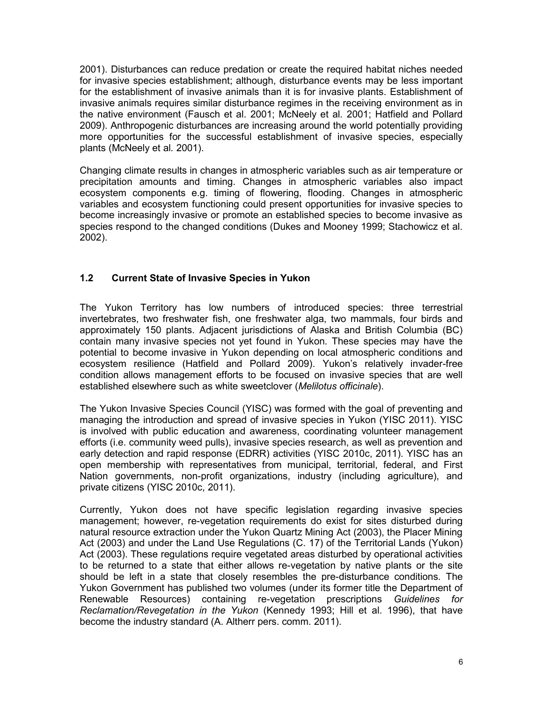2001). Disturbances can reduce predation or create the required habitat niches needed for invasive species establishment; although, disturbance events may be less important for the establishment of invasive animals than it is for invasive plants. Establishment of invasive animals requires similar disturbance regimes in the receiving environment as in the native environment (Fausch et al. 2001; McNeely et al*.* 2001; Hatfield and Pollard 2009). Anthropogenic disturbances are increasing around the world potentially providing more opportunities for the successful establishment of invasive species, especially plants (McNeely et al*.* 2001).

Changing climate results in changes in atmospheric variables such as air temperature or precipitation amounts and timing. Changes in atmospheric variables also impact ecosystem components e.g. timing of flowering, flooding. Changes in atmospheric variables and ecosystem functioning could present opportunities for invasive species to become increasingly invasive or promote an established species to become invasive as species respond to the changed conditions (Dukes and Mooney 1999; Stachowicz et al. 2002).

# **1.2 Current State of Invasive Species in Yukon**

The Yukon Territory has low numbers of introduced species: three terrestrial invertebrates, two freshwater fish, one freshwater alga, two mammals, four birds and approximately 150 plants. Adjacent jurisdictions of Alaska and British Columbia (BC) contain many invasive species not yet found in Yukon. These species may have the potential to become invasive in Yukon depending on local atmospheric conditions and ecosystem resilience (Hatfield and Pollard 2009). Yukon's relatively invader-free condition allows management efforts to be focused on invasive species that are well established elsewhere such as white sweetclover (*Melilotus officinale*).

The Yukon Invasive Species Council (YISC) was formed with the goal of preventing and managing the introduction and spread of invasive species in Yukon (YISC 2011). YISC is involved with public education and awareness, coordinating volunteer management efforts (i.e. community weed pulls), invasive species research, as well as prevention and early detection and rapid response (EDRR) activities (YISC 2010c, 2011). YISC has an open membership with representatives from municipal, territorial, federal, and First Nation governments, non-profit organizations, industry (including agriculture), and private citizens (YISC 2010c, 2011).

Currently, Yukon does not have specific legislation regarding invasive species management; however, re-vegetation requirements do exist for sites disturbed during natural resource extraction under the Yukon Quartz Mining Act (2003), the Placer Mining Act (2003) and under the Land Use Regulations (C. 17) of the Territorial Lands (Yukon) Act (2003). These regulations require vegetated areas disturbed by operational activities to be returned to a state that either allows re-vegetation by native plants or the site should be left in a state that closely resembles the pre-disturbance conditions. The Yukon Government has published two volumes (under its former title the Department of Renewable Resources) containing re-vegetation prescriptions *Guidelines for Reclamation/Revegetation in the Yukon* (Kennedy 1993; Hill et al. 1996), that have become the industry standard (A. Altherr pers. comm. 2011).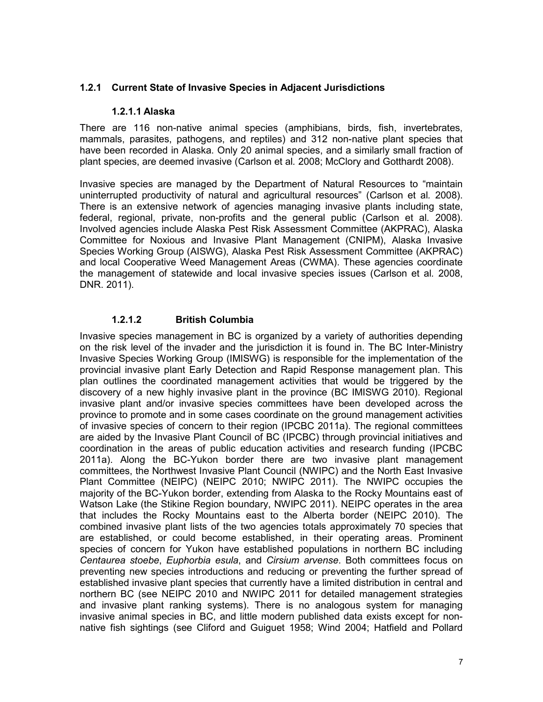#### **1.2.1 Current State of Invasive Species in Adjacent Jurisdictions**

#### **1.2.1.1 Alaska**

There are 116 non-native animal species (amphibians, birds, fish, invertebrates, mammals, parasites, pathogens, and reptiles) and 312 non-native plant species that have been recorded in Alaska. Only 20 animal species, and a similarly small fraction of plant species, are deemed invasive (Carlson et al*.* 2008; McClory and Gotthardt 2008).

Invasive species are managed by the Department of Natural Resources to "maintain uninterrupted productivity of natural and agricultural resources" (Carlson et al*.* 2008). There is an extensive network of agencies managing invasive plants including state, federal, regional, private, non-profits and the general public (Carlson et al*.* 2008). Involved agencies include Alaska Pest Risk Assessment Committee (AKPRAC), Alaska Committee for Noxious and Invasive Plant Management (CNIPM), Alaska Invasive Species Working Group (AISWG), Alaska Pest Risk Assessment Committee (AKPRAC) and local Cooperative Weed Management Areas (CWMA). These agencies coordinate the management of statewide and local invasive species issues (Carlson et al*.* 2008, DNR. 2011).

# **1.2.1.2 British Columbia**

Invasive species management in BC is organized by a variety of authorities depending on the risk level of the invader and the jurisdiction it is found in. The BC Inter-Ministry Invasive Species Working Group (IMISWG) is responsible for the implementation of the provincial invasive plant Early Detection and Rapid Response management plan. This plan outlines the coordinated management activities that would be triggered by the discovery of a new highly invasive plant in the province (BC IMISWG 2010). Regional invasive plant and/or invasive species committees have been developed across the province to promote and in some cases coordinate on the ground management activities of invasive species of concern to their region (IPCBC 2011a). The regional committees are aided by the Invasive Plant Council of BC (IPCBC) through provincial initiatives and coordination in the areas of public education activities and research funding (IPCBC 2011a). Along the BC-Yukon border there are two invasive plant management committees, the Northwest Invasive Plant Council (NWIPC) and the North East Invasive Plant Committee (NEIPC) (NEIPC 2010; NWIPC 2011). The NWIPC occupies the majority of the BC-Yukon border, extending from Alaska to the Rocky Mountains east of Watson Lake (the Stikine Region boundary, NWIPC 2011). NEIPC operates in the area that includes the Rocky Mountains east to the Alberta border (NEIPC 2010). The combined invasive plant lists of the two agencies totals approximately 70 species that are established, or could become established, in their operating areas. Prominent species of concern for Yukon have established populations in northern BC including *Centaurea stoebe*, *Euphorbia esula*, and *Cirsium arvense*. Both committees focus on preventing new species introductions and reducing or preventing the further spread of established invasive plant species that currently have a limited distribution in central and northern BC (see NEIPC 2010 and NWIPC 2011 for detailed management strategies and invasive plant ranking systems). There is no analogous system for managing invasive animal species in BC, and little modern published data exists except for nonnative fish sightings (see Cliford and Guiguet 1958; Wind 2004; Hatfield and Pollard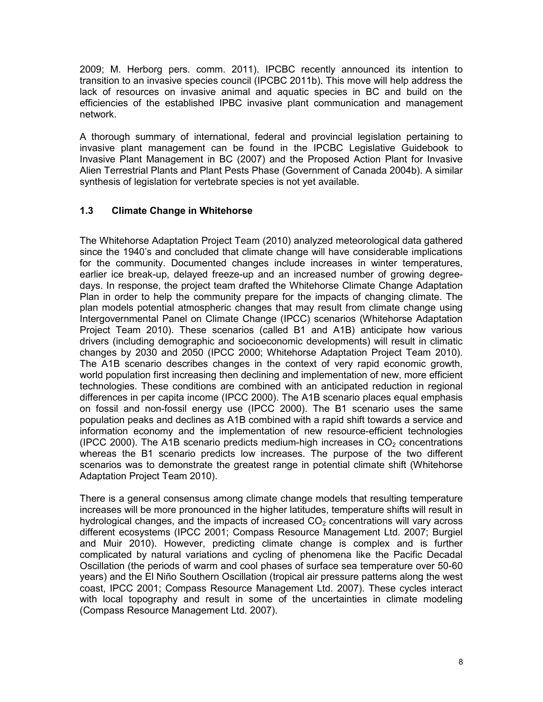2009; M. Herborg pers. comm. 2011). IPCBC recently announced its intention to transition to an invasive species council (IPCBC 2011b). This move will help address the lack of resources on invasive animal and aquatic species in BC and build on the efficiencies of the established IPBC invasive plant communication and management network.

A thorough summary of international, federal and provincial legislation pertaining to invasive plant management can be found in the IPCBC Legislative Guidebook to Invasive Plant Management in BC (2007) and the Proposed Action Plant for Invasive Alien Terrestrial Plants and Plant Pests Phase (Government of Canada 2004b). A similar synthesis of legislation for vertebrate species is not yet available.

# **1.3 Climate Change in Whitehorse**

The Whitehorse Adaptation Project Team (2010) analyzed meteorological data gathered since the 1940's and concluded that climate change will have considerable implications for the community. Documented changes include increases in winter temperatures, earlier ice break-up, delayed freeze-up and an increased number of growing degreedays. In response, the project team drafted the Whitehorse Climate Change Adaptation Plan in order to help the community prepare for the impacts of changing climate. The plan models potential atmospheric changes that may result from climate change using Intergovernmental Panel on Climate Change (IPCC) scenarios (Whitehorse Adaptation Project Team 2010). These scenarios (called B1 and A1B) anticipate how various drivers (including demographic and socioeconomic developments) will result in climatic changes by 2030 and 2050 (IPCC 2000; Whitehorse Adaptation Project Team 2010). The A1B scenario describes changes in the context of very rapid economic growth, world population first increasing then declining and implementation of new, more efficient technologies. These conditions are combined with an anticipated reduction in regional differences in per capita income (IPCC 2000). The A1B scenario places equal emphasis on fossil and non-fossil energy use (IPCC 2000). The B1 scenario uses the same population peaks and declines as A1B combined with a rapid shift towards a service and information economy and the implementation of new resource-efficient technologies (IPCC 2000). The A1B scenario predicts medium-high increases in  $CO<sub>2</sub>$  concentrations whereas the B1 scenario predicts low increases. The purpose of the two different scenarios was to demonstrate the greatest range in potential climate shift (Whitehorse Adaptation Project Team 2010).

There is a general consensus among climate change models that resulting temperature increases will be more pronounced in the higher latitudes, temperature shifts will result in hydrological changes, and the impacts of increased  $CO<sub>2</sub>$  concentrations will vary across different ecosystems (IPCC 2001; Compass Resource Management Ltd. 2007; Burgiel and Muir 2010). However, predicting climate change is complex and is further complicated by natural variations and cycling of phenomena like the Pacific Decadal Oscillation (the periods of warm and cool phases of surface sea temperature over 50-60 years) and the El Niño Southern Oscillation (tropical air pressure patterns along the west coast, IPCC 2001; Compass Resource Management Ltd. 2007). These cycles interact with local topography and result in some of the uncertainties in climate modeling (Compass Resource Management Ltd. 2007).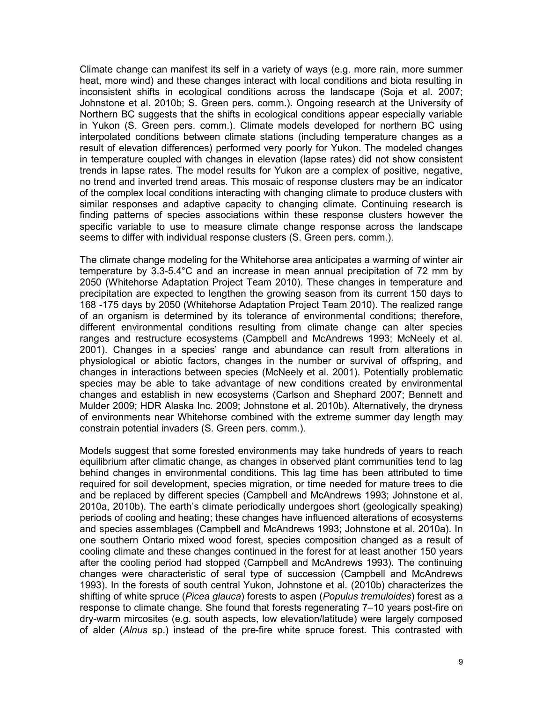Climate change can manifest its self in a variety of ways (e.g. more rain, more summer heat, more wind) and these changes interact with local conditions and biota resulting in inconsistent shifts in ecological conditions across the landscape (Soja et al. 2007; Johnstone et al. 2010b; S. Green pers. comm.). Ongoing research at the University of Northern BC suggests that the shifts in ecological conditions appear especially variable in Yukon (S. Green pers. comm.). Climate models developed for northern BC using interpolated conditions between climate stations (including temperature changes as a result of elevation differences) performed very poorly for Yukon. The modeled changes in temperature coupled with changes in elevation (lapse rates) did not show consistent trends in lapse rates. The model results for Yukon are a complex of positive, negative, no trend and inverted trend areas. This mosaic of response clusters may be an indicator of the complex local conditions interacting with changing climate to produce clusters with similar responses and adaptive capacity to changing climate. Continuing research is finding patterns of species associations within these response clusters however the specific variable to use to measure climate change response across the landscape seems to differ with individual response clusters (S. Green pers. comm.).

The climate change modeling for the Whitehorse area anticipates a warming of winter air temperature by 3.3-5.4°C and an increase in mean annual precipitation of 72 mm by 2050 (Whitehorse Adaptation Project Team 2010). These changes in temperature and precipitation are expected to lengthen the growing season from its current 150 days to 168 -175 days by 2050 (Whitehorse Adaptation Project Team 2010). The realized range of an organism is determined by its tolerance of environmental conditions; therefore, different environmental conditions resulting from climate change can alter species ranges and restructure ecosystems (Campbell and McAndrews 1993; McNeely et al*.* 2001). Changes in a species' range and abundance can result from alterations in physiological or abiotic factors, changes in the number or survival of offspring, and changes in interactions between species (McNeely et al*.* 2001). Potentially problematic species may be able to take advantage of new conditions created by environmental changes and establish in new ecosystems (Carlson and Shephard 2007; Bennett and Mulder 2009; HDR Alaska Inc. 2009; Johnstone et al. 2010b). Alternatively, the dryness of environments near Whitehorse combined with the extreme summer day length may constrain potential invaders (S. Green pers. comm.).

Models suggest that some forested environments may take hundreds of years to reach equilibrium after climatic change, as changes in observed plant communities tend to lag behind changes in environmental conditions. This lag time has been attributed to time required for soil development, species migration, or time needed for mature trees to die and be replaced by different species (Campbell and McAndrews 1993; Johnstone et al. 2010a, 2010b). The earth's climate periodically undergoes short (geologically speaking) periods of cooling and heating; these changes have influenced alterations of ecosystems and species assemblages (Campbell and McAndrews 1993; Johnstone et al. 2010a). In one southern Ontario mixed wood forest, species composition changed as a result of cooling climate and these changes continued in the forest for at least another 150 years after the cooling period had stopped (Campbell and McAndrews 1993). The continuing changes were characteristic of seral type of succession (Campbell and McAndrews 1993). In the forests of south central Yukon, Johnstone et al*.* (2010b) characterizes the shifting of white spruce (*Picea glauca*) forests to aspen (*Populus tremuloides*) forest as a response to climate change. She found that forests regenerating 7–10 years post-fire on dry-warm mircosites (e.g. south aspects, low elevation/latitude) were largely composed of alder (*Alnus* sp.) instead of the pre-fire white spruce forest. This contrasted with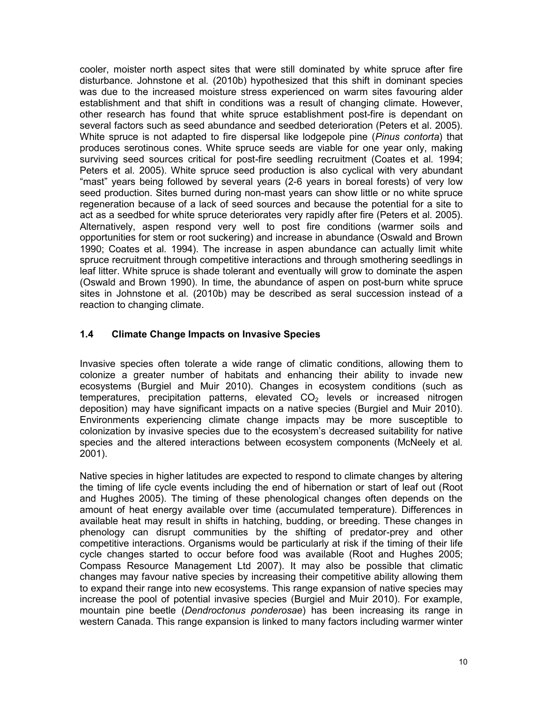cooler, moister north aspect sites that were still dominated by white spruce after fire disturbance. Johnstone et al*.* (2010b) hypothesized that this shift in dominant species was due to the increased moisture stress experienced on warm sites favouring alder establishment and that shift in conditions was a result of changing climate. However, other research has found that white spruce establishment post-fire is dependant on several factors such as seed abundance and seedbed deterioration (Peters et al. 2005). White spruce is not adapted to fire dispersal like lodgepole pine (*Pinus contorta*) that produces serotinous cones. White spruce seeds are viable for one year only, making surviving seed sources critical for post-fire seedling recruitment (Coates et al*.* 1994; Peters et al*.* 2005). White spruce seed production is also cyclical with very abundant "mast" years being followed by several years (2-6 years in boreal forests) of very low seed production. Sites burned during non-mast years can show little or no white spruce regeneration because of a lack of seed sources and because the potential for a site to act as a seedbed for white spruce deteriorates very rapidly after fire (Peters et al*.* 2005). Alternatively, aspen respond very well to post fire conditions (warmer soils and opportunities for stem or root suckering) and increase in abundance (Oswald and Brown 1990; Coates et al*.* 1994). The increase in aspen abundance can actually limit white spruce recruitment through competitive interactions and through smothering seedlings in leaf litter. White spruce is shade tolerant and eventually will grow to dominate the aspen (Oswald and Brown 1990). In time, the abundance of aspen on post-burn white spruce sites in Johnstone et al*.* (2010b) may be described as seral succession instead of a reaction to changing climate.

# **1.4 Climate Change Impacts on Invasive Species**

Invasive species often tolerate a wide range of climatic conditions, allowing them to colonize a greater number of habitats and enhancing their ability to invade new ecosystems (Burgiel and Muir 2010). Changes in ecosystem conditions (such as temperatures, precipitation patterns, elevated  $CO<sub>2</sub>$  levels or increased nitrogen deposition) may have significant impacts on a native species (Burgiel and Muir 2010). Environments experiencing climate change impacts may be more susceptible to colonization by invasive species due to the ecosystem's decreased suitability for native species and the altered interactions between ecosystem components (McNeely et al*.* 2001).

Native species in higher latitudes are expected to respond to climate changes by altering the timing of life cycle events including the end of hibernation or start of leaf out (Root and Hughes 2005). The timing of these phenological changes often depends on the amount of heat energy available over time (accumulated temperature). Differences in available heat may result in shifts in hatching, budding, or breeding. These changes in phenology can disrupt communities by the shifting of predator-prey and other competitive interactions. Organisms would be particularly at risk if the timing of their life cycle changes started to occur before food was available (Root and Hughes 2005; Compass Resource Management Ltd 2007). It may also be possible that climatic changes may favour native species by increasing their competitive ability allowing them to expand their range into new ecosystems. This range expansion of native species may increase the pool of potential invasive species (Burgiel and Muir 2010). For example, mountain pine beetle (*Dendroctonus ponderosae*) has been increasing its range in western Canada. This range expansion is linked to many factors including warmer winter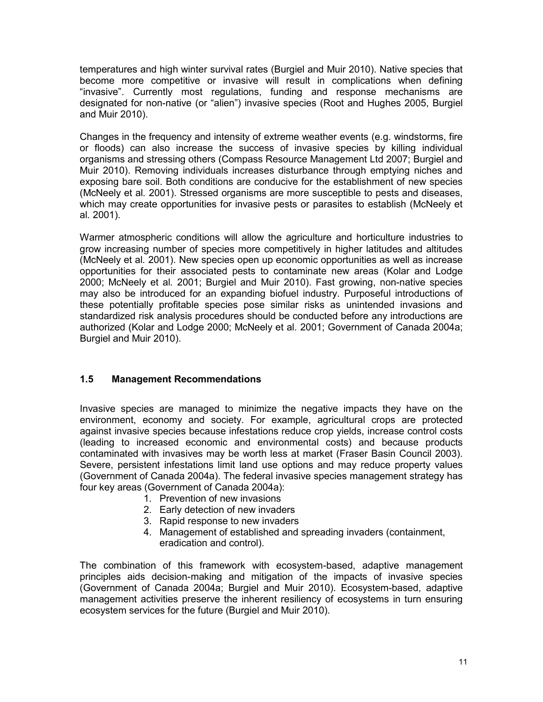temperatures and high winter survival rates (Burgiel and Muir 2010). Native species that become more competitive or invasive will result in complications when defining "invasive". Currently most regulations, funding and response mechanisms are designated for non-native (or "alien") invasive species (Root and Hughes 2005, Burgiel and Muir 2010).

Changes in the frequency and intensity of extreme weather events (e.g. windstorms, fire or floods) can also increase the success of invasive species by killing individual organisms and stressing others (Compass Resource Management Ltd 2007; Burgiel and Muir 2010). Removing individuals increases disturbance through emptying niches and exposing bare soil. Both conditions are conducive for the establishment of new species (McNeely et al*.* 2001). Stressed organisms are more susceptible to pests and diseases, which may create opportunities for invasive pests or parasites to establish (McNeely et al*.* 2001).

Warmer atmospheric conditions will allow the agriculture and horticulture industries to grow increasing number of species more competitively in higher latitudes and altitudes (McNeely et al*.* 2001). New species open up economic opportunities as well as increase opportunities for their associated pests to contaminate new areas (Kolar and Lodge 2000; McNeely et al*.* 2001; Burgiel and Muir 2010). Fast growing, non-native species may also be introduced for an expanding biofuel industry. Purposeful introductions of these potentially profitable species pose similar risks as unintended invasions and standardized risk analysis procedures should be conducted before any introductions are authorized (Kolar and Lodge 2000; McNeely et al*.* 2001; Government of Canada 2004a; Burgiel and Muir 2010).

# **1.5 Management Recommendations**

Invasive species are managed to minimize the negative impacts they have on the environment, economy and society. For example, agricultural crops are protected against invasive species because infestations reduce crop yields, increase control costs (leading to increased economic and environmental costs) and because products contaminated with invasives may be worth less at market (Fraser Basin Council 2003). Severe, persistent infestations limit land use options and may reduce property values (Government of Canada 2004a). The federal invasive species management strategy has four key areas (Government of Canada 2004a):

- 1. Prevention of new invasions
- 2. Early detection of new invaders
- 3. Rapid response to new invaders
- 4. Management of established and spreading invaders (containment, eradication and control).

The combination of this framework with ecosystem-based, adaptive management principles aids decision-making and mitigation of the impacts of invasive species (Government of Canada 2004a; Burgiel and Muir 2010). Ecosystem-based, adaptive management activities preserve the inherent resiliency of ecosystems in turn ensuring ecosystem services for the future (Burgiel and Muir 2010).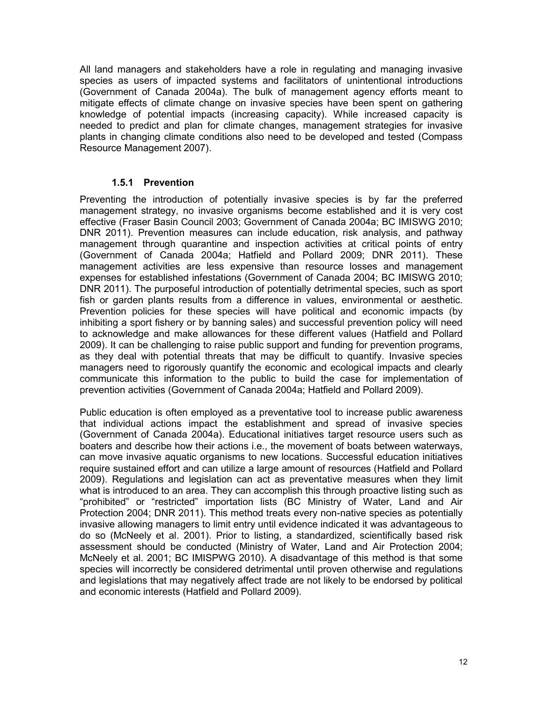All land managers and stakeholders have a role in regulating and managing invasive species as users of impacted systems and facilitators of unintentional introductions (Government of Canada 2004a). The bulk of management agency efforts meant to mitigate effects of climate change on invasive species have been spent on gathering knowledge of potential impacts (increasing capacity). While increased capacity is needed to predict and plan for climate changes, management strategies for invasive plants in changing climate conditions also need to be developed and tested (Compass Resource Management 2007).

# **1.5.1 Prevention**

Preventing the introduction of potentially invasive species is by far the preferred management strategy, no invasive organisms become established and it is very cost effective (Fraser Basin Council 2003; Government of Canada 2004a; BC IMISWG 2010; DNR 2011). Prevention measures can include education, risk analysis, and pathway management through quarantine and inspection activities at critical points of entry (Government of Canada 2004a; Hatfield and Pollard 2009; DNR 2011). These management activities are less expensive than resource losses and management expenses for established infestations (Government of Canada 2004; BC IMISWG 2010; DNR 2011). The purposeful introduction of potentially detrimental species, such as sport fish or garden plants results from a difference in values, environmental or aesthetic. Prevention policies for these species will have political and economic impacts (by inhibiting a sport fishery or by banning sales) and successful prevention policy will need to acknowledge and make allowances for these different values (Hatfield and Pollard 2009). It can be challenging to raise public support and funding for prevention programs, as they deal with potential threats that may be difficult to quantify. Invasive species managers need to rigorously quantify the economic and ecological impacts and clearly communicate this information to the public to build the case for implementation of prevention activities (Government of Canada 2004a; Hatfield and Pollard 2009).

Public education is often employed as a preventative tool to increase public awareness that individual actions impact the establishment and spread of invasive species (Government of Canada 2004a). Educational initiatives target resource users such as boaters and describe how their actions i.e., the movement of boats between waterways, can move invasive aquatic organisms to new locations. Successful education initiatives require sustained effort and can utilize a large amount of resources (Hatfield and Pollard 2009). Regulations and legislation can act as preventative measures when they limit what is introduced to an area. They can accomplish this through proactive listing such as "prohibited" or "restricted" importation lists (BC Ministry of Water, Land and Air Protection 2004; DNR 2011). This method treats every non-native species as potentially invasive allowing managers to limit entry until evidence indicated it was advantageous to do so (McNeely et al. 2001). Prior to listing, a standardized, scientifically based risk assessment should be conducted (Ministry of Water, Land and Air Protection 2004; McNeely et al. 2001; BC IMISPWG 2010). A disadvantage of this method is that some species will incorrectly be considered detrimental until proven otherwise and regulations and legislations that may negatively affect trade are not likely to be endorsed by political and economic interests (Hatfield and Pollard 2009).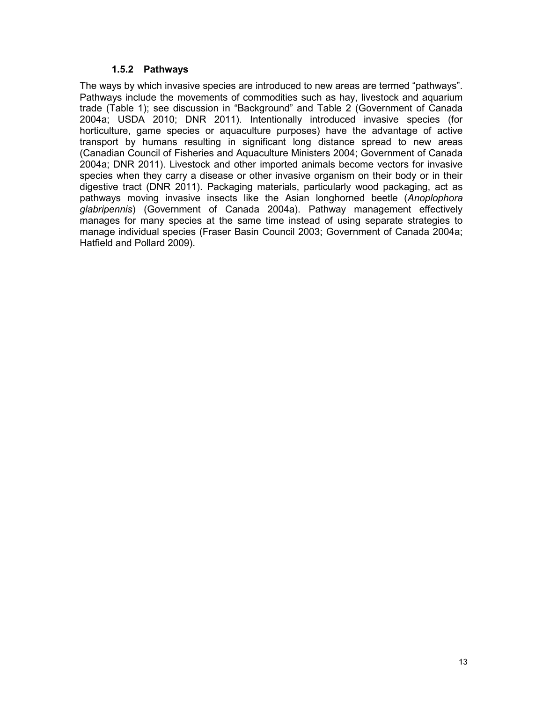#### **1.5.2 Pathways**

The ways by which invasive species are introduced to new areas are termed "pathways". Pathways include the movements of commodities such as hay, livestock and aquarium trade (Table 1); see discussion in "Background" and Table 2 (Government of Canada 2004a; USDA 2010; DNR 2011). Intentionally introduced invasive species (for horticulture, game species or aquaculture purposes) have the advantage of active transport by humans resulting in significant long distance spread to new areas (Canadian Council of Fisheries and Aquaculture Ministers 2004; Government of Canada 2004a; DNR 2011). Livestock and other imported animals become vectors for invasive species when they carry a disease or other invasive organism on their body or in their digestive tract (DNR 2011). Packaging materials, particularly wood packaging, act as pathways moving invasive insects like the Asian longhorned beetle (*Anoplophora glabripennis*) (Government of Canada 2004a). Pathway management effectively manages for many species at the same time instead of using separate strategies to manage individual species (Fraser Basin Council 2003; Government of Canada 2004a; Hatfield and Pollard 2009).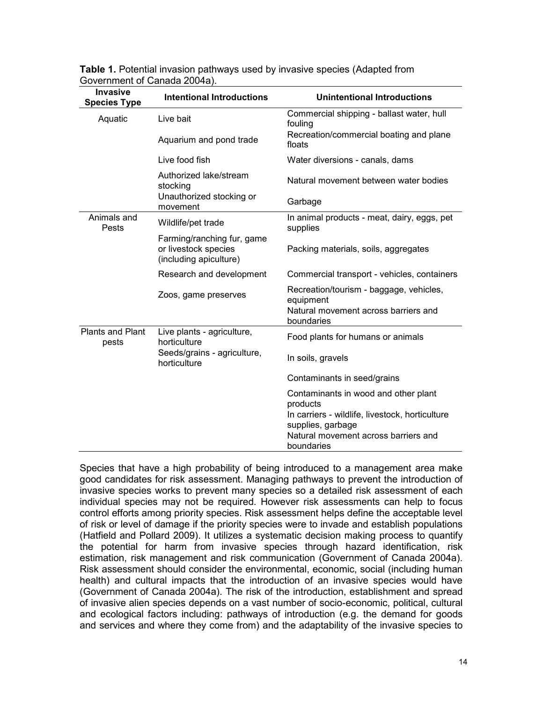| <b>Invasive</b><br><b>Species Type</b> | <b>Intentional Introductions</b>                                             | <b>Unintentional Introductions</b>                                   |
|----------------------------------------|------------------------------------------------------------------------------|----------------------------------------------------------------------|
| Aquatic                                | Live bait                                                                    | Commercial shipping - ballast water, hull<br>fouling                 |
|                                        | Aquarium and pond trade                                                      | Recreation/commercial boating and plane<br>floats                    |
|                                        | Live food fish                                                               | Water diversions - canals, dams                                      |
|                                        | Authorized lake/stream<br>stocking                                           | Natural movement between water bodies                                |
|                                        | Unauthorized stocking or<br>movement                                         | Garbage                                                              |
| Animals and<br>Pests                   | Wildlife/pet trade                                                           | In animal products - meat, dairy, eggs, pet<br>supplies              |
|                                        | Farming/ranching fur, game<br>or livestock species<br>(including apiculture) | Packing materials, soils, aggregates                                 |
|                                        | Research and development                                                     | Commercial transport - vehicles, containers                          |
|                                        | Zoos, game preserves                                                         | Recreation/tourism - baggage, vehicles,<br>equipment                 |
|                                        |                                                                              | Natural movement across barriers and<br>boundaries                   |
| <b>Plants and Plant</b><br>pests       | Live plants - agriculture,<br>horticulture                                   | Food plants for humans or animals                                    |
|                                        | Seeds/grains - agriculture,<br>horticulture                                  | In soils, gravels                                                    |
|                                        |                                                                              | Contaminants in seed/grains                                          |
|                                        |                                                                              | Contaminants in wood and other plant<br>products                     |
|                                        |                                                                              | In carriers - wildlife, livestock, horticulture<br>supplies, garbage |
|                                        |                                                                              | Natural movement across barriers and<br>boundaries                   |

**Table 1.** Potential invasion pathways used by invasive species (Adapted from Government of Canada 2004a).

Species that have a high probability of being introduced to a management area make good candidates for risk assessment. Managing pathways to prevent the introduction of invasive species works to prevent many species so a detailed risk assessment of each individual species may not be required. However risk assessments can help to focus control efforts among priority species. Risk assessment helps define the acceptable level of risk or level of damage if the priority species were to invade and establish populations (Hatfield and Pollard 2009). It utilizes a systematic decision making process to quantify the potential for harm from invasive species through hazard identification, risk estimation, risk management and risk communication (Government of Canada 2004a). Risk assessment should consider the environmental, economic, social (including human health) and cultural impacts that the introduction of an invasive species would have (Government of Canada 2004a). The risk of the introduction, establishment and spread of invasive alien species depends on a vast number of socio-economic, political, cultural and ecological factors including: pathways of introduction (e.g. the demand for goods and services and where they come from) and the adaptability of the invasive species to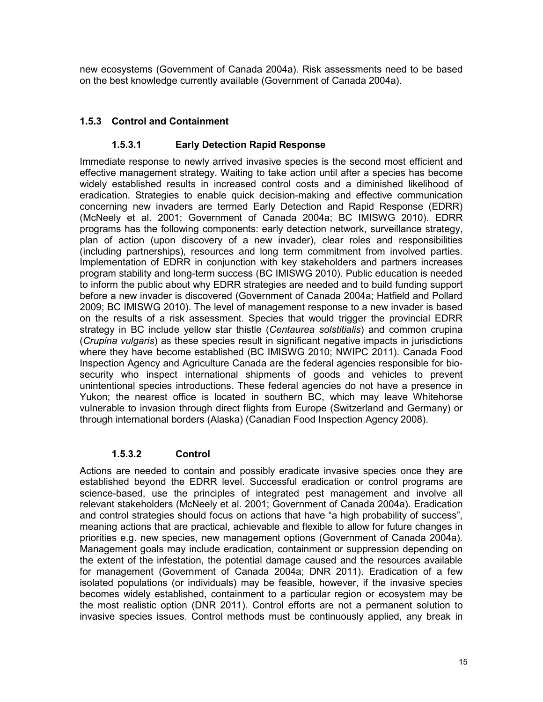new ecosystems (Government of Canada 2004a). Risk assessments need to be based on the best knowledge currently available (Government of Canada 2004a).

# **1.5.3 Control and Containment**

# **1.5.3.1 Early Detection Rapid Response**

Immediate response to newly arrived invasive species is the second most efficient and effective management strategy. Waiting to take action until after a species has become widely established results in increased control costs and a diminished likelihood of eradication. Strategies to enable quick decision-making and effective communication concerning new invaders are termed Early Detection and Rapid Response (EDRR) (McNeely et al. 2001; Government of Canada 2004a; BC IMISWG 2010). EDRR programs has the following components: early detection network, surveillance strategy, plan of action (upon discovery of a new invader), clear roles and responsibilities (including partnerships), resources and long term commitment from involved parties. Implementation of EDRR in conjunction with key stakeholders and partners increases program stability and long-term success (BC IMISWG 2010). Public education is needed to inform the public about why EDRR strategies are needed and to build funding support before a new invader is discovered (Government of Canada 2004a; Hatfield and Pollard 2009; BC IMISWG 2010). The level of management response to a new invader is based on the results of a risk assessment. Species that would trigger the provincial EDRR strategy in BC include yellow star thistle (*Centaurea solstitialis*) and common crupina (*Crupina vulgaris*) as these species result in significant negative impacts in jurisdictions where they have become established (BC IMISWG 2010; NWIPC 2011). Canada Food Inspection Agency and Agriculture Canada are the federal agencies responsible for biosecurity who inspect international shipments of goods and vehicles to prevent unintentional species introductions. These federal agencies do not have a presence in Yukon; the nearest office is located in southern BC, which may leave Whitehorse vulnerable to invasion through direct flights from Europe (Switzerland and Germany) or through international borders (Alaska) (Canadian Food Inspection Agency 2008).

#### **1.5.3.2 Control**

Actions are needed to contain and possibly eradicate invasive species once they are established beyond the EDRR level. Successful eradication or control programs are science-based, use the principles of integrated pest management and involve all relevant stakeholders (McNeely et al. 2001; Government of Canada 2004a). Eradication and control strategies should focus on actions that have "a high probability of success", meaning actions that are practical, achievable and flexible to allow for future changes in priorities e.g. new species, new management options (Government of Canada 2004a). Management goals may include eradication, containment or suppression depending on the extent of the infestation, the potential damage caused and the resources available for management (Government of Canada 2004a; DNR 2011). Eradication of a few isolated populations (or individuals) may be feasible, however, if the invasive species becomes widely established, containment to a particular region or ecosystem may be the most realistic option (DNR 2011). Control efforts are not a permanent solution to invasive species issues. Control methods must be continuously applied, any break in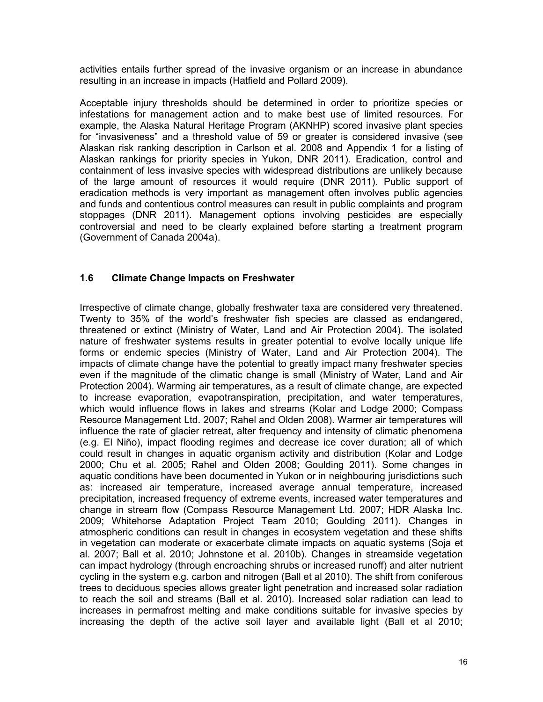activities entails further spread of the invasive organism or an increase in abundance resulting in an increase in impacts (Hatfield and Pollard 2009).

Acceptable injury thresholds should be determined in order to prioritize species or infestations for management action and to make best use of limited resources. For example, the Alaska Natural Heritage Program (AKNHP) scored invasive plant species for "invasiveness" and a threshold value of 59 or greater is considered invasive (see Alaskan risk ranking description in Carlson et al*.* 2008 and Appendix 1 for a listing of Alaskan rankings for priority species in Yukon, DNR 2011). Eradication, control and containment of less invasive species with widespread distributions are unlikely because of the large amount of resources it would require (DNR 2011). Public support of eradication methods is very important as management often involves public agencies and funds and contentious control measures can result in public complaints and program stoppages (DNR 2011). Management options involving pesticides are especially controversial and need to be clearly explained before starting a treatment program (Government of Canada 2004a).

# **1.6 Climate Change Impacts on Freshwater**

Irrespective of climate change, globally freshwater taxa are considered very threatened. Twenty to 35% of the world's freshwater fish species are classed as endangered, threatened or extinct (Ministry of Water, Land and Air Protection 2004). The isolated nature of freshwater systems results in greater potential to evolve locally unique life forms or endemic species (Ministry of Water, Land and Air Protection 2004). The impacts of climate change have the potential to greatly impact many freshwater species even if the magnitude of the climatic change is small (Ministry of Water, Land and Air Protection 2004). Warming air temperatures, as a result of climate change, are expected to increase evaporation, evapotranspiration, precipitation, and water temperatures, which would influence flows in lakes and streams (Kolar and Lodge 2000; Compass Resource Management Ltd. 2007; Rahel and Olden 2008). Warmer air temperatures will influence the rate of glacier retreat, alter frequency and intensity of climatic phenomena (e.g. El Niño), impact flooding regimes and decrease ice cover duration; all of which could result in changes in aquatic organism activity and distribution (Kolar and Lodge 2000; Chu et al*.* 2005; Rahel and Olden 2008; Goulding 2011). Some changes in aquatic conditions have been documented in Yukon or in neighbouring jurisdictions such as: increased air temperature, increased average annual temperature, increased precipitation, increased frequency of extreme events, increased water temperatures and change in stream flow (Compass Resource Management Ltd. 2007; HDR Alaska Inc. 2009; Whitehorse Adaptation Project Team 2010; Goulding 2011). Changes in atmospheric conditions can result in changes in ecosystem vegetation and these shifts in vegetation can moderate or exacerbate climate impacts on aquatic systems (Soja et al. 2007; Ball et al. 2010; Johnstone et al. 2010b). Changes in streamside vegetation can impact hydrology (through encroaching shrubs or increased runoff) and alter nutrient cycling in the system e.g. carbon and nitrogen (Ball et al 2010). The shift from coniferous trees to deciduous species allows greater light penetration and increased solar radiation to reach the soil and streams (Ball et al. 2010). Increased solar radiation can lead to increases in permafrost melting and make conditions suitable for invasive species by increasing the depth of the active soil layer and available light (Ball et al 2010;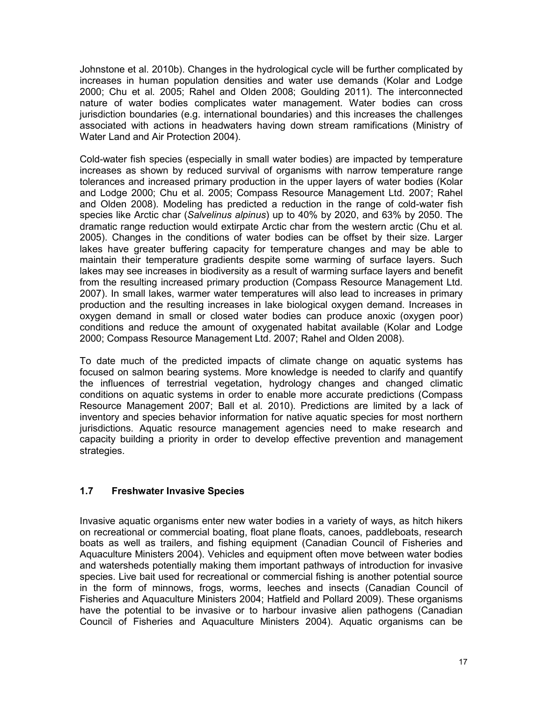Johnstone et al. 2010b). Changes in the hydrological cycle will be further complicated by increases in human population densities and water use demands (Kolar and Lodge 2000; Chu et al*.* 2005; Rahel and Olden 2008; Goulding 2011). The interconnected nature of water bodies complicates water management. Water bodies can cross jurisdiction boundaries (e.g. international boundaries) and this increases the challenges associated with actions in headwaters having down stream ramifications (Ministry of Water Land and Air Protection 2004).

Cold-water fish species (especially in small water bodies) are impacted by temperature increases as shown by reduced survival of organisms with narrow temperature range tolerances and increased primary production in the upper layers of water bodies (Kolar and Lodge 2000; Chu et al. 2005; Compass Resource Management Ltd. 2007; Rahel and Olden 2008). Modeling has predicted a reduction in the range of cold-water fish species like Arctic char (*Salvelinus alpinus*) up to 40% by 2020, and 63% by 2050. The dramatic range reduction would extirpate Arctic char from the western arctic (Chu et al*.*  2005). Changes in the conditions of water bodies can be offset by their size. Larger lakes have greater buffering capacity for temperature changes and may be able to maintain their temperature gradients despite some warming of surface layers. Such lakes may see increases in biodiversity as a result of warming surface layers and benefit from the resulting increased primary production (Compass Resource Management Ltd. 2007). In small lakes, warmer water temperatures will also lead to increases in primary production and the resulting increases in lake biological oxygen demand. Increases in oxygen demand in small or closed water bodies can produce anoxic (oxygen poor) conditions and reduce the amount of oxygenated habitat available (Kolar and Lodge 2000; Compass Resource Management Ltd. 2007; Rahel and Olden 2008).

To date much of the predicted impacts of climate change on aquatic systems has focused on salmon bearing systems. More knowledge is needed to clarify and quantify the influences of terrestrial vegetation, hydrology changes and changed climatic conditions on aquatic systems in order to enable more accurate predictions (Compass Resource Management 2007; Ball et al*.* 2010). Predictions are limited by a lack of inventory and species behavior information for native aquatic species for most northern jurisdictions. Aquatic resource management agencies need to make research and capacity building a priority in order to develop effective prevention and management strategies.

#### **1.7 Freshwater Invasive Species**

Invasive aquatic organisms enter new water bodies in a variety of ways, as hitch hikers on recreational or commercial boating, float plane floats, canoes, paddleboats, research boats as well as trailers, and fishing equipment (Canadian Council of Fisheries and Aquaculture Ministers 2004). Vehicles and equipment often move between water bodies and watersheds potentially making them important pathways of introduction for invasive species. Live bait used for recreational or commercial fishing is another potential source in the form of minnows, frogs, worms, leeches and insects (Canadian Council of Fisheries and Aquaculture Ministers 2004; Hatfield and Pollard 2009). These organisms have the potential to be invasive or to harbour invasive alien pathogens (Canadian Council of Fisheries and Aquaculture Ministers 2004). Aquatic organisms can be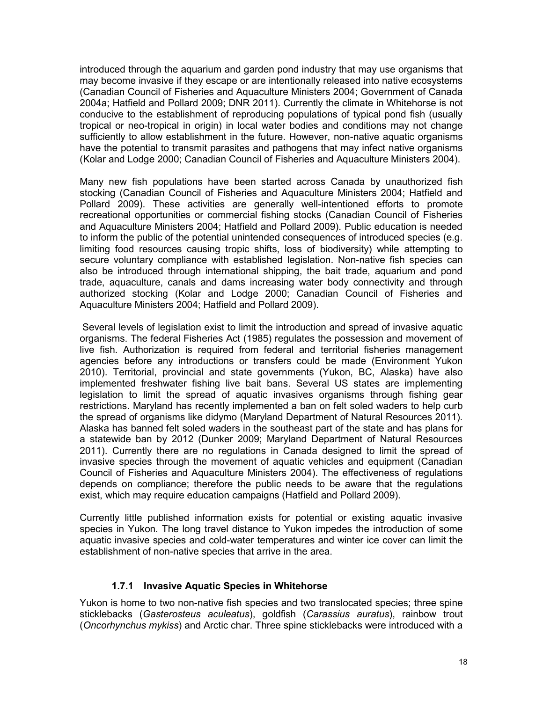introduced through the aquarium and garden pond industry that may use organisms that may become invasive if they escape or are intentionally released into native ecosystems (Canadian Council of Fisheries and Aquaculture Ministers 2004; Government of Canada 2004a; Hatfield and Pollard 2009; DNR 2011). Currently the climate in Whitehorse is not conducive to the establishment of reproducing populations of typical pond fish (usually tropical or neo-tropical in origin) in local water bodies and conditions may not change sufficiently to allow establishment in the future. However, non-native aquatic organisms have the potential to transmit parasites and pathogens that may infect native organisms (Kolar and Lodge 2000; Canadian Council of Fisheries and Aquaculture Ministers 2004).

Many new fish populations have been started across Canada by unauthorized fish stocking (Canadian Council of Fisheries and Aquaculture Ministers 2004; Hatfield and Pollard 2009). These activities are generally well-intentioned efforts to promote recreational opportunities or commercial fishing stocks (Canadian Council of Fisheries and Aquaculture Ministers 2004; Hatfield and Pollard 2009). Public education is needed to inform the public of the potential unintended consequences of introduced species (e.g. limiting food resources causing tropic shifts, loss of biodiversity) while attempting to secure voluntary compliance with established legislation. Non-native fish species can also be introduced through international shipping, the bait trade, aquarium and pond trade, aquaculture, canals and dams increasing water body connectivity and through authorized stocking (Kolar and Lodge 2000; Canadian Council of Fisheries and Aquaculture Ministers 2004; Hatfield and Pollard 2009).

Several levels of legislation exist to limit the introduction and spread of invasive aquatic organisms. The federal Fisheries Act (1985) regulates the possession and movement of live fish. Authorization is required from federal and territorial fisheries management agencies before any introductions or transfers could be made (Environment Yukon 2010). Territorial, provincial and state governments (Yukon, BC, Alaska) have also implemented freshwater fishing live bait bans. Several US states are implementing legislation to limit the spread of aquatic invasives organisms through fishing gear restrictions. Maryland has recently implemented a ban on felt soled waders to help curb the spread of organisms like didymo (Maryland Department of Natural Resources 2011). Alaska has banned felt soled waders in the southeast part of the state and has plans for a statewide ban by 2012 (Dunker 2009; Maryland Department of Natural Resources 2011). Currently there are no regulations in Canada designed to limit the spread of invasive species through the movement of aquatic vehicles and equipment (Canadian Council of Fisheries and Aquaculture Ministers 2004). The effectiveness of regulations depends on compliance; therefore the public needs to be aware that the regulations exist, which may require education campaigns (Hatfield and Pollard 2009).

Currently little published information exists for potential or existing aquatic invasive species in Yukon. The long travel distance to Yukon impedes the introduction of some aquatic invasive species and cold-water temperatures and winter ice cover can limit the establishment of non-native species that arrive in the area.

#### **1.7.1 Invasive Aquatic Species in Whitehorse**

Yukon is home to two non-native fish species and two translocated species; three spine sticklebacks (*Gasterosteus aculeatus*), goldfish (*Carassius auratus*), rainbow trout (*Oncorhynchus mykiss*) and Arctic char. Three spine sticklebacks were introduced with a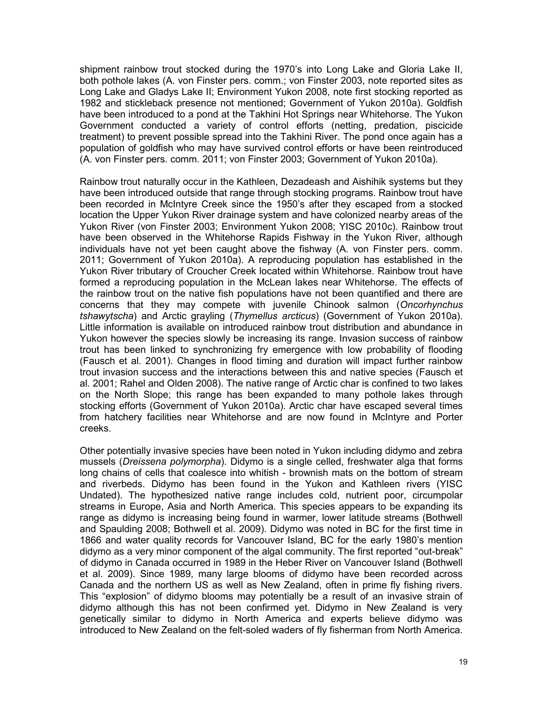shipment rainbow trout stocked during the 1970's into Long Lake and Gloria Lake II, both pothole lakes (A. von Finster pers. comm.; von Finster 2003, note reported sites as Long Lake and Gladys Lake II; Environment Yukon 2008, note first stocking reported as 1982 and stickleback presence not mentioned; Government of Yukon 2010a). Goldfish have been introduced to a pond at the Takhini Hot Springs near Whitehorse. The Yukon Government conducted a variety of control efforts (netting, predation, piscicide treatment) to prevent possible spread into the Takhini River. The pond once again has a population of goldfish who may have survived control efforts or have been reintroduced (A. von Finster pers. comm. 2011; von Finster 2003; Government of Yukon 2010a).

Rainbow trout naturally occur in the Kathleen, Dezadeash and Aishihik systems but they have been introduced outside that range through stocking programs. Rainbow trout have been recorded in McIntyre Creek since the 1950's after they escaped from a stocked location the Upper Yukon River drainage system and have colonized nearby areas of the Yukon River (von Finster 2003; Environment Yukon 2008; YISC 2010c). Rainbow trout have been observed in the Whitehorse Rapids Fishway in the Yukon River, although individuals have not yet been caught above the fishway (A. von Finster pers. comm. 2011; Government of Yukon 2010a). A reproducing population has established in the Yukon River tributary of Croucher Creek located within Whitehorse. Rainbow trout have formed a reproducing population in the McLean lakes near Whitehorse. The effects of the rainbow trout on the native fish populations have not been quantified and there are concerns that they may compete with juvenile Chinook salmon (*Oncorhynchus tshawytscha*) and Arctic grayling (*Thymellus arcticus*) (Government of Yukon 2010a). Little information is available on introduced rainbow trout distribution and abundance in Yukon however the species slowly be increasing its range. Invasion success of rainbow trout has been linked to synchronizing fry emergence with low probability of flooding (Fausch et al. 2001). Changes in flood timing and duration will impact further rainbow trout invasion success and the interactions between this and native species (Fausch et al*.* 2001; Rahel and Olden 2008). The native range of Arctic char is confined to two lakes on the North Slope; this range has been expanded to many pothole lakes through stocking efforts (Government of Yukon 2010a). Arctic char have escaped several times from hatchery facilities near Whitehorse and are now found in McIntyre and Porter creeks.

Other potentially invasive species have been noted in Yukon including didymo and zebra mussels (*Dreissena polymorpha*). Didymo is a single celled, freshwater alga that forms long chains of cells that coalesce into whitish - brownish mats on the bottom of stream and riverbeds. Didymo has been found in the Yukon and Kathleen rivers (YISC Undated). The hypothesized native range includes cold, nutrient poor, circumpolar streams in Europe, Asia and North America. This species appears to be expanding its range as didymo is increasing being found in warmer, lower latitude streams (Bothwell and Spaulding 2008; Bothwell et al. 2009). Didymo was noted in BC for the first time in 1866 and water quality records for Vancouver Island, BC for the early 1980's mention didymo as a very minor component of the algal community. The first reported "out-break" of didymo in Canada occurred in 1989 in the Heber River on Vancouver Island (Bothwell et al. 2009). Since 1989, many large blooms of didymo have been recorded across Canada and the northern US as well as New Zealand, often in prime fly fishing rivers. This "explosion" of didymo blooms may potentially be a result of an invasive strain of didymo although this has not been confirmed yet. Didymo in New Zealand is very genetically similar to didymo in North America and experts believe didymo was introduced to New Zealand on the felt-soled waders of fly fisherman from North America.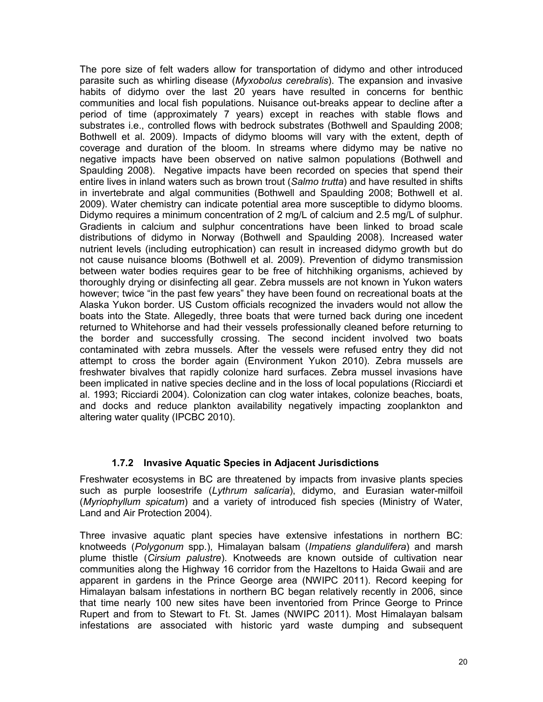The pore size of felt waders allow for transportation of didymo and other introduced parasite such as whirling disease (*Myxobolus cerebralis*). The expansion and invasive habits of didymo over the last 20 years have resulted in concerns for benthic communities and local fish populations. Nuisance out-breaks appear to decline after a period of time (approximately 7 years) except in reaches with stable flows and substrates i.e., controlled flows with bedrock substrates (Bothwell and Spaulding 2008; Bothwell et al. 2009). Impacts of didymo blooms will vary with the extent, depth of coverage and duration of the bloom. In streams where didymo may be native no negative impacts have been observed on native salmon populations (Bothwell and Spaulding 2008). Negative impacts have been recorded on species that spend their entire lives in inland waters such as brown trout (*Salmo trutta*) and have resulted in shifts in invertebrate and algal communities (Bothwell and Spaulding 2008; Bothwell et al. 2009). Water chemistry can indicate potential area more susceptible to didymo blooms. Didymo requires a minimum concentration of 2 mg/L of calcium and 2.5 mg/L of sulphur. Gradients in calcium and sulphur concentrations have been linked to broad scale distributions of didymo in Norway (Bothwell and Spaulding 2008). Increased water nutrient levels (including eutrophication) can result in increased didymo growth but do not cause nuisance blooms (Bothwell et al. 2009). Prevention of didymo transmission between water bodies requires gear to be free of hitchhiking organisms, achieved by thoroughly drying or disinfecting all gear. Zebra mussels are not known in Yukon waters however; twice "in the past few years" they have been found on recreational boats at the Alaska Yukon border. US Custom officials recognized the invaders would not allow the boats into the State. Allegedly, three boats that were turned back during one incedent returned to Whitehorse and had their vessels professionally cleaned before returning to the border and successfully crossing. The second incident involved two boats contaminated with zebra mussels. After the vessels were refused entry they did not attempt to cross the border again (Environment Yukon 2010). Zebra mussels are freshwater bivalves that rapidly colonize hard surfaces. Zebra mussel invasions have been implicated in native species decline and in the loss of local populations (Ricciardi et al. 1993; Ricciardi 2004). Colonization can clog water intakes, colonize beaches, boats, and docks and reduce plankton availability negatively impacting zooplankton and altering water quality (IPCBC 2010).

#### **1.7.2 Invasive Aquatic Species in Adjacent Jurisdictions**

Freshwater ecosystems in BC are threatened by impacts from invasive plants species such as purple loosestrife (*Lythrum salicaria*), didymo, and Eurasian water-milfoil (*Myriophyllum spicatum*) and a variety of introduced fish species (Ministry of Water, Land and Air Protection 2004).

Three invasive aquatic plant species have extensive infestations in northern BC: knotweeds (*Polygonum* spp.), Himalayan balsam (*Impatiens glandulifera*) and marsh plume thistle (*Cirsium palustre*). Knotweeds are known outside of cultivation near communities along the Highway 16 corridor from the Hazeltons to Haida Gwaii and are apparent in gardens in the Prince George area (NWIPC 2011). Record keeping for Himalayan balsam infestations in northern BC began relatively recently in 2006, since that time nearly 100 new sites have been inventoried from Prince George to Prince Rupert and from to Stewart to Ft. St. James (NWIPC 2011). Most Himalayan balsam infestations are associated with historic yard waste dumping and subsequent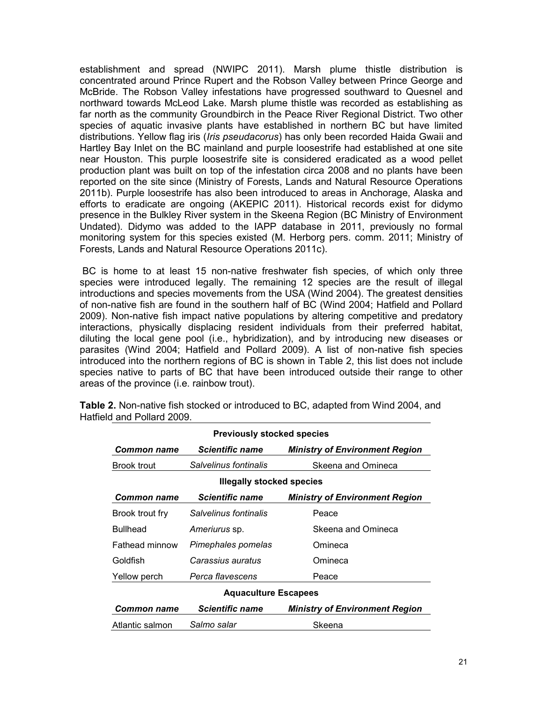establishment and spread (NWIPC 2011). Marsh plume thistle distribution is concentrated around Prince Rupert and the Robson Valley between Prince George and McBride. The Robson Valley infestations have progressed southward to Quesnel and northward towards McLeod Lake. Marsh plume thistle was recorded as establishing as far north as the community Groundbirch in the Peace River Regional District. Two other species of aquatic invasive plants have established in northern BC but have limited distributions. Yellow flag iris (*Iris pseudacorus*) has only been recorded Haida Gwaii and Hartley Bay Inlet on the BC mainland and purple loosestrife had established at one site near Houston. This purple loosestrife site is considered eradicated as a wood pellet production plant was built on top of the infestation circa 2008 and no plants have been reported on the site since (Ministry of Forests, Lands and Natural Resource Operations 2011b). Purple loosestrife has also been introduced to areas in Anchorage, Alaska and efforts to eradicate are ongoing (AKEPIC 2011). Historical records exist for didymo presence in the Bulkley River system in the Skeena Region (BC Ministry of Environment Undated). Didymo was added to the IAPP database in 2011, previously no formal monitoring system for this species existed (M. Herborg pers. comm. 2011; Ministry of Forests, Lands and Natural Resource Operations 2011c).

BC is home to at least 15 non-native freshwater fish species, of which only three species were introduced legally. The remaining 12 species are the result of illegal introductions and species movements from the USA (Wind 2004). The greatest densities of non-native fish are found in the southern half of BC (Wind 2004; Hatfield and Pollard 2009). Non-native fish impact native populations by altering competitive and predatory interactions, physically displacing resident individuals from their preferred habitat, diluting the local gene pool (i.e., hybridization), and by introducing new diseases or parasites (Wind 2004; Hatfield and Pollard 2009). A list of non-native fish species introduced into the northern regions of BC is shown in Table 2, this list does not include species native to parts of BC that have been introduced outside their range to other areas of the province (i.e. rainbow trout).

| <b>Previously stocked species</b> |                        |                                       |  |
|-----------------------------------|------------------------|---------------------------------------|--|
| Common name                       | Scientific name        | <b>Ministry of Environment Region</b> |  |
| Brook trout                       | Salvelinus fontinalis  | Skeena and Omineca                    |  |
| <b>Illegally stocked species</b>  |                        |                                       |  |
| Common name                       | Scientific name        | <b>Ministry of Environment Region</b> |  |
| Brook trout fry                   | Salvelinus fontinalis  | Peace                                 |  |
| <b>Bullhead</b>                   | Ameriurus sp.          | Skeena and Omineca                    |  |
| <b>Fathead minnow</b>             | Pimephales pomelas     | Omineca                               |  |
| Goldfish                          | Carassius auratus      | Omineca                               |  |
| Yellow perch                      | Perca flavescens       | Peace                                 |  |
| <b>Aquaculture Escapees</b>       |                        |                                       |  |
| Common name                       | <b>Scientific name</b> | <b>Ministry of Environment Region</b> |  |
| Atlantic salmon                   | Salmo salar            | Skeena                                |  |

**Table 2.** Non-native fish stocked or introduced to BC, adapted from Wind 2004, and Hatfield and Pollard 2009.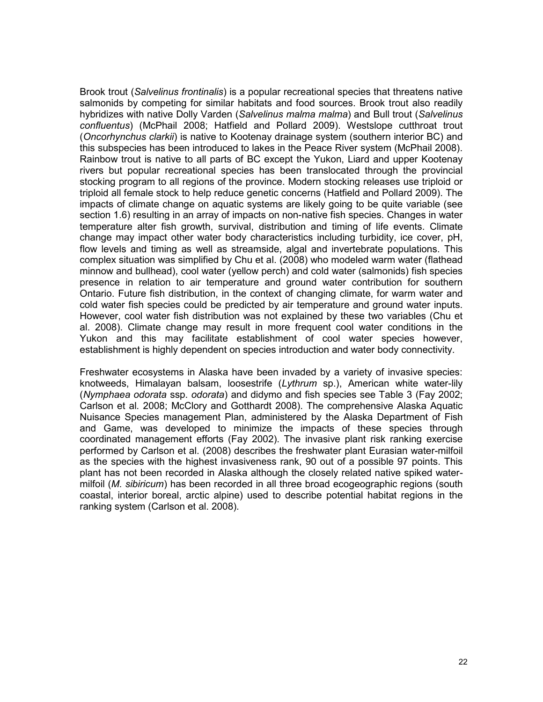Brook trout (*Salvelinus frontinalis*) is a popular recreational species that threatens native salmonids by competing for similar habitats and food sources. Brook trout also readily hybridizes with native Dolly Varden (*Salvelinus malma malma*) and Bull trout (*Salvelinus confluentus*) (McPhail 2008; Hatfield and Pollard 2009). Westslope cutthroat trout (*Oncorhynchus clarkii*) is native to Kootenay drainage system (southern interior BC) and this subspecies has been introduced to lakes in the Peace River system (McPhail 2008). Rainbow trout is native to all parts of BC except the Yukon, Liard and upper Kootenay rivers but popular recreational species has been translocated through the provincial stocking program to all regions of the province. Modern stocking releases use triploid or triploid all female stock to help reduce genetic concerns (Hatfield and Pollard 2009). The impacts of climate change on aquatic systems are likely going to be quite variable (see section 1.6) resulting in an array of impacts on non-native fish species. Changes in water temperature alter fish growth, survival, distribution and timing of life events. Climate change may impact other water body characteristics including turbidity, ice cover, pH, flow levels and timing as well as streamside, algal and invertebrate populations. This complex situation was simplified by Chu et al. (2008) who modeled warm water (flathead minnow and bullhead), cool water (yellow perch) and cold water (salmonids) fish species presence in relation to air temperature and ground water contribution for southern Ontario. Future fish distribution, in the context of changing climate, for warm water and cold water fish species could be predicted by air temperature and ground water inputs. However, cool water fish distribution was not explained by these two variables (Chu et al. 2008). Climate change may result in more frequent cool water conditions in the Yukon and this may facilitate establishment of cool water species however, establishment is highly dependent on species introduction and water body connectivity.

Freshwater ecosystems in Alaska have been invaded by a variety of invasive species: knotweeds, Himalayan balsam, loosestrife (*Lythrum* sp.), American white water-lily (*Nymphaea odorata* ssp. *odorata*) and didymo and fish species see Table 3 (Fay 2002; Carlson et al*.* 2008; McClory and Gotthardt 2008). The comprehensive Alaska Aquatic Nuisance Species management Plan, administered by the Alaska Department of Fish and Game, was developed to minimize the impacts of these species through coordinated management efforts (Fay 2002). The invasive plant risk ranking exercise performed by Carlson et al. (2008) describes the freshwater plant Eurasian water-milfoil as the species with the highest invasiveness rank, 90 out of a possible 97 points. This plant has not been recorded in Alaska although the closely related native spiked watermilfoil (*M. sibiricum*) has been recorded in all three broad ecogeographic regions (south coastal, interior boreal, arctic alpine) used to describe potential habitat regions in the ranking system (Carlson et al. 2008).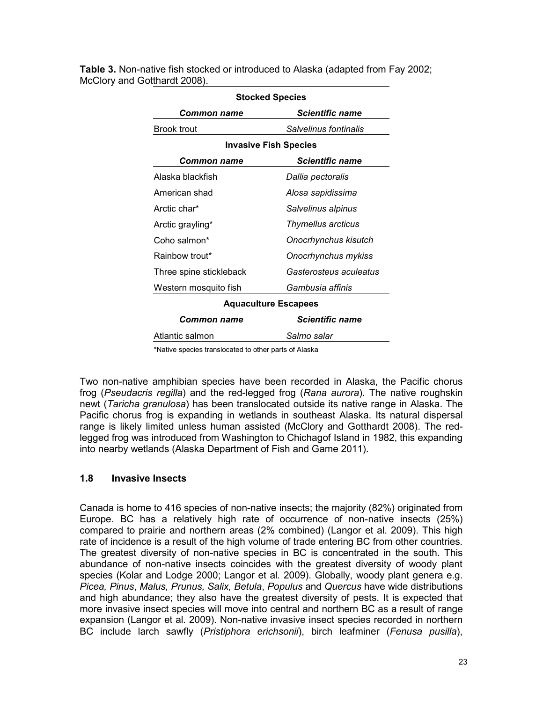| <b>Stocked Species</b>       |                             |  |
|------------------------------|-----------------------------|--|
| Common name                  | Scientific name             |  |
| Brook trout                  | Salvelinus fontinalis       |  |
| <b>Invasive Fish Species</b> |                             |  |
| Common name                  | <b>Scientific name</b>      |  |
| Alaska blackfish             | Dallia pectoralis           |  |
| American shad                | Alosa sapidissima           |  |
| Arctic char*                 | Salvelinus alpinus          |  |
| Arctic grayling*             | Thymellus arcticus          |  |
| Coho salmon*                 | Onocrhynchus kisutch        |  |
| Rainbow trout*               | Onocrhynchus mykiss         |  |
| Three spine stickleback      | Gasterosteus aculeatus      |  |
| Western mosquito fish        | Gambusia affinis            |  |
|                              | <b>Aquaculture Escapees</b> |  |
| <b>Common name</b>           | <b>Scientific name</b>      |  |
| Atlantic salmon              | Salmo salar                 |  |

**Table 3.** Non-native fish stocked or introduced to Alaska (adapted from Fay 2002; McClory and Gotthardt 2008).

\*Native species translocated to other parts of Alaska

Two non-native amphibian species have been recorded in Alaska, the Pacific chorus frog (*Pseudacris regilla*) and the red-legged frog (*Rana aurora*). The native roughskin newt (*Taricha granulosa*) has been translocated outside its native range in Alaska. The Pacific chorus frog is expanding in wetlands in southeast Alaska. Its natural dispersal range is likely limited unless human assisted (McClory and Gotthardt 2008). The redlegged frog was introduced from Washington to Chichagof Island in 1982, this expanding into nearby wetlands (Alaska Department of Fish and Game 2011).

#### **1.8 Invasive Insects**

Canada is home to 416 species of non-native insects; the majority (82%) originated from Europe. BC has a relatively high rate of occurrence of non-native insects (25%) compared to prairie and northern areas (2% combined) (Langor et al*.* 2009). This high rate of incidence is a result of the high volume of trade entering BC from other countries. The greatest diversity of non-native species in BC is concentrated in the south. This abundance of non-native insects coincides with the greatest diversity of woody plant species (Kolar and Lodge 2000; Langor et al*.* 2009). Globally, woody plant genera e.g. *Picea, Pinus*, *Malus, Prunus, Salix, Betula*, *Populus* and *Quercus* have wide distributions and high abundance; they also have the greatest diversity of pests. It is expected that more invasive insect species will move into central and northern BC as a result of range expansion (Langor et al*.* 2009). Non-native invasive insect species recorded in northern BC include larch sawfly (*Pristiphora erichsonii*), birch leafminer (*Fenusa pusilla*),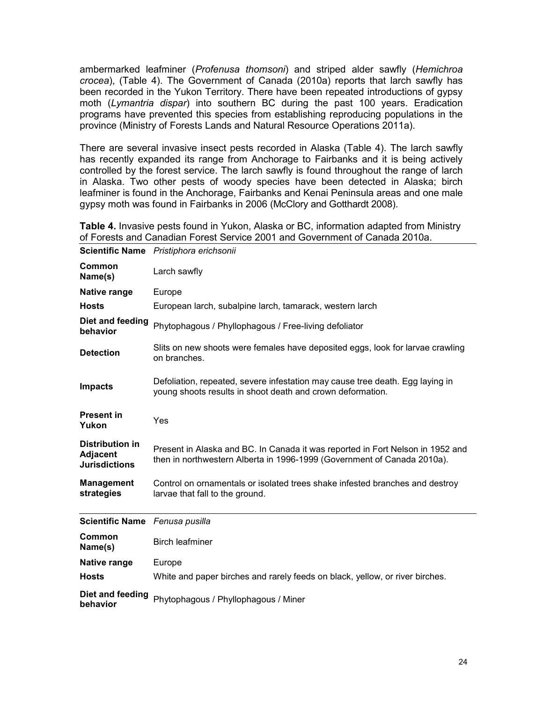ambermarked leafminer (*Profenusa thomsoni*) and striped alder sawfly (*Hemichroa crocea*), (Table 4). The Government of Canada (2010a) reports that larch sawfly has been recorded in the Yukon Territory. There have been repeated introductions of gypsy moth (*Lymantria dispar*) into southern BC during the past 100 years. Eradication programs have prevented this species from establishing reproducing populations in the province (Ministry of Forests Lands and Natural Resource Operations 2011a).

There are several invasive insect pests recorded in Alaska (Table 4). The larch sawfly has recently expanded its range from Anchorage to Fairbanks and it is being actively controlled by the forest service. The larch sawfly is found throughout the range of larch in Alaska. Two other pests of woody species have been detected in Alaska; birch leafminer is found in the Anchorage, Fairbanks and Kenai Peninsula areas and one male gypsy moth was found in Fairbanks in 2006 (McClory and Gotthardt 2008).

**Table 4.** Invasive pests found in Yukon, Alaska or BC, information adapted from Ministry of Forests and Canadian Forest Service 2001 and Government of Canada 2010a.

|                                                                   | Scientific Name Pristiphora erichsonii                                                                                                                    |
|-------------------------------------------------------------------|-----------------------------------------------------------------------------------------------------------------------------------------------------------|
| Common<br>Name(s)                                                 | Larch sawfly                                                                                                                                              |
| <b>Native range</b>                                               | Europe                                                                                                                                                    |
| <b>Hosts</b>                                                      | European larch, subalpine larch, tamarack, western larch                                                                                                  |
| Diet and feeding<br>behavior                                      | Phytophagous / Phyllophagous / Free-living defoliator                                                                                                     |
| <b>Detection</b>                                                  | Slits on new shoots were females have deposited eggs, look for larvae crawling<br>on branches.                                                            |
| <b>Impacts</b>                                                    | Defoliation, repeated, severe infestation may cause tree death. Egg laying in<br>young shoots results in shoot death and crown deformation.               |
| <b>Present in</b><br>Yukon                                        | Yes                                                                                                                                                       |
| <b>Distribution in</b><br><b>Adjacent</b><br><b>Jurisdictions</b> | Present in Alaska and BC. In Canada it was reported in Fort Nelson in 1952 and<br>then in northwestern Alberta in 1996-1999 (Government of Canada 2010a). |
| <b>Management</b><br>strategies                                   | Control on ornamentals or isolated trees shake infested branches and destroy<br>larvae that fall to the ground.                                           |
| Scientific Name Fenusa pusilla                                    |                                                                                                                                                           |
| Common<br>Name(s)                                                 | <b>Birch leafminer</b>                                                                                                                                    |
| Native range                                                      | Europe                                                                                                                                                    |
| <b>Hosts</b>                                                      | White and paper birches and rarely feeds on black, yellow, or river birches.                                                                              |
| Diet and feeding<br>behavior                                      | Phytophagous / Phyllophagous / Miner                                                                                                                      |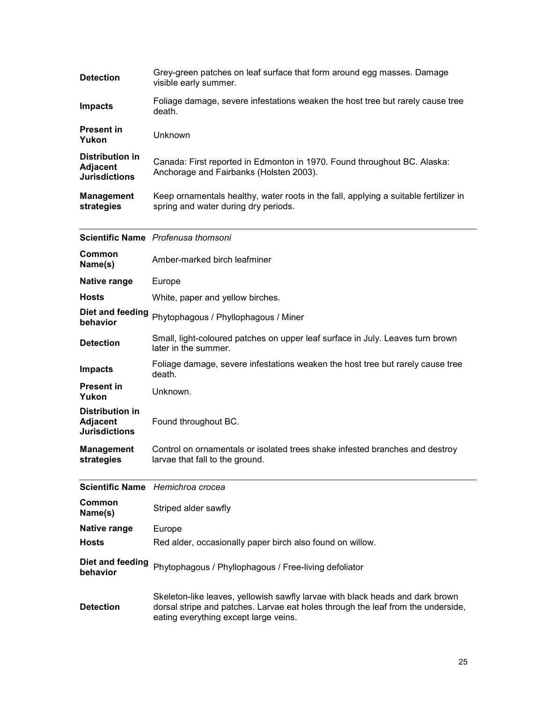| <b>Detection</b>                                                  | Grey-green patches on leaf surface that form around egg masses. Damage<br>visible early summer.                                                                                                            |
|-------------------------------------------------------------------|------------------------------------------------------------------------------------------------------------------------------------------------------------------------------------------------------------|
| <b>Impacts</b>                                                    | Foliage damage, severe infestations weaken the host tree but rarely cause tree<br>death.                                                                                                                   |
| <b>Present in</b><br>Yukon                                        | Unknown                                                                                                                                                                                                    |
| <b>Distribution in</b><br><b>Adjacent</b><br><b>Jurisdictions</b> | Canada: First reported in Edmonton in 1970. Found throughout BC. Alaska:<br>Anchorage and Fairbanks (Holsten 2003).                                                                                        |
| <b>Management</b><br>strategies                                   | Keep ornamentals healthy, water roots in the fall, applying a suitable fertilizer in<br>spring and water during dry periods.                                                                               |
|                                                                   | Scientific Name Profenusa thomsoni                                                                                                                                                                         |
| Common<br>Name(s)                                                 | Amber-marked birch leafminer                                                                                                                                                                               |
| Native range                                                      | Europe                                                                                                                                                                                                     |
| <b>Hosts</b>                                                      | White, paper and yellow birches.                                                                                                                                                                           |
| Diet and feeding<br>behavior                                      | Phytophagous / Phyllophagous / Miner                                                                                                                                                                       |
| <b>Detection</b>                                                  | Small, light-coloured patches on upper leaf surface in July. Leaves turn brown<br>later in the summer.                                                                                                     |
| <b>Impacts</b>                                                    | Foliage damage, severe infestations weaken the host tree but rarely cause tree<br>death.                                                                                                                   |
| <b>Present in</b><br>Yukon                                        | Unknown.                                                                                                                                                                                                   |
| <b>Distribution in</b><br><b>Adjacent</b><br><b>Jurisdictions</b> | Found throughout BC.                                                                                                                                                                                       |
| <b>Management</b><br>strategies                                   | Control on ornamentals or isolated trees shake infested branches and destroy<br>larvae that fall to the ground.                                                                                            |
|                                                                   | Scientific Name Hemichroa crocea                                                                                                                                                                           |
| Common<br>Name(s)                                                 | Striped alder sawfly                                                                                                                                                                                       |
| Native range                                                      | Europe                                                                                                                                                                                                     |
| Hosts                                                             | Red alder, occasionally paper birch also found on willow.                                                                                                                                                  |
| Diet and feeding<br>behavior                                      | Phytophagous / Phyllophagous / Free-living defoliator                                                                                                                                                      |
| <b>Detection</b>                                                  | Skeleton-like leaves, yellowish sawfly larvae with black heads and dark brown<br>dorsal stripe and patches. Larvae eat holes through the leaf from the underside,<br>eating everything except large veins. |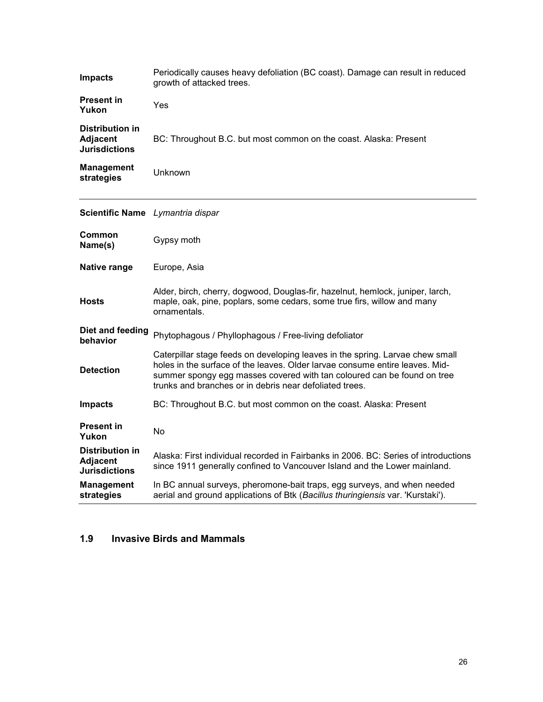| <b>Impacts</b>                                                    | Periodically causes heavy defoliation (BC coast). Damage can result in reduced<br>growth of attacked trees.                                                                                                                                                                                         |
|-------------------------------------------------------------------|-----------------------------------------------------------------------------------------------------------------------------------------------------------------------------------------------------------------------------------------------------------------------------------------------------|
| <b>Present in</b><br>Yukon                                        | Yes                                                                                                                                                                                                                                                                                                 |
| <b>Distribution in</b><br><b>Adjacent</b><br><b>Jurisdictions</b> | BC: Throughout B.C. but most common on the coast. Alaska: Present                                                                                                                                                                                                                                   |
| <b>Management</b><br>strategies                                   | Unknown                                                                                                                                                                                                                                                                                             |
| Scientific Name Lymantria dispar                                  |                                                                                                                                                                                                                                                                                                     |
| Common<br>Name(s)                                                 | Gypsy moth                                                                                                                                                                                                                                                                                          |
| <b>Native range</b>                                               | Europe, Asia                                                                                                                                                                                                                                                                                        |
| <b>Hosts</b>                                                      | Alder, birch, cherry, dogwood, Douglas-fir, hazelnut, hemlock, juniper, larch,<br>maple, oak, pine, poplars, some cedars, some true firs, willow and many<br>ornamentals.                                                                                                                           |
| Diet and feeding<br>behavior                                      | Phytophagous / Phyllophagous / Free-living defoliator                                                                                                                                                                                                                                               |
| <b>Detection</b>                                                  | Caterpillar stage feeds on developing leaves in the spring. Larvae chew small<br>holes in the surface of the leaves. Older larvae consume entire leaves. Mid-<br>summer spongy egg masses covered with tan coloured can be found on tree<br>trunks and branches or in debris near defoliated trees. |
| <b>Impacts</b>                                                    | BC: Throughout B.C. but most common on the coast. Alaska: Present                                                                                                                                                                                                                                   |
| <b>Present in</b><br>Yukon                                        | <b>No</b>                                                                                                                                                                                                                                                                                           |
| Distribution in<br><b>Adjacent</b><br><b>Jurisdictions</b>        | Alaska: First individual recorded in Fairbanks in 2006. BC: Series of introductions<br>since 1911 generally confined to Vancouver Island and the Lower mainland.                                                                                                                                    |
| <b>Management</b><br>strategies                                   | In BC annual surveys, pheromone-bait traps, egg surveys, and when needed<br>aerial and ground applications of Btk (Bacillus thuringiensis var. 'Kurstaki').                                                                                                                                         |

# **1.9 Invasive Birds and Mammals**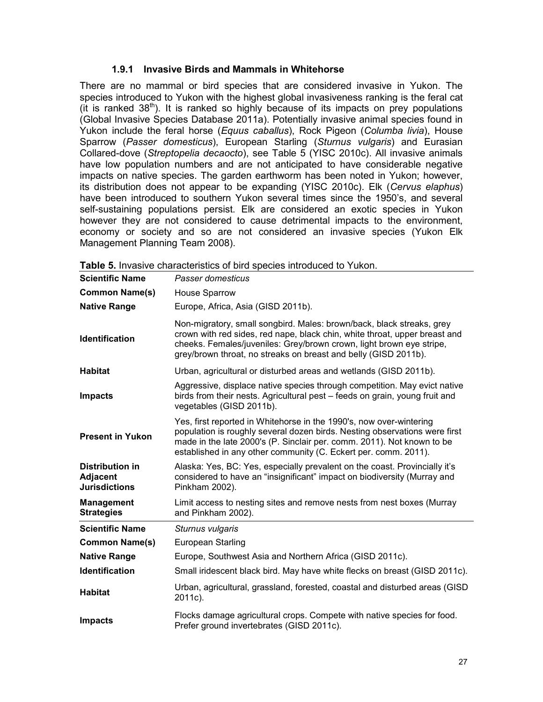#### **1.9.1 Invasive Birds and Mammals in Whitehorse**

There are no mammal or bird species that are considered invasive in Yukon. The species introduced to Yukon with the highest global invasiveness ranking is the feral cat  $(i$ t is ranked 38<sup>th</sup>). It is ranked so highly because of its impacts on prey populations (Global Invasive Species Database 2011a). Potentially invasive animal species found in Yukon include the feral horse (*Equus caballus*), Rock Pigeon (*Columba livia*), House Sparrow (*Passer domesticus*), European Starling (*Sturnus vulgaris*) and Eurasian Collared-dove (*Streptopelia decaocto*), see Table 5 (YISC 2010c). All invasive animals have low population numbers and are not anticipated to have considerable negative impacts on native species. The garden earthworm has been noted in Yukon; however, its distribution does not appear to be expanding (YISC 2010c). Elk (*Cervus elaphus*) have been introduced to southern Yukon several times since the 1950's, and several self-sustaining populations persist. Elk are considered an exotic species in Yukon however they are not considered to cause detrimental impacts to the environment, economy or society and so are not considered an invasive species (Yukon Elk Management Planning Team 2008).

| <b>Scientific Name</b>                                            | Passer domesticus                                                                                                                                                                                                                                                                              |
|-------------------------------------------------------------------|------------------------------------------------------------------------------------------------------------------------------------------------------------------------------------------------------------------------------------------------------------------------------------------------|
| <b>Common Name(s)</b>                                             | <b>House Sparrow</b>                                                                                                                                                                                                                                                                           |
| <b>Native Range</b>                                               | Europe, Africa, Asia (GISD 2011b).                                                                                                                                                                                                                                                             |
| <b>Identification</b>                                             | Non-migratory, small songbird. Males: brown/back, black streaks, grey<br>crown with red sides, red nape, black chin, white throat, upper breast and<br>cheeks. Females/juveniles: Grey/brown crown, light brown eye stripe,<br>grey/brown throat, no streaks on breast and belly (GISD 2011b). |
| <b>Habitat</b>                                                    | Urban, agricultural or disturbed areas and wetlands (GISD 2011b).                                                                                                                                                                                                                              |
| <b>Impacts</b>                                                    | Aggressive, displace native species through competition. May evict native<br>birds from their nests. Agricultural pest - feeds on grain, young fruit and<br>vegetables (GISD 2011b).                                                                                                           |
| <b>Present in Yukon</b>                                           | Yes, first reported in Whitehorse in the 1990's, now over-wintering<br>population is roughly several dozen birds. Nesting observations were first<br>made in the late 2000's (P. Sinclair per. comm. 2011). Not known to be<br>established in any other community (C. Eckert per. comm. 2011). |
| <b>Distribution in</b><br><b>Adjacent</b><br><b>Jurisdictions</b> | Alaska: Yes, BC: Yes, especially prevalent on the coast. Provincially it's<br>considered to have an "insignificant" impact on biodiversity (Murray and<br>Pinkham 2002).                                                                                                                       |
| <b>Management</b><br><b>Strategies</b>                            | Limit access to nesting sites and remove nests from nest boxes (Murray<br>and Pinkham 2002).                                                                                                                                                                                                   |
| <b>Scientific Name</b>                                            | Sturnus vulgaris                                                                                                                                                                                                                                                                               |
| <b>Common Name(s)</b>                                             | <b>European Starling</b>                                                                                                                                                                                                                                                                       |
| <b>Native Range</b>                                               | Europe, Southwest Asia and Northern Africa (GISD 2011c).                                                                                                                                                                                                                                       |
| <b>Identification</b>                                             | Small iridescent black bird. May have white flecks on breast (GISD 2011c).                                                                                                                                                                                                                     |
| <b>Habitat</b>                                                    | Urban, agricultural, grassland, forested, coastal and disturbed areas (GISD<br>2011c).                                                                                                                                                                                                         |
| <b>Impacts</b>                                                    | Flocks damage agricultural crops. Compete with native species for food.<br>Prefer ground invertebrates (GISD 2011c).                                                                                                                                                                           |

**Table 5.** Invasive characteristics of bird species introduced to Yukon.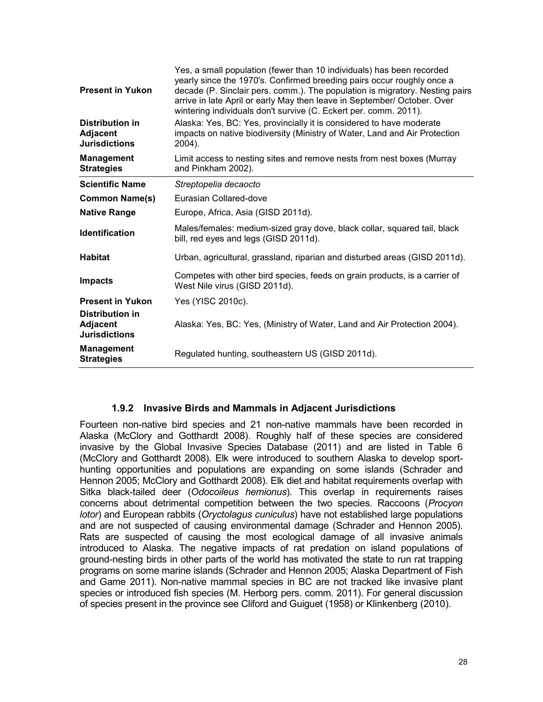| <b>Present in Yukon</b>                                           | Yes, a small population (fewer than 10 individuals) has been recorded<br>yearly since the 1970's. Confirmed breeding pairs occur roughly once a<br>decade (P. Sinclair pers. comm.). The population is migratory. Nesting pairs<br>arrive in late April or early May then leave in September/ October. Over<br>wintering individuals don't survive (C. Eckert per. comm. 2011). |
|-------------------------------------------------------------------|---------------------------------------------------------------------------------------------------------------------------------------------------------------------------------------------------------------------------------------------------------------------------------------------------------------------------------------------------------------------------------|
| Distribution in<br><b>Adjacent</b><br><b>Jurisdictions</b>        | Alaska: Yes, BC: Yes, provincially it is considered to have moderate<br>impacts on native biodiversity (Ministry of Water, Land and Air Protection<br>2004).                                                                                                                                                                                                                    |
| <b>Management</b><br><b>Strategies</b>                            | Limit access to nesting sites and remove nests from nest boxes (Murray<br>and Pinkham 2002).                                                                                                                                                                                                                                                                                    |
| <b>Scientific Name</b>                                            | Streptopelia decaocto                                                                                                                                                                                                                                                                                                                                                           |
| <b>Common Name(s)</b>                                             | Eurasian Collared-dove                                                                                                                                                                                                                                                                                                                                                          |
| <b>Native Range</b>                                               | Europe, Africa, Asia (GISD 2011d).                                                                                                                                                                                                                                                                                                                                              |
| <b>Identification</b>                                             | Males/females: medium-sized gray dove, black collar, squared tail, black<br>bill, red eyes and legs (GISD 2011d).                                                                                                                                                                                                                                                               |
| <b>Habitat</b>                                                    | Urban, agricultural, grassland, riparian and disturbed areas (GISD 2011d).                                                                                                                                                                                                                                                                                                      |
| <b>Impacts</b>                                                    | Competes with other bird species, feeds on grain products, is a carrier of<br>West Nile virus (GISD 2011d).                                                                                                                                                                                                                                                                     |
| <b>Present in Yukon</b>                                           | Yes (YISC 2010c).                                                                                                                                                                                                                                                                                                                                                               |
| <b>Distribution in</b><br><b>Adjacent</b><br><b>Jurisdictions</b> | Alaska: Yes, BC: Yes, (Ministry of Water, Land and Air Protection 2004).                                                                                                                                                                                                                                                                                                        |
| <b>Management</b><br><b>Strategies</b>                            | Regulated hunting, southeastern US (GISD 2011d).                                                                                                                                                                                                                                                                                                                                |

#### **1.9.2 Invasive Birds and Mammals in Adjacent Jurisdictions**

Fourteen non-native bird species and 21 non-native mammals have been recorded in Alaska (McClory and Gotthardt 2008). Roughly half of these species are considered invasive by the Global Invasive Species Database (2011) and are listed in Table 6 (McClory and Gotthardt 2008). Elk were introduced to southern Alaska to develop sporthunting opportunities and populations are expanding on some islands (Schrader and Hennon 2005; McClory and Gotthardt 2008). Elk diet and habitat requirements overlap with Sitka black-tailed deer (*Odocoileus hemionus*). This overlap in requirements raises concerns about detrimental competition between the two species. Raccoons (*Procyon lotor*) and European rabbits (*Oryctolagus cuniculus*) have not established large populations and are not suspected of causing environmental damage (Schrader and Hennon 2005). Rats are suspected of causing the most ecological damage of all invasive animals introduced to Alaska. The negative impacts of rat predation on island populations of ground-nesting birds in other parts of the world has motivated the state to run rat trapping programs on some marine islands (Schrader and Hennon 2005; Alaska Department of Fish and Game 2011). Non-native mammal species in BC are not tracked like invasive plant species or introduced fish species (M. Herborg pers. comm. 2011). For general discussion of species present in the province see Cliford and Guiguet (1958) or Klinkenberg (2010).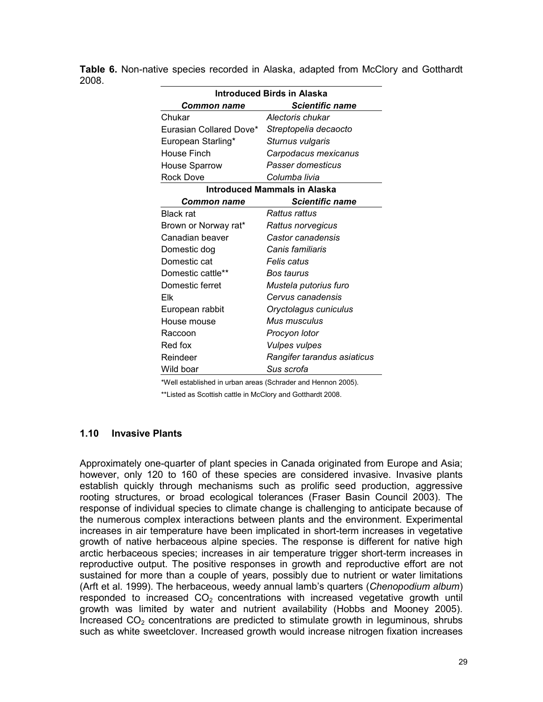| <b>Introduced Birds in Alaska</b> |                             |  |  |
|-----------------------------------|-----------------------------|--|--|
| Common name                       | <b>Scientific name</b>      |  |  |
| Chukar                            | Alectoris chukar            |  |  |
| Eurasian Collared Dove*           | Streptopelia decaocto       |  |  |
| European Starling*                | Sturnus vulgaris            |  |  |
| House Finch                       | Carpodacus mexicanus        |  |  |
| <b>House Sparrow</b>              | Passer domesticus           |  |  |
| Rock Dove                         | Columba livia               |  |  |
| Introduced Mammals in Alaska      |                             |  |  |
| Common name                       | <b>Scientific name</b>      |  |  |
| <b>Black rat</b>                  | Rattus rattus               |  |  |
| Brown or Norway rat*              | Rattus norvegicus           |  |  |
| Canadian beaver                   | Castor canadensis           |  |  |
| Domestic dog                      | Canis familiaris            |  |  |
| Domestic cat                      | Felis catus                 |  |  |
| Domestic cattle**                 | Bos taurus                  |  |  |
| Domestic ferret                   | Mustela putorius furo       |  |  |
| Flk                               | Cervus canadensis           |  |  |
| European rabbit                   | Oryctolagus cuniculus       |  |  |
| House mouse                       | Mus musculus                |  |  |
| Raccoon                           | Procyon lotor               |  |  |
| Red fox                           | <b>Vulpes vulpes</b>        |  |  |
| Reindeer                          | Rangifer tarandus asiaticus |  |  |
| Wild boar                         | Sus scrofa                  |  |  |

**Table 6.** Non-native species recorded in Alaska, adapted from McClory and Gotthardt 2008.

\*Well established in urban areas (Schrader and Hennon 2005).

\*\*Listed as Scottish cattle in McClory and Gotthardt 2008.

#### **1.10 Invasive Plants**

Approximately one-quarter of plant species in Canada originated from Europe and Asia; however, only 120 to 160 of these species are considered invasive. Invasive plants establish quickly through mechanisms such as prolific seed production, aggressive rooting structures, or broad ecological tolerances (Fraser Basin Council 2003). The response of individual species to climate change is challenging to anticipate because of the numerous complex interactions between plants and the environment. Experimental increases in air temperature have been implicated in short-term increases in vegetative growth of native herbaceous alpine species. The response is different for native high arctic herbaceous species; increases in air temperature trigger short-term increases in reproductive output. The positive responses in growth and reproductive effort are not sustained for more than a couple of years, possibly due to nutrient or water limitations (Arft et al. 1999). The herbaceous, weedy annual lamb's quarters (*Chenopodium album*) responded to increased  $CO<sub>2</sub>$  concentrations with increased vegetative growth until growth was limited by water and nutrient availability (Hobbs and Mooney 2005). Increased  $CO<sub>2</sub>$  concentrations are predicted to stimulate growth in leguminous, shrubs such as white sweetclover. Increased growth would increase nitrogen fixation increases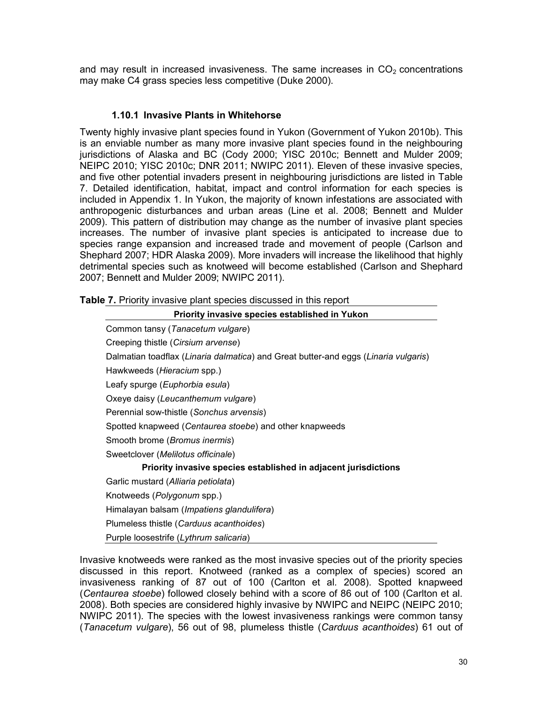and may result in increased invasiveness. The same increases in  $CO<sub>2</sub>$  concentrations may make C4 grass species less competitive (Duke 2000).

#### **1.10.1 Invasive Plants in Whitehorse**

Twenty highly invasive plant species found in Yukon (Government of Yukon 2010b). This is an enviable number as many more invasive plant species found in the neighbouring jurisdictions of Alaska and BC (Cody 2000; YISC 2010c; Bennett and Mulder 2009; NEIPC 2010; YISC 2010c; DNR 2011; NWIPC 2011). Eleven of these invasive species, and five other potential invaders present in neighbouring jurisdictions are listed in Table 7. Detailed identification, habitat, impact and control information for each species is included in Appendix 1. In Yukon, the majority of known infestations are associated with anthropogenic disturbances and urban areas (Line et al. 2008; Bennett and Mulder 2009). This pattern of distribution may change as the number of invasive plant species increases. The number of invasive plant species is anticipated to increase due to species range expansion and increased trade and movement of people (Carlson and Shephard 2007; HDR Alaska 2009). More invaders will increase the likelihood that highly detrimental species such as knotweed will become established (Carlson and Shephard 2007; Bennett and Mulder 2009; NWIPC 2011).

| Table 7. Priority invasive plant species discussed in this report |  |
|-------------------------------------------------------------------|--|
|-------------------------------------------------------------------|--|

| Priority invasive species established in Yukon                                      |
|-------------------------------------------------------------------------------------|
| Common tansy (Tanacetum vulgare)                                                    |
| Creeping thistle (Cirsium arvense)                                                  |
| Dalmatian toadflax (Linaria dalmatica) and Great butter-and eggs (Linaria vulgaris) |
| Hawkweeds (Hieracium spp.)                                                          |
| Leafy spurge ( <i>Euphorbia esula</i> )                                             |
| Oxeye daisy (Leucanthemum vulgare)                                                  |
| Perennial sow-thistle (Sonchus arvensis)                                            |
| Spotted knapweed (Centaurea stoebe) and other knapweeds                             |
| Smooth brome ( <i>Bromus inermis</i> )                                              |
| Sweetclover ( <i>Melilotus officinale</i> )                                         |
| Priority invasive species established in adjacent jurisdictions                     |
| Garlic mustard (Alliaria petiolata)                                                 |
| Knotweeds (Polygonum spp.)                                                          |
| Himalayan balsam (Impatiens glandulifera)                                           |
| Plumeless thistle (Carduus acanthoides)                                             |
| Purple loosestrife (Lythrum salicaria)                                              |

Invasive knotweeds were ranked as the most invasive species out of the priority species discussed in this report. Knotweed (ranked as a complex of species) scored an invasiveness ranking of 87 out of 100 (Carlton et al*.* 2008). Spotted knapweed (*Centaurea stoebe*) followed closely behind with a score of 86 out of 100 (Carlton et al*.* 2008). Both species are considered highly invasive by NWIPC and NEIPC (NEIPC 2010; NWIPC 2011). The species with the lowest invasiveness rankings were common tansy (*Tanacetum vulgare*), 56 out of 98, plumeless thistle (*Carduus acanthoides*) 61 out of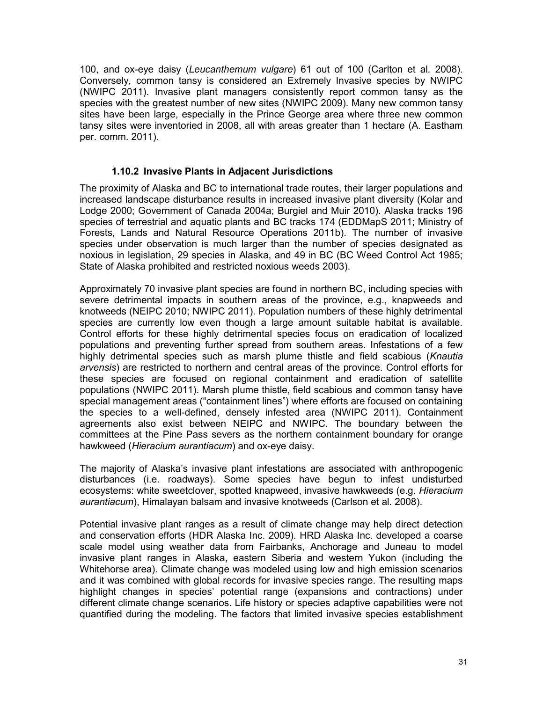100, and ox-eye daisy (*Leucanthemum vulgare*) 61 out of 100 (Carlton et al*.* 2008). Conversely, common tansy is considered an Extremely Invasive species by NWIPC (NWIPC 2011). Invasive plant managers consistently report common tansy as the species with the greatest number of new sites (NWIPC 2009). Many new common tansy sites have been large, especially in the Prince George area where three new common tansy sites were inventoried in 2008, all with areas greater than 1 hectare (A. Eastham per. comm. 2011).

#### **1.10.2 Invasive Plants in Adjacent Jurisdictions**

The proximity of Alaska and BC to international trade routes, their larger populations and increased landscape disturbance results in increased invasive plant diversity (Kolar and Lodge 2000; Government of Canada 2004a; Burgiel and Muir 2010). Alaska tracks 196 species of terrestrial and aquatic plants and BC tracks 174 (EDDMapS 2011; Ministry of Forests, Lands and Natural Resource Operations 2011b). The number of invasive species under observation is much larger than the number of species designated as noxious in legislation, 29 species in Alaska, and 49 in BC (BC Weed Control Act 1985; State of Alaska prohibited and restricted noxious weeds 2003).

Approximately 70 invasive plant species are found in northern BC, including species with severe detrimental impacts in southern areas of the province, e.g., knapweeds and knotweeds (NEIPC 2010; NWIPC 2011). Population numbers of these highly detrimental species are currently low even though a large amount suitable habitat is available. Control efforts for these highly detrimental species focus on eradication of localized populations and preventing further spread from southern areas. Infestations of a few highly detrimental species such as marsh plume thistle and field scabious (*Knautia arvensis*) are restricted to northern and central areas of the province. Control efforts for these species are focused on regional containment and eradication of satellite populations (NWIPC 2011). Marsh plume thistle, field scabious and common tansy have special management areas ("containment lines") where efforts are focused on containing the species to a well-defined, densely infested area (NWIPC 2011). Containment agreements also exist between NEIPC and NWIPC. The boundary between the committees at the Pine Pass severs as the northern containment boundary for orange hawkweed (*Hieracium aurantiacum*) and ox-eye daisy.

The majority of Alaska's invasive plant infestations are associated with anthropogenic disturbances (i.e. roadways). Some species have begun to infest undisturbed ecosystems: white sweetclover, spotted knapweed, invasive hawkweeds (e.g. *Hieracium aurantiacum*), Himalayan balsam and invasive knotweeds (Carlson et al*.* 2008).

Potential invasive plant ranges as a result of climate change may help direct detection and conservation efforts (HDR Alaska Inc. 2009). HRD Alaska Inc. developed a coarse scale model using weather data from Fairbanks, Anchorage and Juneau to model invasive plant ranges in Alaska, eastern Siberia and western Yukon (including the Whitehorse area). Climate change was modeled using low and high emission scenarios and it was combined with global records for invasive species range. The resulting maps highlight changes in species' potential range (expansions and contractions) under different climate change scenarios. Life history or species adaptive capabilities were not quantified during the modeling. The factors that limited invasive species establishment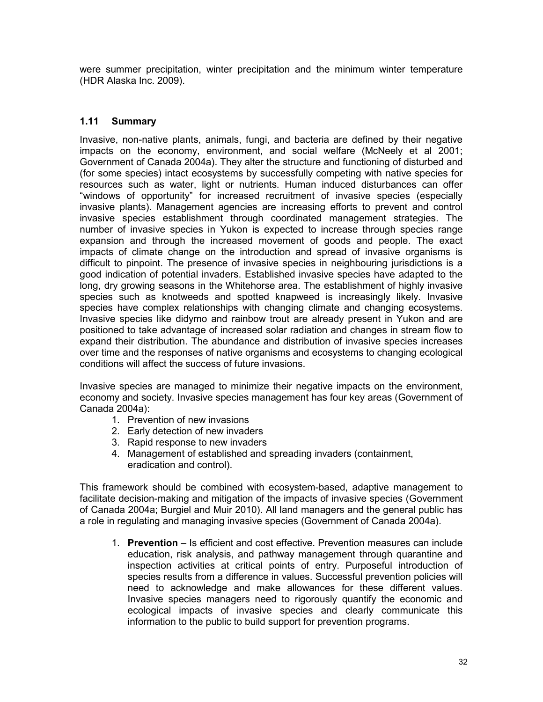were summer precipitation, winter precipitation and the minimum winter temperature (HDR Alaska Inc. 2009).

# **1.11 Summary**

Invasive, non-native plants, animals, fungi, and bacteria are defined by their negative impacts on the economy, environment, and social welfare (McNeely et al 2001; Government of Canada 2004a). They alter the structure and functioning of disturbed and (for some species) intact ecosystems by successfully competing with native species for resources such as water, light or nutrients. Human induced disturbances can offer "windows of opportunity" for increased recruitment of invasive species (especially invasive plants). Management agencies are increasing efforts to prevent and control invasive species establishment through coordinated management strategies. The number of invasive species in Yukon is expected to increase through species range expansion and through the increased movement of goods and people. The exact impacts of climate change on the introduction and spread of invasive organisms is difficult to pinpoint. The presence of invasive species in neighbouring jurisdictions is a good indication of potential invaders. Established invasive species have adapted to the long, dry growing seasons in the Whitehorse area. The establishment of highly invasive species such as knotweeds and spotted knapweed is increasingly likely. Invasive species have complex relationships with changing climate and changing ecosystems. Invasive species like didymo and rainbow trout are already present in Yukon and are positioned to take advantage of increased solar radiation and changes in stream flow to expand their distribution. The abundance and distribution of invasive species increases over time and the responses of native organisms and ecosystems to changing ecological conditions will affect the success of future invasions.

Invasive species are managed to minimize their negative impacts on the environment, economy and society. Invasive species management has four key areas (Government of Canada 2004a):

- 1. Prevention of new invasions
- 2. Early detection of new invaders
- 3. Rapid response to new invaders
- 4. Management of established and spreading invaders (containment, eradication and control).

This framework should be combined with ecosystem-based, adaptive management to facilitate decision-making and mitigation of the impacts of invasive species (Government of Canada 2004a; Burgiel and Muir 2010). All land managers and the general public has a role in regulating and managing invasive species (Government of Canada 2004a).

1. **Prevention** – Is efficient and cost effective. Prevention measures can include education, risk analysis, and pathway management through quarantine and inspection activities at critical points of entry. Purposeful introduction of species results from a difference in values. Successful prevention policies will need to acknowledge and make allowances for these different values. Invasive species managers need to rigorously quantify the economic and ecological impacts of invasive species and clearly communicate this information to the public to build support for prevention programs.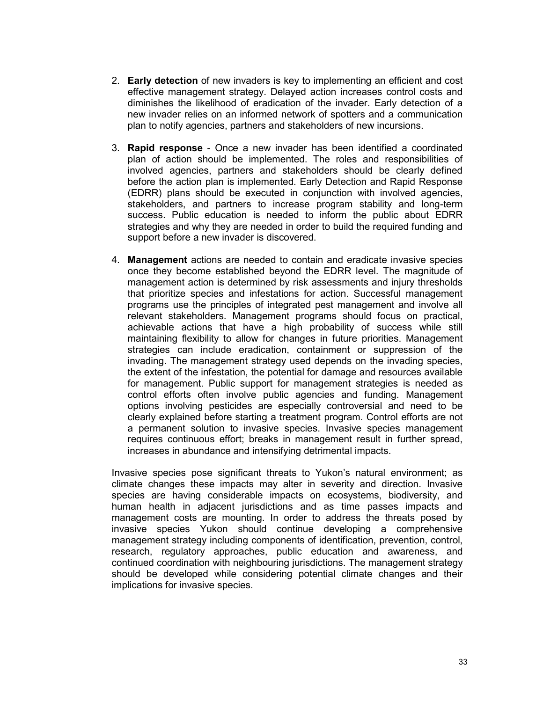- 2. **Early detection** of new invaders is key to implementing an efficient and cost effective management strategy. Delayed action increases control costs and diminishes the likelihood of eradication of the invader. Early detection of a new invader relies on an informed network of spotters and a communication plan to notify agencies, partners and stakeholders of new incursions.
- 3. **Rapid response** Once a new invader has been identified a coordinated plan of action should be implemented. The roles and responsibilities of involved agencies, partners and stakeholders should be clearly defined before the action plan is implemented. Early Detection and Rapid Response (EDRR) plans should be executed in conjunction with involved agencies, stakeholders, and partners to increase program stability and long-term success. Public education is needed to inform the public about EDRR strategies and why they are needed in order to build the required funding and support before a new invader is discovered.
- 4. **Management** actions are needed to contain and eradicate invasive species once they become established beyond the EDRR level. The magnitude of management action is determined by risk assessments and injury thresholds that prioritize species and infestations for action. Successful management programs use the principles of integrated pest management and involve all relevant stakeholders. Management programs should focus on practical, achievable actions that have a high probability of success while still maintaining flexibility to allow for changes in future priorities. Management strategies can include eradication, containment or suppression of the invading. The management strategy used depends on the invading species, the extent of the infestation, the potential for damage and resources available for management. Public support for management strategies is needed as control efforts often involve public agencies and funding. Management options involving pesticides are especially controversial and need to be clearly explained before starting a treatment program. Control efforts are not a permanent solution to invasive species. Invasive species management requires continuous effort; breaks in management result in further spread, increases in abundance and intensifying detrimental impacts.

Invasive species pose significant threats to Yukon's natural environment; as climate changes these impacts may alter in severity and direction. Invasive species are having considerable impacts on ecosystems, biodiversity, and human health in adjacent jurisdictions and as time passes impacts and management costs are mounting. In order to address the threats posed by invasive species Yukon should continue developing a comprehensive management strategy including components of identification, prevention, control, research, regulatory approaches, public education and awareness, and continued coordination with neighbouring jurisdictions. The management strategy should be developed while considering potential climate changes and their implications for invasive species.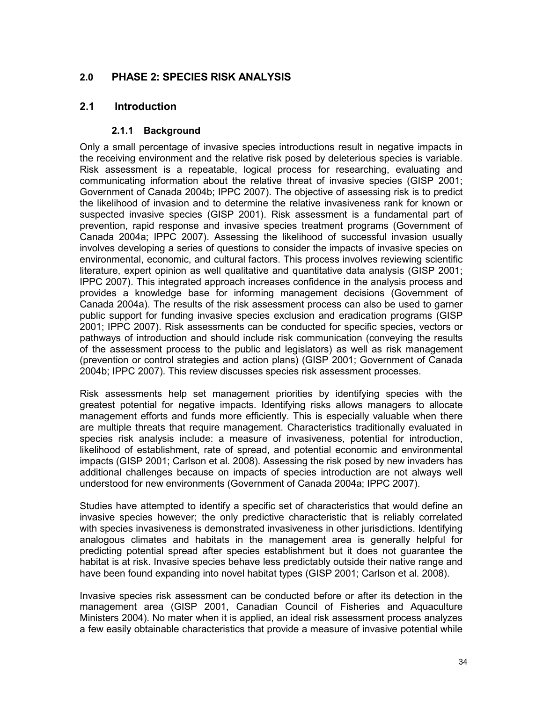# **2.0 PHASE 2: SPECIES RISK ANALYSIS**

# **2.1 Introduction**

# **2.1.1 Background**

Only a small percentage of invasive species introductions result in negative impacts in the receiving environment and the relative risk posed by deleterious species is variable. Risk assessment is a repeatable, logical process for researching, evaluating and communicating information about the relative threat of invasive species (GISP 2001; Government of Canada 2004b; IPPC 2007). The objective of assessing risk is to predict the likelihood of invasion and to determine the relative invasiveness rank for known or suspected invasive species (GISP 2001). Risk assessment is a fundamental part of prevention, rapid response and invasive species treatment programs (Government of Canada 2004a; IPPC 2007). Assessing the likelihood of successful invasion usually involves developing a series of questions to consider the impacts of invasive species on environmental, economic, and cultural factors. This process involves reviewing scientific literature, expert opinion as well qualitative and quantitative data analysis (GISP 2001; IPPC 2007). This integrated approach increases confidence in the analysis process and provides a knowledge base for informing management decisions (Government of Canada 2004a). The results of the risk assessment process can also be used to garner public support for funding invasive species exclusion and eradication programs (GISP 2001; IPPC 2007). Risk assessments can be conducted for specific species, vectors or pathways of introduction and should include risk communication (conveying the results of the assessment process to the public and legislators) as well as risk management (prevention or control strategies and action plans) (GISP 2001; Government of Canada 2004b; IPPC 2007). This review discusses species risk assessment processes.

Risk assessments help set management priorities by identifying species with the greatest potential for negative impacts. Identifying risks allows managers to allocate management efforts and funds more efficiently. This is especially valuable when there are multiple threats that require management. Characteristics traditionally evaluated in species risk analysis include: a measure of invasiveness, potential for introduction, likelihood of establishment, rate of spread, and potential economic and environmental impacts (GISP 2001; Carlson et al*.* 2008). Assessing the risk posed by new invaders has additional challenges because on impacts of species introduction are not always well understood for new environments (Government of Canada 2004a; IPPC 2007).

Studies have attempted to identify a specific set of characteristics that would define an invasive species however; the only predictive characteristic that is reliably correlated with species invasiveness is demonstrated invasiveness in other jurisdictions. Identifying analogous climates and habitats in the management area is generally helpful for predicting potential spread after species establishment but it does not guarantee the habitat is at risk. Invasive species behave less predictably outside their native range and have been found expanding into novel habitat types (GISP 2001; Carlson et al*.* 2008).

Invasive species risk assessment can be conducted before or after its detection in the management area (GISP 2001, Canadian Council of Fisheries and Aquaculture Ministers 2004). No mater when it is applied, an ideal risk assessment process analyzes a few easily obtainable characteristics that provide a measure of invasive potential while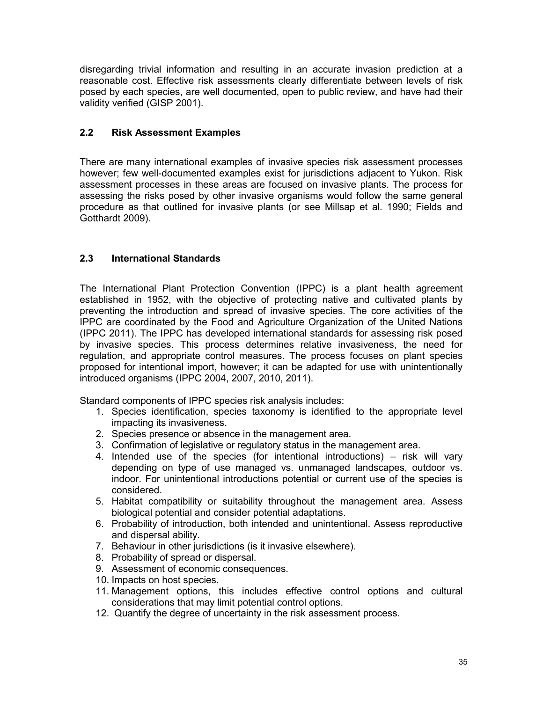disregarding trivial information and resulting in an accurate invasion prediction at a reasonable cost. Effective risk assessments clearly differentiate between levels of risk posed by each species, are well documented, open to public review, and have had their validity verified (GISP 2001).

# **2.2 Risk Assessment Examples**

There are many international examples of invasive species risk assessment processes however; few well-documented examples exist for jurisdictions adjacent to Yukon. Risk assessment processes in these areas are focused on invasive plants. The process for assessing the risks posed by other invasive organisms would follow the same general procedure as that outlined for invasive plants (or see Millsap et al. 1990; Fields and Gotthardt 2009).

# **2.3 International Standards**

The International Plant Protection Convention (IPPC) is a plant health agreement established in 1952, with the objective of protecting native and cultivated plants by preventing the introduction and spread of invasive species. The core activities of the IPPC are coordinated by the Food and Agriculture Organization of the United Nations (IPPC 2011). The IPPC has developed international standards for assessing risk posed by invasive species. This process determines relative invasiveness, the need for regulation, and appropriate control measures. The process focuses on plant species proposed for intentional import, however; it can be adapted for use with unintentionally introduced organisms (IPPC 2004, 2007, 2010, 2011).

Standard components of IPPC species risk analysis includes:

- 1. Species identification, species taxonomy is identified to the appropriate level impacting its invasiveness.
- 2. Species presence or absence in the management area.
- 3. Confirmation of legislative or regulatory status in the management area.
- 4. Intended use of the species (for intentional introductions) risk will vary depending on type of use managed vs. unmanaged landscapes, outdoor vs. indoor. For unintentional introductions potential or current use of the species is considered.
- 5. Habitat compatibility or suitability throughout the management area. Assess biological potential and consider potential adaptations.
- 6. Probability of introduction, both intended and unintentional. Assess reproductive and dispersal ability.
- 7. Behaviour in other jurisdictions (is it invasive elsewhere).
- 8. Probability of spread or dispersal.
- 9. Assessment of economic consequences.
- 10. Impacts on host species.
- 11. Management options, this includes effective control options and cultural considerations that may limit potential control options.
- 12. Quantify the degree of uncertainty in the risk assessment process.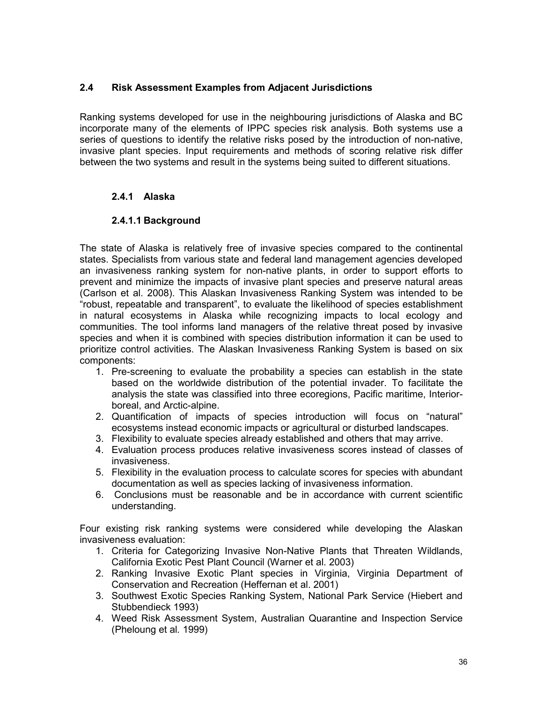# **2.4 Risk Assessment Examples from Adjacent Jurisdictions**

Ranking systems developed for use in the neighbouring jurisdictions of Alaska and BC incorporate many of the elements of IPPC species risk analysis. Both systems use a series of questions to identify the relative risks posed by the introduction of non-native, invasive plant species. Input requirements and methods of scoring relative risk differ between the two systems and result in the systems being suited to different situations.

# **2.4.1 Alaska**

# **2.4.1.1 Background**

The state of Alaska is relatively free of invasive species compared to the continental states. Specialists from various state and federal land management agencies developed an invasiveness ranking system for non-native plants, in order to support efforts to prevent and minimize the impacts of invasive plant species and preserve natural areas (Carlson et al. 2008). This Alaskan Invasiveness Ranking System was intended to be "robust, repeatable and transparent", to evaluate the likelihood of species establishment in natural ecosystems in Alaska while recognizing impacts to local ecology and communities. The tool informs land managers of the relative threat posed by invasive species and when it is combined with species distribution information it can be used to prioritize control activities. The Alaskan Invasiveness Ranking System is based on six components:

- 1. Pre-screening to evaluate the probability a species can establish in the state based on the worldwide distribution of the potential invader. To facilitate the analysis the state was classified into three ecoregions, Pacific maritime, Interiorboreal, and Arctic-alpine.
- 2. Quantification of impacts of species introduction will focus on "natural" ecosystems instead economic impacts or agricultural or disturbed landscapes.
- 3. Flexibility to evaluate species already established and others that may arrive.
- 4. Evaluation process produces relative invasiveness scores instead of classes of invasiveness.
- 5. Flexibility in the evaluation process to calculate scores for species with abundant documentation as well as species lacking of invasiveness information.
- 6. Conclusions must be reasonable and be in accordance with current scientific understanding.

Four existing risk ranking systems were considered while developing the Alaskan invasiveness evaluation:

- 1. Criteria for Categorizing Invasive Non-Native Plants that Threaten Wildlands, California Exotic Pest Plant Council (Warner et al. 2003)
- 2. Ranking Invasive Exotic Plant species in Virginia, Virginia Department of Conservation and Recreation (Heffernan et al. 2001)
- 3. Southwest Exotic Species Ranking System, National Park Service (Hiebert and Stubbendieck 1993)
- 4. Weed Risk Assessment System, Australian Quarantine and Inspection Service (Pheloung et al*.* 1999)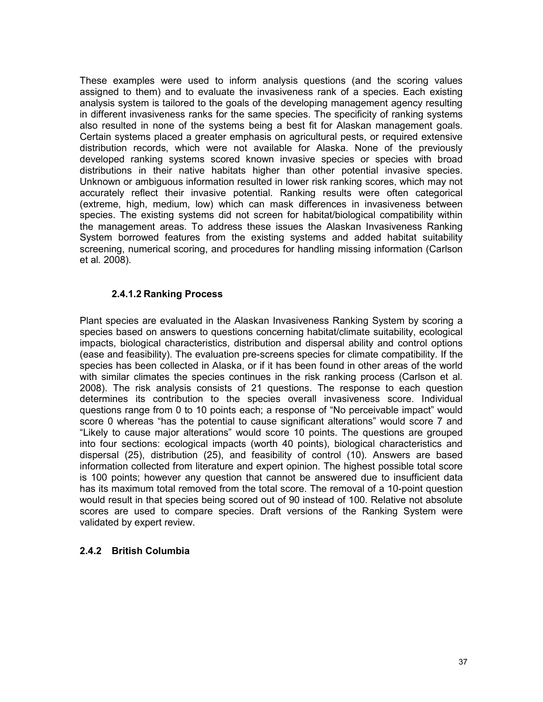These examples were used to inform analysis questions (and the scoring values assigned to them) and to evaluate the invasiveness rank of a species. Each existing analysis system is tailored to the goals of the developing management agency resulting in different invasiveness ranks for the same species. The specificity of ranking systems also resulted in none of the systems being a best fit for Alaskan management goals. Certain systems placed a greater emphasis on agricultural pests, or required extensive distribution records, which were not available for Alaska. None of the previously developed ranking systems scored known invasive species or species with broad distributions in their native habitats higher than other potential invasive species. Unknown or ambiguous information resulted in lower risk ranking scores, which may not accurately reflect their invasive potential. Ranking results were often categorical (extreme, high, medium, low) which can mask differences in invasiveness between species. The existing systems did not screen for habitat/biological compatibility within the management areas. To address these issues the Alaskan Invasiveness Ranking System borrowed features from the existing systems and added habitat suitability screening, numerical scoring, and procedures for handling missing information (Carlson et al*.* 2008).

#### **2.4.1.2 Ranking Process**

Plant species are evaluated in the Alaskan Invasiveness Ranking System by scoring a species based on answers to questions concerning habitat/climate suitability, ecological impacts, biological characteristics, distribution and dispersal ability and control options (ease and feasibility). The evaluation pre-screens species for climate compatibility. If the species has been collected in Alaska, or if it has been found in other areas of the world with similar climates the species continues in the risk ranking process (Carlson et al*.* 2008). The risk analysis consists of 21 questions. The response to each question determines its contribution to the species overall invasiveness score. Individual questions range from 0 to 10 points each; a response of "No perceivable impact" would score 0 whereas "has the potential to cause significant alterations" would score 7 and "Likely to cause major alterations" would score 10 points. The questions are grouped into four sections: ecological impacts (worth 40 points), biological characteristics and dispersal (25), distribution (25), and feasibility of control (10). Answers are based information collected from literature and expert opinion. The highest possible total score is 100 points; however any question that cannot be answered due to insufficient data has its maximum total removed from the total score. The removal of a 10-point question would result in that species being scored out of 90 instead of 100. Relative not absolute scores are used to compare species. Draft versions of the Ranking System were validated by expert review.

# **2.4.2 British Columbia**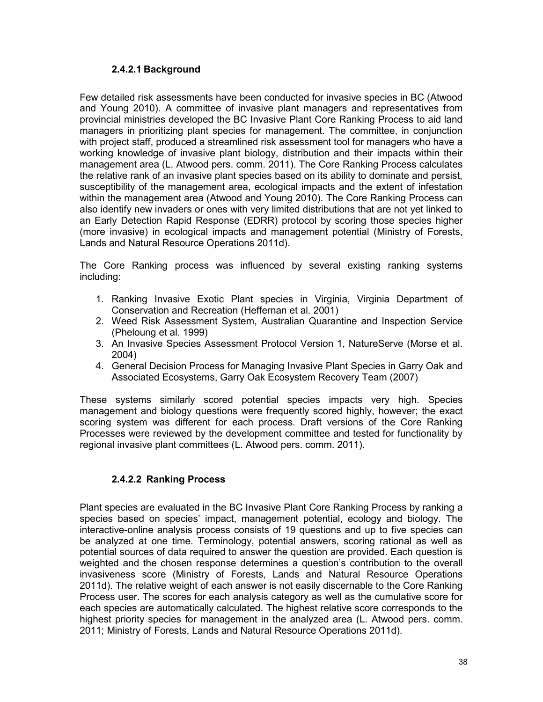## **2.4.2.1 Background**

Few detailed risk assessments have been conducted for invasive species in BC (Atwood and Young 2010). A committee of invasive plant managers and representatives from provincial ministries developed the BC Invasive Plant Core Ranking Process to aid land managers in prioritizing plant species for management. The committee, in conjunction with project staff, produced a streamlined risk assessment tool for managers who have a working knowledge of invasive plant biology, distribution and their impacts within their management area (L. Atwood pers. comm. 2011). The Core Ranking Process calculates the relative rank of an invasive plant species based on its ability to dominate and persist, susceptibility of the management area, ecological impacts and the extent of infestation within the management area (Atwood and Young 2010). The Core Ranking Process can also identify new invaders or ones with very limited distributions that are not yet linked to an Early Detection Rapid Response (EDRR) protocol by scoring those species higher (more invasive) in ecological impacts and management potential (Ministry of Forests, Lands and Natural Resource Operations 2011d).

The Core Ranking process was influenced by several existing ranking systems including:

- 1. Ranking Invasive Exotic Plant species in Virginia, Virginia Department of Conservation and Recreation (Heffernan et al*.* 2001)
- 2. Weed Risk Assessment System, Australian Quarantine and Inspection Service (Pheloung et al*.* 1999)
- 3. An Invasive Species Assessment Protocol Version 1, NatureServe (Morse et al. 2004)
- 4. General Decision Process for Managing Invasive Plant Species in Garry Oak and Associated Ecosystems, Garry Oak Ecosystem Recovery Team (2007)

These systems similarly scored potential species impacts very high. Species management and biology questions were frequently scored highly, however; the exact scoring system was different for each process. Draft versions of the Core Ranking Processes were reviewed by the development committee and tested for functionality by regional invasive plant committees (L. Atwood pers. comm. 2011).

# **2.4.2.2 Ranking Process**

Plant species are evaluated in the BC Invasive Plant Core Ranking Process by ranking a species based on species' impact, management potential, ecology and biology. The interactive-online analysis process consists of 19 questions and up to five species can be analyzed at one time. Terminology, potential answers, scoring rational as well as potential sources of data required to answer the question are provided. Each question is weighted and the chosen response determines a question's contribution to the overall invasiveness score (Ministry of Forests, Lands and Natural Resource Operations 2011d). The relative weight of each answer is not easily discernable to the Core Ranking Process user. The scores for each analysis category as well as the cumulative score for each species are automatically calculated. The highest relative score corresponds to the highest priority species for management in the analyzed area (L. Atwood pers. comm. 2011; Ministry of Forests, Lands and Natural Resource Operations 2011d).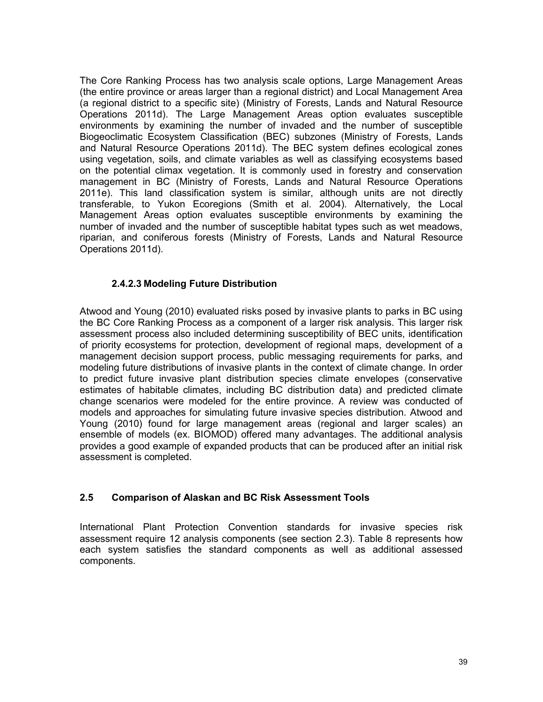The Core Ranking Process has two analysis scale options, Large Management Areas (the entire province or areas larger than a regional district) and Local Management Area (a regional district to a specific site) (Ministry of Forests, Lands and Natural Resource Operations 2011d). The Large Management Areas option evaluates susceptible environments by examining the number of invaded and the number of susceptible Biogeoclimatic Ecosystem Classification (BEC) subzones (Ministry of Forests, Lands and Natural Resource Operations 2011d). The BEC system defines ecological zones using vegetation, soils, and climate variables as well as classifying ecosystems based on the potential climax vegetation. It is commonly used in forestry and conservation management in BC (Ministry of Forests, Lands and Natural Resource Operations 2011e). This land classification system is similar, although units are not directly transferable, to Yukon Ecoregions (Smith et al. 2004). Alternatively, the Local Management Areas option evaluates susceptible environments by examining the number of invaded and the number of susceptible habitat types such as wet meadows, riparian, and coniferous forests (Ministry of Forests, Lands and Natural Resource Operations 2011d).

## **2.4.2.3 Modeling Future Distribution**

Atwood and Young (2010) evaluated risks posed by invasive plants to parks in BC using the BC Core Ranking Process as a component of a larger risk analysis. This larger risk assessment process also included determining susceptibility of BEC units, identification of priority ecosystems for protection, development of regional maps, development of a management decision support process, public messaging requirements for parks, and modeling future distributions of invasive plants in the context of climate change. In order to predict future invasive plant distribution species climate envelopes (conservative estimates of habitable climates, including BC distribution data) and predicted climate change scenarios were modeled for the entire province. A review was conducted of models and approaches for simulating future invasive species distribution. Atwood and Young (2010) found for large management areas (regional and larger scales) an ensemble of models (ex. BIOMOD) offered many advantages. The additional analysis provides a good example of expanded products that can be produced after an initial risk assessment is completed.

#### **2.5 Comparison of Alaskan and BC Risk Assessment Tools**

International Plant Protection Convention standards for invasive species risk assessment require 12 analysis components (see section 2.3). Table 8 represents how each system satisfies the standard components as well as additional assessed components.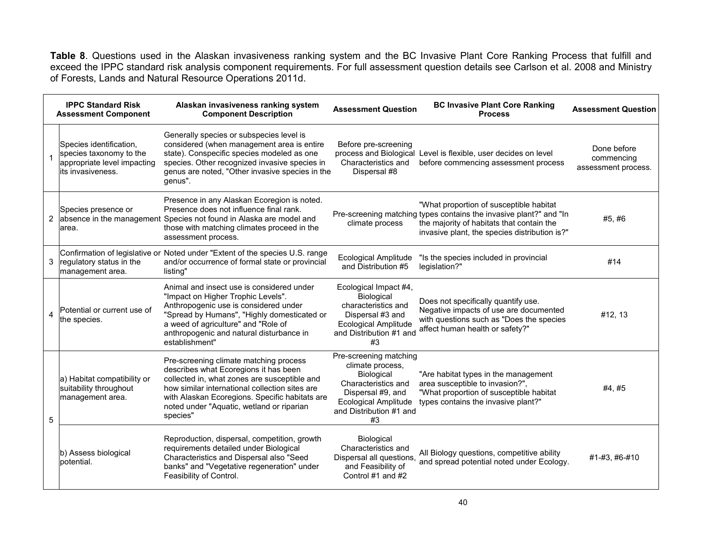**Table 8**. Questions used in the Alaskan invasiveness ranking system and the BC Invasive Plant Core Ranking Process that fulfill and exceed the IPPC standard risk analysis component requirements. For full assessment question details see Carlson et al*.* 2008 and Ministry of Forests, Lands and Natural Resource Operations 2011d.

|                | <b>IPPC Standard Risk</b><br><b>Assessment Component</b>                                                | Alaskan invasiveness ranking system<br><b>Component Description</b>                                                                                                                                                                                                                          | <b>Assessment Question</b>                                                                                                                                                  | <b>BC Invasive Plant Core Ranking</b><br><b>Process</b>                                                                                                                                                     | <b>Assessment Question</b>                       |
|----------------|---------------------------------------------------------------------------------------------------------|----------------------------------------------------------------------------------------------------------------------------------------------------------------------------------------------------------------------------------------------------------------------------------------------|-----------------------------------------------------------------------------------------------------------------------------------------------------------------------------|-------------------------------------------------------------------------------------------------------------------------------------------------------------------------------------------------------------|--------------------------------------------------|
|                | Species identification,<br>species taxonomy to the<br>appropriate level impacting<br>lits invasiveness. | Generally species or subspecies level is<br>considered (when management area is entire<br>state). Conspecific species modeled as one<br>species. Other recognized invasive species in<br>genus are noted, "Other invasive species in the<br>genus".                                          | Before pre-screening<br>Characteristics and<br>Dispersal #8                                                                                                                 | process and Biological Level is flexible, user decides on level<br>before commencing assessment process                                                                                                     | Done before<br>commencing<br>assessment process. |
|                | Species presence or<br>2 absence in the management<br>larea.                                            | Presence in any Alaskan Ecoregion is noted.<br>Presence does not influence final rank.<br>Species not found in Alaska are model and<br>those with matching climates proceed in the<br>assessment process.                                                                                    | climate process                                                                                                                                                             | "What proportion of susceptible habitat<br>Pre-screening matching types contains the invasive plant?" and "In<br>the majority of habitats that contain the<br>invasive plant, the species distribution is?" | #5,#6                                            |
|                | 3 regulatory status in the<br>management area.                                                          | Confirmation of legislative or Noted under "Extent of the species U.S. range<br>and/or occurrence of formal state or provincial<br>listing"                                                                                                                                                  | <b>Ecological Amplitude</b><br>and Distribution #5                                                                                                                          | "Is the species included in provincial<br>legislation?"                                                                                                                                                     | #14                                              |
| $\overline{4}$ | Potential or current use of<br>the species.                                                             | Animal and insect use is considered under<br>"Impact on Higher Trophic Levels".<br>Anthropogenic use is considered under<br>"Spread by Humans", "Highly domesticated or<br>a weed of agriculture" and "Role of<br>anthropogenic and natural disturbance in<br>establishment"                 | Ecological Impact #4,<br>Biological<br>characteristics and<br>Dispersal #3 and<br><b>Ecological Amplitude</b><br>and Distribution #1 and<br>#3                              | Does not specifically quantify use.<br>Negative impacts of use are documented<br>with questions such as "Does the species<br>affect human health or safety?"                                                | #12, 13                                          |
| 5              | a) Habitat compatibility or<br>suitability throughout<br>management area.                               | Pre-screening climate matching process<br>describes what Ecoregions it has been<br>collected in, what zones are susceptible and<br>how similar international collection sites are<br>with Alaskan Ecoregions. Specific habitats are<br>noted under "Aquatic, wetland or riparian<br>species" | Pre-screening matching<br>climate process,<br><b>Biological</b><br>Characteristics and<br>Dispersal #9, and<br><b>Ecological Amplitude</b><br>and Distribution #1 and<br>#3 | "Are habitat types in the management<br>area susceptible to invasion?",<br>"What proportion of susceptible habitat<br>types contains the invasive plant?"                                                   | #4.#5                                            |
|                | b) Assess biological<br>potential.                                                                      | Reproduction, dispersal, competition, growth<br>requirements detailed under Biological<br>Characteristics and Dispersal also "Seed<br>banks" and "Vegetative regeneration" under<br>Feasibility of Control.                                                                                  | <b>Biological</b><br>Characteristics and<br>Dispersal all questions,<br>and Feasibility of<br>Control #1 and #2                                                             | All Biology questions, competitive ability<br>and spread potential noted under Ecology.                                                                                                                     | #1-#3. #6-#10                                    |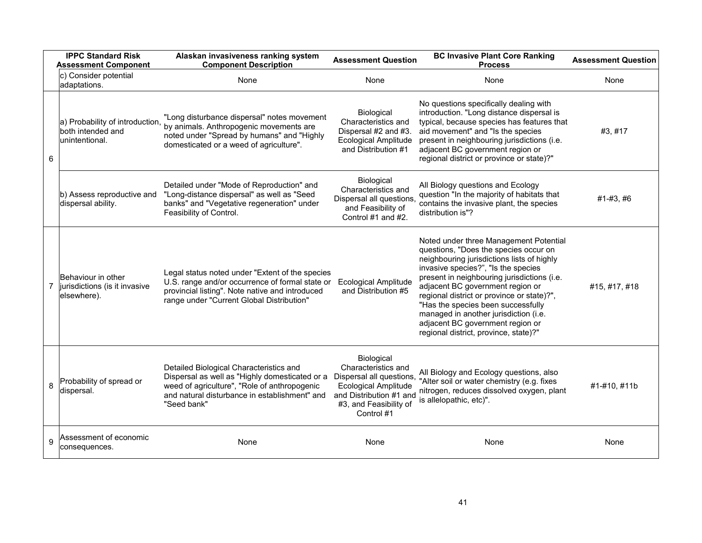|                | <b>IPPC Standard Risk</b><br><b>Assessment Component</b>                | Alaskan invasiveness ranking system<br><b>Component Description</b>                                                                                                                                       | <b>Assessment Question</b>                                                                                                                                      | <b>BC Invasive Plant Core Ranking</b><br><b>Process</b>                                                                                                                                                                                                                                                                                                                                                                                                           | <b>Assessment Question</b> |
|----------------|-------------------------------------------------------------------------|-----------------------------------------------------------------------------------------------------------------------------------------------------------------------------------------------------------|-----------------------------------------------------------------------------------------------------------------------------------------------------------------|-------------------------------------------------------------------------------------------------------------------------------------------------------------------------------------------------------------------------------------------------------------------------------------------------------------------------------------------------------------------------------------------------------------------------------------------------------------------|----------------------------|
|                | c) Consider potential<br>adaptations.                                   | None                                                                                                                                                                                                      | None                                                                                                                                                            | None                                                                                                                                                                                                                                                                                                                                                                                                                                                              | None                       |
| 6              | a) Probability of introduction,<br>both intended and<br>lunintentional. | "Long disturbance dispersal" notes movement<br>by animals. Anthropogenic movements are<br>noted under "Spread by humans" and "Highly<br>domesticated or a weed of agriculture".                           | Biological<br>Characteristics and<br>Dispersal #2 and #3.<br><b>Ecological Amplitude</b><br>and Distribution #1                                                 | No questions specifically dealing with<br>introduction. "Long distance dispersal is<br>typical, because species has features that<br>aid movement" and "Is the species<br>present in neighbouring jurisdictions (i.e.<br>adjacent BC government region or<br>regional district or province or state)?"                                                                                                                                                            | #3, #17                    |
|                | b) Assess reproductive and<br>dispersal ability.                        | Detailed under "Mode of Reproduction" and<br>"Long-distance dispersal" as well as "Seed<br>banks" and "Vegetative regeneration" under<br>Feasibility of Control.                                          | Biological<br>Characteristics and<br>Dispersal all questions.<br>and Feasibility of<br>Control #1 and #2.                                                       | All Biology questions and Ecology<br>question "In the majority of habitats that<br>contains the invasive plant, the species<br>distribution is"?                                                                                                                                                                                                                                                                                                                  | #1-#3, #6                  |
| $\overline{7}$ | Behaviour in other<br>jurisdictions (is it invasive<br>elsewhere).      | Legal status noted under "Extent of the species<br>U.S. range and/or occurrence of formal state or<br>provincial listing". Note native and introduced<br>range under "Current Global Distribution"        | <b>Ecological Amplitude</b><br>and Distribution #5                                                                                                              | Noted under three Management Potential<br>questions, "Does the species occur on<br>neighbouring jurisdictions lists of highly<br>invasive species?", "Is the species<br>present in neighbouring jurisdictions (i.e.<br>adjacent BC government region or<br>regional district or province or state)?",<br>"Has the species been successfully<br>managed in another jurisdiction (i.e.<br>adjacent BC government region or<br>regional district, province, state)?" | #15, #17, #18              |
| 8              | Probability of spread or<br>dispersal.                                  | Detailed Biological Characteristics and<br>Dispersal as well as "Highly domesticated or a<br>weed of agriculture", "Role of anthropogenic<br>and natural disturbance in establishment" and<br>"Seed bank" | Biological<br>Characteristics and<br>Dispersal all questions,<br><b>Ecological Amplitude</b><br>and Distribution #1 and<br>#3, and Feasibility of<br>Control #1 | All Biology and Ecology questions, also<br>"Alter soil or water chemistry (e.g. fixes<br>nitrogen, reduces dissolved oxygen, plant<br>is allelopathic, etc)".                                                                                                                                                                                                                                                                                                     | #1-#10, #11b               |
| 9              | Assessment of economic<br>consequences.                                 | None                                                                                                                                                                                                      | None                                                                                                                                                            | None                                                                                                                                                                                                                                                                                                                                                                                                                                                              | None                       |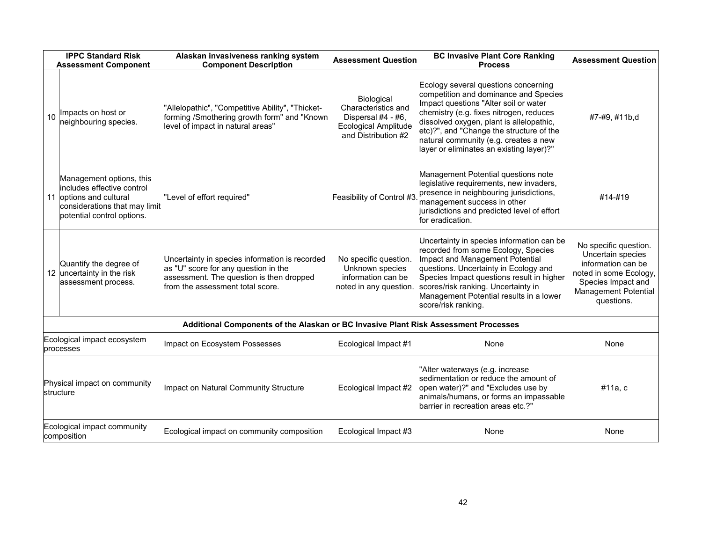|                                                                                                           | <b>IPPC Standard Risk</b><br><b>Assessment Component</b>                                                                                          | Alaskan invasiveness ranking system<br><b>Component Description</b>                                                                                                    | <b>Assessment Question</b>                                                                                    | <b>BC Invasive Plant Core Ranking</b><br><b>Process</b>                                                                                                                                                                                                                                                                                        | <b>Assessment Question</b>                                                                                                                                    |
|-----------------------------------------------------------------------------------------------------------|---------------------------------------------------------------------------------------------------------------------------------------------------|------------------------------------------------------------------------------------------------------------------------------------------------------------------------|---------------------------------------------------------------------------------------------------------------|------------------------------------------------------------------------------------------------------------------------------------------------------------------------------------------------------------------------------------------------------------------------------------------------------------------------------------------------|---------------------------------------------------------------------------------------------------------------------------------------------------------------|
| 10                                                                                                        | Impacts on host or<br>neighbouring species.                                                                                                       | "Allelopathic", "Competitive Ability", "Thicket-<br>forming /Smothering growth form" and "Known<br>level of impact in natural areas"                                   | Biological<br>Characteristics and<br>Dispersal #4 - #6,<br><b>Ecological Amplitude</b><br>and Distribution #2 | Ecology several questions concerning<br>competition and dominance and Species<br>Impact questions "Alter soil or water<br>chemistry (e.g. fixes nitrogen, reduces<br>dissolved oxygen, plant is allelopathic,<br>etc)?", and "Change the structure of the<br>natural community (e.g. creates a new<br>layer or eliminates an existing layer)?" | #7-#9, #11b,d                                                                                                                                                 |
|                                                                                                           | Management options, this<br>includes effective control<br>11 loptions and cultural<br>considerations that may limit<br>potential control options. | "Level of effort required"                                                                                                                                             | Feasibility of Control #3                                                                                     | Management Potential questions note<br>legislative requirements, new invaders,<br>presence in neighbouring jurisdictions,<br>management success in other<br>jurisdictions and predicted level of effort<br>for eradication.                                                                                                                    | #14-#19                                                                                                                                                       |
|                                                                                                           | Quantify the degree of<br>12 uncertainty in the risk<br>assessment process.                                                                       | Uncertainty in species information is recorded<br>as "U" score for any question in the<br>assessment. The question is then dropped<br>from the assessment total score. | No specific question.<br>Unknown species<br>information can be<br>noted in any question.                      | Uncertainty in species information can be.<br>recorded from some Ecology, Species<br>Impact and Management Potential<br>questions. Uncertainty in Ecology and<br>Species Impact questions result in higher<br>scores/risk ranking. Uncertainty in<br>Management Potential results in a lower<br>score/risk ranking.                            | No specific question.<br>Uncertain species<br>information can be<br>noted in some Ecology,<br>Species Impact and<br><b>Management Potential</b><br>questions. |
| Additional Components of the Alaskan or BC Invasive Plant Risk Assessment Processes                       |                                                                                                                                                   |                                                                                                                                                                        |                                                                                                               |                                                                                                                                                                                                                                                                                                                                                |                                                                                                                                                               |
| Ecological impact ecosystem<br>Impact on Ecosystem Possesses<br>Ecological Impact #1<br>None<br>processes |                                                                                                                                                   | None                                                                                                                                                                   |                                                                                                               |                                                                                                                                                                                                                                                                                                                                                |                                                                                                                                                               |
| Physical impact on community<br>structure                                                                 |                                                                                                                                                   | Impact on Natural Community Structure                                                                                                                                  | Ecological Impact #2                                                                                          | "Alter waterways (e.g. increase<br>sedimentation or reduce the amount of<br>open water)?" and "Excludes use by<br>animals/humans, or forms an impassable<br>barrier in recreation areas etc.?"                                                                                                                                                 | #11a, c                                                                                                                                                       |
| Ecological impact community<br>composition                                                                |                                                                                                                                                   | Ecological impact on community composition                                                                                                                             | Ecological Impact #3                                                                                          | None                                                                                                                                                                                                                                                                                                                                           | None                                                                                                                                                          |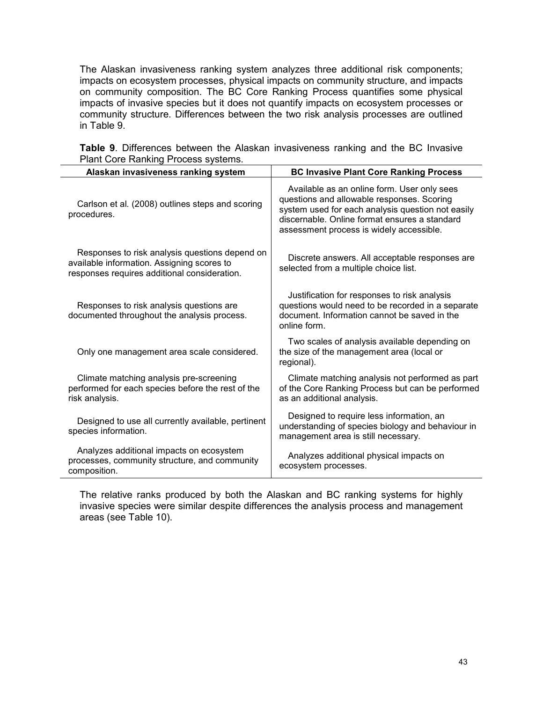The Alaskan invasiveness ranking system analyzes three additional risk components; impacts on ecosystem processes, physical impacts on community structure, and impacts on community composition. The BC Core Ranking Process quantifies some physical impacts of invasive species but it does not quantify impacts on ecosystem processes or community structure. Differences between the two risk analysis processes are outlined in Table 9.

| Alaskan invasiveness ranking system                                                                                                          | <b>BC Invasive Plant Core Ranking Process</b>                                                                                                                                                                                               |
|----------------------------------------------------------------------------------------------------------------------------------------------|---------------------------------------------------------------------------------------------------------------------------------------------------------------------------------------------------------------------------------------------|
| Carlson et al. (2008) outlines steps and scoring<br>procedures.                                                                              | Available as an online form. User only sees<br>questions and allowable responses. Scoring<br>system used for each analysis question not easily<br>discernable. Online format ensures a standard<br>assessment process is widely accessible. |
| Responses to risk analysis questions depend on<br>available information. Assigning scores to<br>responses requires additional consideration. | Discrete answers. All acceptable responses are<br>selected from a multiple choice list.                                                                                                                                                     |
| Responses to risk analysis questions are<br>documented throughout the analysis process.                                                      | Justification for responses to risk analysis<br>questions would need to be recorded in a separate<br>document. Information cannot be saved in the<br>online form.                                                                           |
| Only one management area scale considered.                                                                                                   | Two scales of analysis available depending on<br>the size of the management area (local or<br>regional).                                                                                                                                    |
| Climate matching analysis pre-screening<br>performed for each species before the rest of the<br>risk analysis.                               | Climate matching analysis not performed as part<br>of the Core Ranking Process but can be performed<br>as an additional analysis.                                                                                                           |
| Designed to use all currently available, pertinent<br>species information.                                                                   | Designed to require less information, an<br>understanding of species biology and behaviour in<br>management area is still necessary.                                                                                                        |
| Analyzes additional impacts on ecosystem<br>processes, community structure, and community<br>composition.                                    | Analyzes additional physical impacts on<br>ecosystem processes.                                                                                                                                                                             |

**Table 9**. Differences between the Alaskan invasiveness ranking and the BC Invasive Plant Core Ranking Process systems.

The relative ranks produced by both the Alaskan and BC ranking systems for highly invasive species were similar despite differences the analysis process and management areas (see Table 10).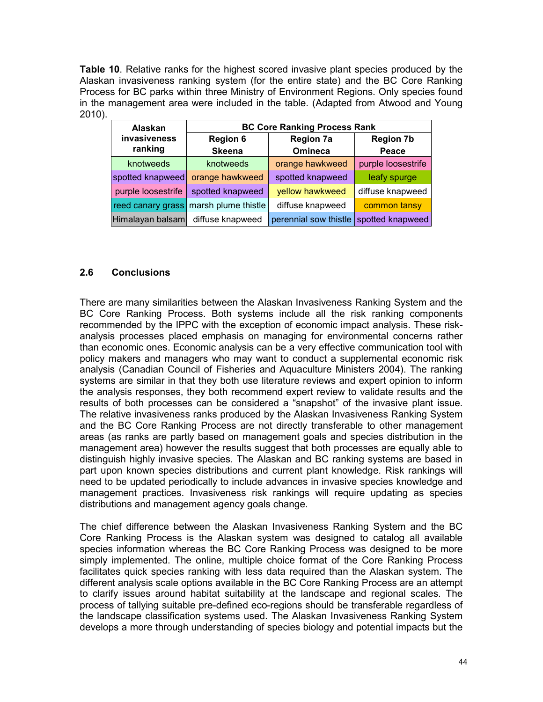**Table 10**. Relative ranks for the highest scored invasive plant species produced by the Alaskan invasiveness ranking system (for the entire state) and the BC Core Ranking Process for BC parks within three Ministry of Environment Regions. Only species found in the management area were included in the table. (Adapted from Atwood and Young 2010).

| Alaskan            | <b>BC Core Ranking Process Rank</b>     |                       |                    |  |
|--------------------|-----------------------------------------|-----------------------|--------------------|--|
| invasiveness       | <b>Region 6</b>                         | <b>Region 7a</b>      | <b>Region 7b</b>   |  |
| ranking            | <b>Skeena</b>                           | <b>Omineca</b>        | Peace              |  |
| knotweeds          | knotweeds                               | orange hawkweed       | purple loosestrife |  |
| spotted knapweed   | orange hawkweed                         | spotted knapweed      | leafy spurge       |  |
| purple loosestrife | spotted knapweed                        | yellow hawkweed       | diffuse knapweed   |  |
|                    | reed canary grass   marsh plume thistle | diffuse knapweed      | common tansy       |  |
| Himalayan balsam   | diffuse knapweed                        | perennial sow thistle | spotted knapweed   |  |

## **2.6 Conclusions**

There are many similarities between the Alaskan Invasiveness Ranking System and the BC Core Ranking Process. Both systems include all the risk ranking components recommended by the IPPC with the exception of economic impact analysis. These riskanalysis processes placed emphasis on managing for environmental concerns rather than economic ones. Economic analysis can be a very effective communication tool with policy makers and managers who may want to conduct a supplemental economic risk analysis (Canadian Council of Fisheries and Aquaculture Ministers 2004). The ranking systems are similar in that they both use literature reviews and expert opinion to inform the analysis responses, they both recommend expert review to validate results and the results of both processes can be considered a "snapshot" of the invasive plant issue. The relative invasiveness ranks produced by the Alaskan Invasiveness Ranking System and the BC Core Ranking Process are not directly transferable to other management areas (as ranks are partly based on management goals and species distribution in the management area) however the results suggest that both processes are equally able to distinguish highly invasive species. The Alaskan and BC ranking systems are based in part upon known species distributions and current plant knowledge. Risk rankings will need to be updated periodically to include advances in invasive species knowledge and management practices. Invasiveness risk rankings will require updating as species distributions and management agency goals change.

The chief difference between the Alaskan Invasiveness Ranking System and the BC Core Ranking Process is the Alaskan system was designed to catalog all available species information whereas the BC Core Ranking Process was designed to be more simply implemented. The online, multiple choice format of the Core Ranking Process facilitates quick species ranking with less data required than the Alaskan system. The different analysis scale options available in the BC Core Ranking Process are an attempt to clarify issues around habitat suitability at the landscape and regional scales. The process of tallying suitable pre-defined eco-regions should be transferable regardless of the landscape classification systems used. The Alaskan Invasiveness Ranking System develops a more through understanding of species biology and potential impacts but the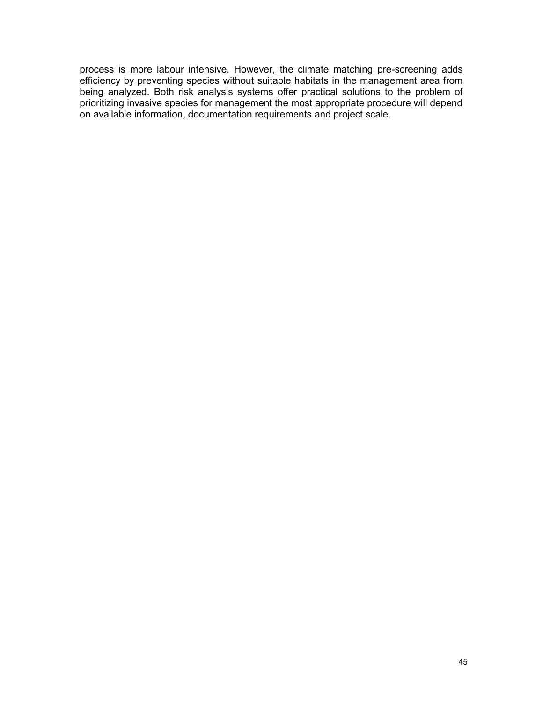process is more labour intensive. However, the climate matching pre-screening adds efficiency by preventing species without suitable habitats in the management area from being analyzed. Both risk analysis systems offer practical solutions to the problem of prioritizing invasive species for management the most appropriate procedure will depend on available information, documentation requirements and project scale.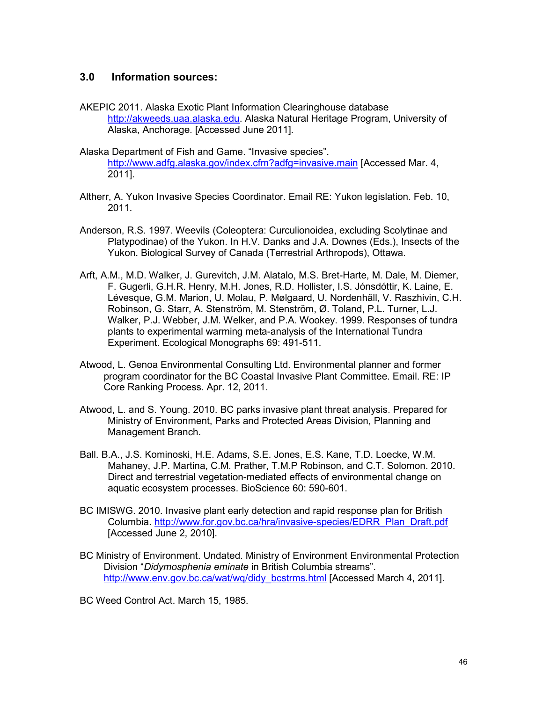## **3.0 Information sources:**

- AKEPIC 2011. Alaska Exotic Plant Information Clearinghouse database http://akweeds.uaa.alaska.edu. Alaska Natural Heritage Program, University of Alaska, Anchorage. [Accessed June 2011].
- Alaska Department of Fish and Game. "Invasive species". http://www.adfg.alaska.gov/index.cfm?adfg=invasive.main [Accessed Mar. 4, 2011].
- Altherr, A. Yukon Invasive Species Coordinator. Email RE: Yukon legislation. Feb. 10, 2011.
- Anderson, R.S. 1997. Weevils (Coleoptera: Curculionoidea, excluding Scolytinae and Platypodinae) of the Yukon. In H.V. Danks and J.A. Downes (Eds.), Insects of the Yukon. Biological Survey of Canada (Terrestrial Arthropods), Ottawa.
- Arft, A.M., M.D. Walker, J. Gurevitch, J.M. Alatalo, M.S. Bret-Harte, M. Dale, M. Diemer, F. Gugerli, G.H.R. Henry, M.H. Jones, R.D. Hollister, I.S. Jónsdóttir, K. Laine, E. Lévesque, G.M. Marion, U. Molau, P. Mølgaard, U. Nordenhäll, V. Raszhivin, C.H. Robinson, G. Starr, A. Stenström, M. Stenström, Ø. Toland, P.L. Turner, L.J. Walker, P.J. Webber, J.M. Welker, and P.A. Wookey. 1999. Responses of tundra plants to experimental warming meta-analysis of the International Tundra Experiment. Ecological Monographs 69: 491-511.
- Atwood, L. Genoa Environmental Consulting Ltd. Environmental planner and former program coordinator for the BC Coastal Invasive Plant Committee. Email. RE: IP Core Ranking Process. Apr. 12, 2011.
- Atwood, L. and S. Young. 2010. BC parks invasive plant threat analysis. Prepared for Ministry of Environment, Parks and Protected Areas Division, Planning and Management Branch.
- Ball. B.A., J.S. Kominoski, H.E. Adams, S.E. Jones, E.S. Kane, T.D. Loecke, W.M. Mahaney, J.P. Martina, C.M. Prather, T.M.P Robinson, and C.T. Solomon. 2010. Direct and terrestrial vegetation-mediated effects of environmental change on aquatic ecosystem processes. BioScience 60: 590-601.
- BC IMISWG. 2010. Invasive plant early detection and rapid response plan for British Columbia. http://www.for.gov.bc.ca/hra/invasive-species/EDRR\_Plan\_Draft.pdf [Accessed June 2, 2010].
- BC Ministry of Environment. Undated. Ministry of Environment Environmental Protection Division "*Didymosphenia eminate* in British Columbia streams". http://www.env.gov.bc.ca/wat/wq/didy\_bcstrms.html [Accessed March 4, 2011].
- BC Weed Control Act. March 15, 1985.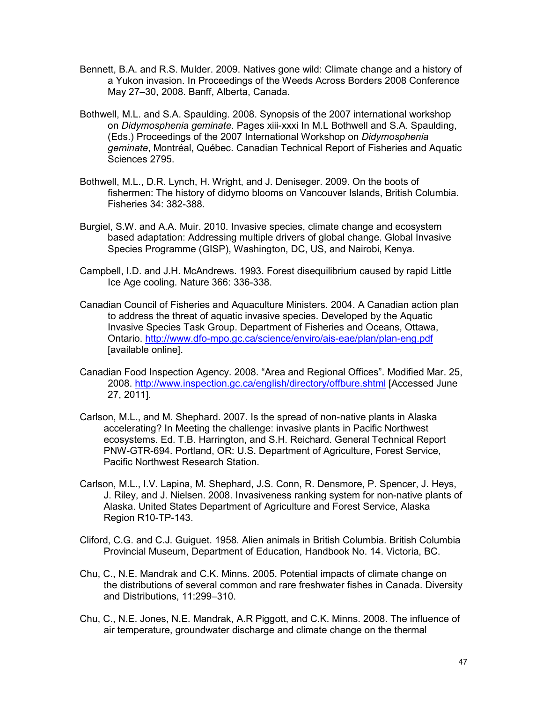- Bennett, B.A. and R.S. Mulder. 2009. Natives gone wild: Climate change and a history of a Yukon invasion. In Proceedings of the Weeds Across Borders 2008 Conference May 27–30, 2008. Banff, Alberta, Canada.
- Bothwell, M.L. and S.A. Spaulding. 2008. Synopsis of the 2007 international workshop on *Didymosphenia geminate*. Pages xiii-xxxi In M.L Bothwell and S.A. Spaulding, (Eds.) Proceedings of the 2007 International Workshop on *Didymosphenia geminate*, Montréal, Québec. Canadian Technical Report of Fisheries and Aquatic Sciences 2795.
- Bothwell, M.L., D.R. Lynch, H. Wright, and J. Deniseger. 2009. On the boots of fishermen: The history of didymo blooms on Vancouver Islands, British Columbia. Fisheries 34: 382-388.
- Burgiel, S.W. and A.A. Muir. 2010. Invasive species, climate change and ecosystem based adaptation: Addressing multiple drivers of global change. Global Invasive Species Programme (GISP), Washington, DC, US, and Nairobi, Kenya.
- Campbell, I.D. and J.H. McAndrews. 1993. Forest disequilibrium caused by rapid Little Ice Age cooling. Nature 366: 336-338.
- Canadian Council of Fisheries and Aquaculture Ministers. 2004. A Canadian action plan to address the threat of aquatic invasive species. Developed by the Aquatic Invasive Species Task Group. Department of Fisheries and Oceans, Ottawa, Ontario. http://www.dfo-mpo.gc.ca/science/enviro/ais-eae/plan/plan-eng.pdf [available online].
- Canadian Food Inspection Agency. 2008. "Area and Regional Offices". Modified Mar. 25, 2008. http://www.inspection.gc.ca/english/directory/offbure.shtml [Accessed June 27, 2011].
- Carlson, M.L., and M. Shephard. 2007. Is the spread of non-native plants in Alaska accelerating? In Meeting the challenge: invasive plants in Pacific Northwest ecosystems. Ed. T.B. Harrington, and S.H. Reichard. General Technical Report PNW-GTR-694. Portland, OR: U.S. Department of Agriculture, Forest Service, Pacific Northwest Research Station.
- Carlson, M.L., I.V. Lapina, M. Shephard, J.S. Conn, R. Densmore, P. Spencer, J. Heys, J. Riley, and J. Nielsen. 2008. Invasiveness ranking system for non-native plants of Alaska. United States Department of Agriculture and Forest Service, Alaska Region R10-TP-143.
- Cliford, C.G. and C.J. Guiguet. 1958. Alien animals in British Columbia*.* British Columbia Provincial Museum, Department of Education, Handbook No. 14. Victoria, BC.
- Chu, C., N.E. Mandrak and C.K. Minns. 2005. Potential impacts of climate change on the distributions of several common and rare freshwater fishes in Canada. Diversity and Distributions, 11:299–310.
- Chu, C., N.E. Jones, N.E. Mandrak, A.R Piggott, and C.K. Minns. 2008. The influence of air temperature, groundwater discharge and climate change on the thermal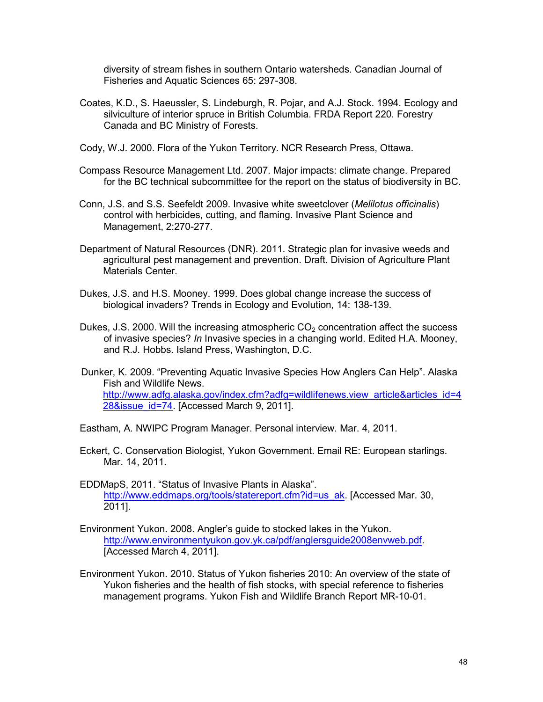diversity of stream fishes in southern Ontario watersheds. Canadian Journal of Fisheries and Aquatic Sciences 65: 297-308.

- Coates, K.D., S. Haeussler, S. Lindeburgh, R. Pojar, and A.J. Stock. 1994. Ecology and silviculture of interior spruce in British Columbia. FRDA Report 220. Forestry Canada and BC Ministry of Forests.
- Cody, W.J. 2000. Flora of the Yukon Territory. NCR Research Press, Ottawa.
- Compass Resource Management Ltd. 2007. Major impacts: climate change. Prepared for the BC technical subcommittee for the report on the status of biodiversity in BC.
- Conn, J.S. and S.S. Seefeldt 2009. Invasive white sweetclover (*Melilotus officinalis*) control with herbicides, cutting, and flaming. Invasive Plant Science and Management, 2:270-277.
- Department of Natural Resources (DNR). 2011. Strategic plan for invasive weeds and agricultural pest management and prevention. Draft. Division of Agriculture Plant Materials Center.
- Dukes, J.S. and H.S. Mooney. 1999. Does global change increase the success of biological invaders? Trends in Ecology and Evolution, 14: 138-139.
- Dukes, J.S. 2000. Will the increasing atmospheric  $CO<sub>2</sub>$  concentration affect the success of invasive species? *In* Invasive species in a changing world. Edited H.A. Mooney, and R.J. Hobbs. Island Press, Washington, D.C.
- Dunker, K. 2009. "Preventing Aquatic Invasive Species How Anglers Can Help". Alaska Fish and Wildlife News. http://www.adfg.alaska.gov/index.cfm?adfg=wildlifenews.view\_article&articles\_id=4 28&issue\_id=74. [Accessed March 9, 2011].
- Eastham, A. NWIPC Program Manager. Personal interview. Mar. 4, 2011.
- Eckert, C. Conservation Biologist, Yukon Government. Email RE: European starlings. Mar. 14, 2011.
- EDDMapS, 2011. "Status of Invasive Plants in Alaska". http://www.eddmaps.org/tools/statereport.cfm?id=us\_ak. [Accessed Mar. 30, 2011].
- Environment Yukon. 2008. Angler's guide to stocked lakes in the Yukon. http://www.environmentyukon.gov.yk.ca/pdf/anglersguide2008envweb.pdf. [Accessed March 4, 2011].
- Environment Yukon. 2010. Status of Yukon fisheries 2010: An overview of the state of Yukon fisheries and the health of fish stocks, with special reference to fisheries management programs. Yukon Fish and Wildlife Branch Report MR-10-01.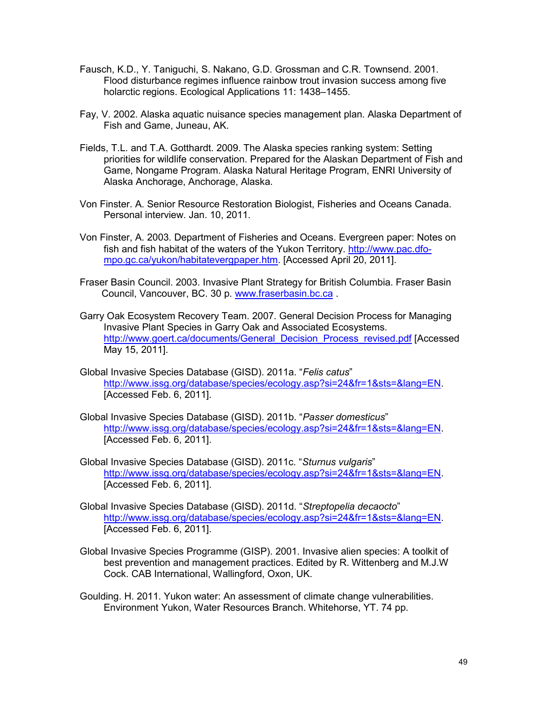- Fausch, K.D., Y. Taniguchi, S. Nakano, G.D. Grossman and C.R. Townsend. 2001. Flood disturbance regimes influence rainbow trout invasion success among five holarctic regions. Ecological Applications 11: 1438–1455.
- Fay, V. 2002. Alaska aquatic nuisance species management plan. Alaska Department of Fish and Game, Juneau, AK.
- Fields, T.L. and T.A. Gotthardt. 2009. The Alaska species ranking system: Setting priorities for wildlife conservation. Prepared for the Alaskan Department of Fish and Game, Nongame Program. Alaska Natural Heritage Program, ENRI University of Alaska Anchorage, Anchorage, Alaska.
- Von Finster. A. Senior Resource Restoration Biologist, Fisheries and Oceans Canada. Personal interview. Jan. 10, 2011.
- Von Finster, A. 2003. Department of Fisheries and Oceans. Evergreen paper: Notes on fish and fish habitat of the waters of the Yukon Territory. http://www.pac.dfompo.gc.ca/yukon/habitatevergpaper.htm. [Accessed April 20, 2011].
- Fraser Basin Council. 2003. Invasive Plant Strategy for British Columbia. Fraser Basin Council, Vancouver, BC. 30 p. www.fraserbasin.bc.ca .
- Garry Oak Ecosystem Recovery Team. 2007. General Decision Process for Managing Invasive Plant Species in Garry Oak and Associated Ecosystems. http://www.goert.ca/documents/General\_Decision\_Process\_revised.pdf [Accessed May 15, 2011].
- Global Invasive Species Database (GISD). 2011a. "*Felis catus*" http://www.issg.org/database/species/ecology.asp?si=24&fr=1&sts=&lang=EN. [Accessed Feb. 6, 2011].
- Global Invasive Species Database (GISD). 2011b. "*Passer domesticus*" http://www.issg.org/database/species/ecology.asp?si=24&fr=1&sts=&lang=EN. [Accessed Feb. 6, 2011].
- Global Invasive Species Database (GISD). 2011c. "*Sturnus vulgaris*" http://www.issg.org/database/species/ecology.asp?si=24&fr=1&sts=&lang=EN. [Accessed Feb. 6, 2011].
- Global Invasive Species Database (GISD). 2011d. "*Streptopelia decaocto*" http://www.issg.org/database/species/ecology.asp?si=24&fr=1&sts=&lang=EN. [Accessed Feb. 6, 2011].
- Global Invasive Species Programme (GISP). 2001. Invasive alien species: A toolkit of best prevention and management practices. Edited by R. Wittenberg and M.J.W Cock. CAB International, Wallingford, Oxon, UK.
- Goulding. H. 2011. Yukon water: An assessment of climate change vulnerabilities. Environment Yukon, Water Resources Branch. Whitehorse, YT. 74 pp.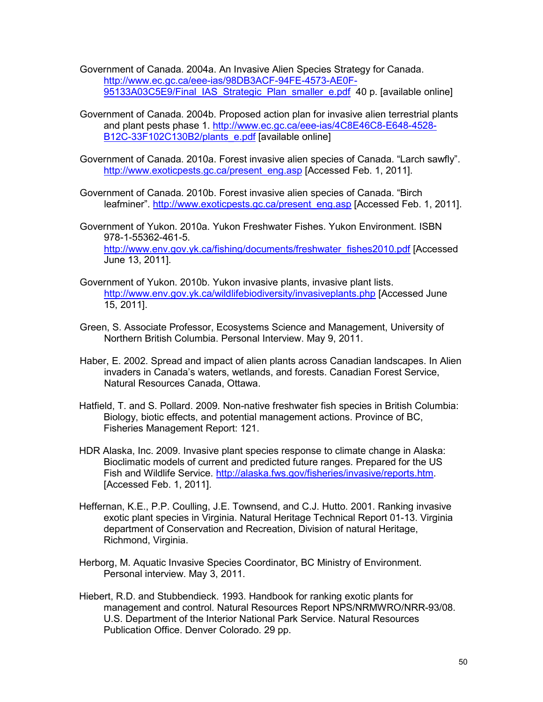Government of Canada. 2004a. An Invasive Alien Species Strategy for Canada. http://www.ec.gc.ca/eee-ias/98DB3ACF-94FE-4573-AE0F-95133A03C5E9/Final\_IAS\_Strategic\_Plan\_smaller\_e.pdf 40 p. [available online]

Government of Canada. 2004b. Proposed action plan for invasive alien terrestrial plants and plant pests phase 1. http://www.ec.gc.ca/eee-ias/4C8E46C8-E648-4528- B12C-33F102C130B2/plants\_e.pdf [available online]

Government of Canada. 2010a. Forest invasive alien species of Canada. "Larch sawfly". http://www.exoticpests.gc.ca/present\_eng.asp [Accessed Feb. 1, 2011].

- Government of Canada. 2010b. Forest invasive alien species of Canada. "Birch leafminer". http://www.exoticpests.gc.ca/present\_eng.asp [Accessed Feb. 1, 2011].
- Government of Yukon. 2010a. Yukon Freshwater Fishes. Yukon Environment. ISBN 978-1-55362-461-5. http://www.env.gov.yk.ca/fishing/documents/freshwater\_fishes2010.pdf [Accessed June 13, 2011].
- Government of Yukon. 2010b. Yukon invasive plants, invasive plant lists. http://www.env.gov.yk.ca/wildlifebiodiversity/invasiveplants.php [Accessed June 15, 2011].
- Green, S. Associate Professor, Ecosystems Science and Management, University of Northern British Columbia. Personal Interview. May 9, 2011.
- Haber, E. 2002. Spread and impact of alien plants across Canadian landscapes. In Alien invaders in Canada's waters, wetlands, and forests. Canadian Forest Service, Natural Resources Canada, Ottawa.
- Hatfield, T. and S. Pollard. 2009. Non-native freshwater fish species in British Columbia: Biology, biotic effects, and potential management actions. Province of BC, Fisheries Management Report: 121.
- HDR Alaska, Inc. 2009. Invasive plant species response to climate change in Alaska: Bioclimatic models of current and predicted future ranges. Prepared for the US Fish and Wildlife Service. http://alaska.fws.gov/fisheries/invasive/reports.htm. [Accessed Feb. 1, 2011].
- Heffernan, K.E., P.P. Coulling, J.E. Townsend, and C.J. Hutto. 2001. Ranking invasive exotic plant species in Virginia. Natural Heritage Technical Report 01-13. Virginia department of Conservation and Recreation, Division of natural Heritage, Richmond, Virginia.
- Herborg, M. Aquatic Invasive Species Coordinator, BC Ministry of Environment. Personal interview. May 3, 2011.
- Hiebert, R.D. and Stubbendieck. 1993. Handbook for ranking exotic plants for management and control. Natural Resources Report NPS/NRMWRO/NRR-93/08. U.S. Department of the Interior National Park Service. Natural Resources Publication Office. Denver Colorado. 29 pp.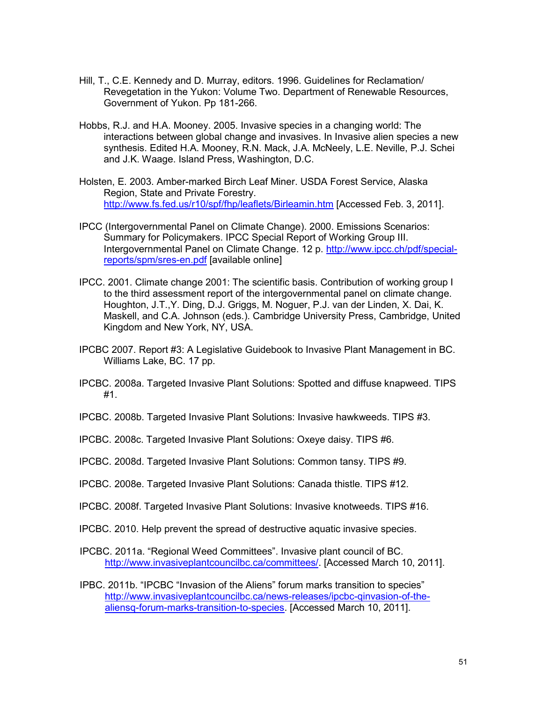- Hill, T., C.E. Kennedy and D. Murray, editors. 1996. Guidelines for Reclamation/ Revegetation in the Yukon: Volume Two. Department of Renewable Resources, Government of Yukon. Pp 181-266.
- Hobbs, R.J. and H.A. Mooney. 2005. Invasive species in a changing world: The interactions between global change and invasives. In Invasive alien species a new synthesis. Edited H.A. Mooney, R.N. Mack, J.A. McNeely, L.E. Neville, P.J. Schei and J.K. Waage. Island Press, Washington, D.C.
- Holsten, E. 2003. Amber-marked Birch Leaf Miner. USDA Forest Service, Alaska Region, State and Private Forestry. http://www.fs.fed.us/r10/spf/fhp/leaflets/Birleamin.htm [Accessed Feb. 3, 2011].
- IPCC (Intergovernmental Panel on Climate Change). 2000. Emissions Scenarios: Summary for Policymakers. IPCC Special Report of Working Group III. Intergovernmental Panel on Climate Change. 12 p. http://www.ipcc.ch/pdf/specialreports/spm/sres-en.pdf [available online]
- IPCC. 2001. Climate change 2001: The scientific basis. Contribution of working group I to the third assessment report of the intergovernmental panel on climate change. Houghton, J.T.,Y. Ding, D.J. Griggs, M. Noguer, P.J. van der Linden, X. Dai, K. Maskell, and C.A. Johnson (eds.). Cambridge University Press, Cambridge, United Kingdom and New York, NY, USA.
- IPCBC 2007. Report #3: A Legislative Guidebook to Invasive Plant Management in BC. Williams Lake, BC. 17 pp.
- IPCBC. 2008a. Targeted Invasive Plant Solutions: Spotted and diffuse knapweed. TIPS #1.
- IPCBC. 2008b. Targeted Invasive Plant Solutions: Invasive hawkweeds. TIPS #3.
- IPCBC. 2008c. Targeted Invasive Plant Solutions: Oxeye daisy. TIPS #6.
- IPCBC. 2008d. Targeted Invasive Plant Solutions: Common tansy. TIPS #9.
- IPCBC. 2008e. Targeted Invasive Plant Solutions: Canada thistle. TIPS #12.
- IPCBC. 2008f. Targeted Invasive Plant Solutions: Invasive knotweeds. TIPS #16.
- IPCBC. 2010. Help prevent the spread of destructive aquatic invasive species.
- IPCBC. 2011a. "Regional Weed Committees". Invasive plant council of BC. http://www.invasiveplantcouncilbc.ca/committees/. [Accessed March 10, 2011].
- IPBC. 2011b. "IPCBC "Invasion of the Aliens" forum marks transition to species" http://www.invasiveplantcouncilbc.ca/news-releases/ipcbc-qinvasion-of-thealiensq-forum-marks-transition-to-species. [Accessed March 10, 2011].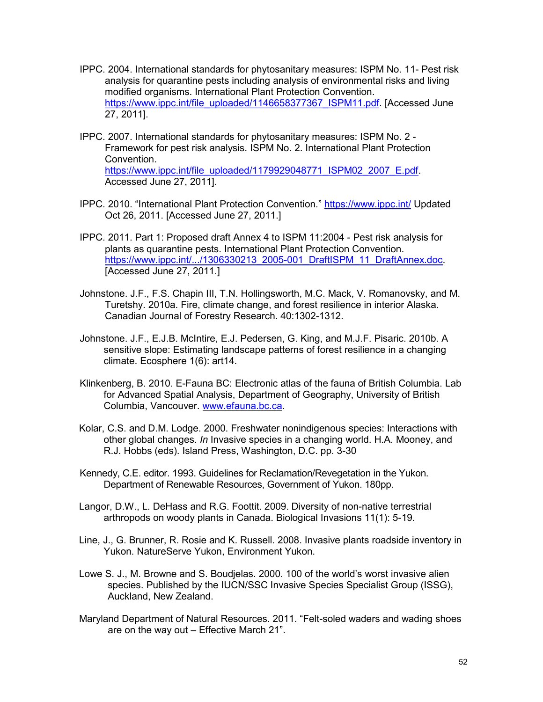- IPPC. 2004. International standards for phytosanitary measures: ISPM No. 11- Pest risk analysis for quarantine pests including analysis of environmental risks and living modified organisms. International Plant Protection Convention. https://www.ippc.int/file\_uploaded/1146658377367\_ISPM11.pdf. [Accessed June 27, 2011].
- IPPC. 2007. International standards for phytosanitary measures: ISPM No. 2 Framework for pest risk analysis. ISPM No. 2. International Plant Protection Convention. https://www.ippc.int/file\_uploaded/1179929048771\_ISPM02\_2007\_E.pdf. Accessed June 27, 2011].
- IPPC. 2010. "International Plant Protection Convention." https://www.ippc.int/ Updated Oct 26, 2011. [Accessed June 27, 2011.]
- IPPC. 2011. Part 1: Proposed draft Annex 4 to ISPM 11:2004 Pest risk analysis for plants as quarantine pests. International Plant Protection Convention. https://www.ippc.int/.../1306330213\_2005-001\_DraftISPM\_11\_DraftAnnex.doc. [Accessed June 27, 2011.]
- Johnstone. J.F., F.S. Chapin III, T.N. Hollingsworth, M.C. Mack, V. Romanovsky, and M. Turetshy. 2010a. Fire, climate change, and forest resilience in interior Alaska. Canadian Journal of Forestry Research. 40:1302-1312.
- Johnstone. J.F., E.J.B. McIntire, E.J. Pedersen, G. King, and M.J.F. Pisaric. 2010b. A sensitive slope: Estimating landscape patterns of forest resilience in a changing climate. Ecosphere 1(6): art14.
- Klinkenberg, B. 2010. E-Fauna BC: Electronic atlas of the fauna of British Columbia. Lab for Advanced Spatial Analysis, Department of Geography, University of British Columbia, Vancouver. www.efauna.bc.ca.
- Kolar, C.S. and D.M. Lodge. 2000. Freshwater nonindigenous species: Interactions with other global changes. *In* Invasive species in a changing world. H.A. Mooney, and R.J. Hobbs (eds). Island Press, Washington, D.C. pp. 3-30
- Kennedy, C.E. editor. 1993. Guidelines for Reclamation/Revegetation in the Yukon. Department of Renewable Resources, Government of Yukon. 180pp.
- Langor, D.W., L. DeHass and R.G. Foottit. 2009. Diversity of non-native terrestrial arthropods on woody plants in Canada. Biological Invasions 11(1): 5-19.
- Line, J., G. Brunner, R. Rosie and K. Russell. 2008. Invasive plants roadside inventory in Yukon. NatureServe Yukon, Environment Yukon.
- Lowe S. J., M. Browne and S. Boudjelas. 2000. 100 of the world's worst invasive alien species. Published by the IUCN/SSC Invasive Species Specialist Group (ISSG), Auckland, New Zealand.
- Maryland Department of Natural Resources. 2011. "Felt-soled waders and wading shoes are on the way out – Effective March 21".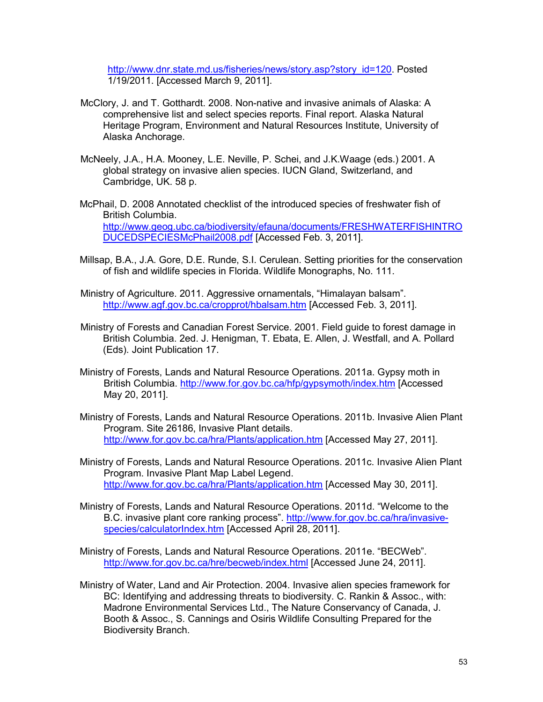http://www.dnr.state.md.us/fisheries/news/story.asp?story\_id=120. Posted 1/19/2011. [Accessed March 9, 2011].

- McClory, J. and T. Gotthardt. 2008. Non-native and invasive animals of Alaska: A comprehensive list and select species reports. Final report. Alaska Natural Heritage Program, Environment and Natural Resources Institute, University of Alaska Anchorage.
- McNeely, J.A., H.A. Mooney, L.E. Neville, P. Schei, and J.K.Waage (eds.) 2001. A global strategy on invasive alien species. IUCN Gland, Switzerland, and Cambridge, UK. 58 p.
- McPhail, D. 2008 Annotated checklist of the introduced species of freshwater fish of British Columbia. http://www.geog.ubc.ca/biodiversity/efauna/documents/FRESHWATERFISHINTRO DUCEDSPECIESMcPhail2008.pdf [Accessed Feb. 3, 2011].
- Millsap, B.A., J.A. Gore, D.E. Runde, S.I. Cerulean. Setting priorities for the conservation of fish and wildlife species in Florida. Wildlife Monographs, No. 111.
- Ministry of Agriculture. 2011. Aggressive ornamentals, "Himalayan balsam". http://www.agf.gov.bc.ca/cropprot/hbalsam.htm [Accessed Feb. 3, 2011].
- Ministry of Forests and Canadian Forest Service. 2001. Field guide to forest damage in British Columbia. 2ed. J. Henigman, T. Ebata, E. Allen, J. Westfall, and A. Pollard (Eds). Joint Publication 17.
- Ministry of Forests, Lands and Natural Resource Operations. 2011a. Gypsy moth in British Columbia. http://www.for.gov.bc.ca/hfp/gypsymoth/index.htm [Accessed May 20, 2011].
- Ministry of Forests, Lands and Natural Resource Operations. 2011b. Invasive Alien Plant Program. Site 26186, Invasive Plant details. http://www.for.gov.bc.ca/hra/Plants/application.htm [Accessed May 27, 2011].
- Ministry of Forests, Lands and Natural Resource Operations. 2011c. Invasive Alien Plant Program. Invasive Plant Map Label Legend. http://www.for.gov.bc.ca/hra/Plants/application.htm [Accessed May 30, 2011].
- Ministry of Forests, Lands and Natural Resource Operations. 2011d. "Welcome to the B.C. invasive plant core ranking process". http://www.for.gov.bc.ca/hra/invasivespecies/calculatorIndex.htm [Accessed April 28, 2011].
- Ministry of Forests, Lands and Natural Resource Operations. 2011e. "BECWeb". http://www.for.gov.bc.ca/hre/becweb/index.html [Accessed June 24, 2011].
- Ministry of Water, Land and Air Protection. 2004. Invasive alien species framework for BC: Identifying and addressing threats to biodiversity. C. Rankin & Assoc., with: Madrone Environmental Services Ltd., The Nature Conservancy of Canada, J. Booth & Assoc., S. Cannings and Osiris Wildlife Consulting Prepared for the Biodiversity Branch.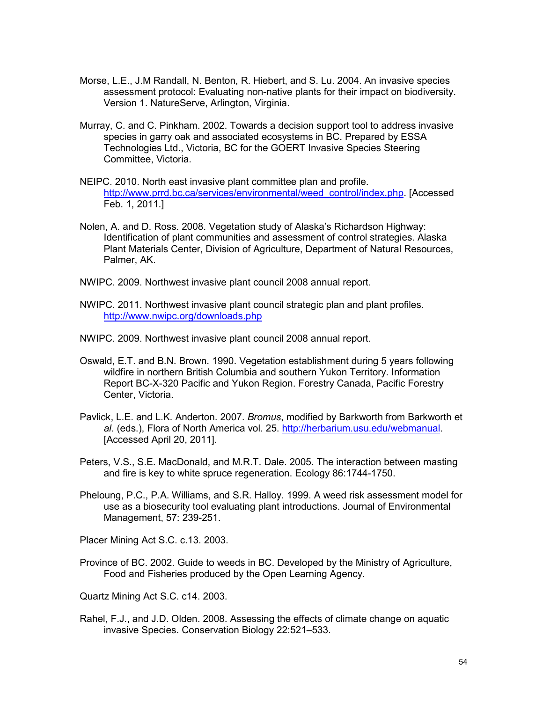- Morse, L.E., J.M Randall, N. Benton, R. Hiebert, and S. Lu. 2004. An invasive species assessment protocol: Evaluating non-native plants for their impact on biodiversity. Version 1. NatureServe, Arlington, Virginia.
- Murray, C. and C. Pinkham. 2002. Towards a decision support tool to address invasive species in garry oak and associated ecosystems in BC. Prepared by ESSA Technologies Ltd., Victoria, BC for the GOERT Invasive Species Steering Committee, Victoria.
- NEIPC. 2010. North east invasive plant committee plan and profile. http://www.prrd.bc.ca/services/environmental/weed\_control/index.php. [Accessed Feb. 1, 2011.]
- Nolen, A. and D. Ross. 2008. Vegetation study of Alaska's Richardson Highway: Identification of plant communities and assessment of control strategies. Alaska Plant Materials Center, Division of Agriculture, Department of Natural Resources, Palmer, AK.
- NWIPC. 2009. Northwest invasive plant council 2008 annual report.
- NWIPC. 2011. Northwest invasive plant council strategic plan and plant profiles. http://www.nwipc.org/downloads.php
- NWIPC. 2009. Northwest invasive plant council 2008 annual report.
- Oswald, E.T. and B.N. Brown. 1990. Vegetation establishment during 5 years following wildfire in northern British Columbia and southern Yukon Territory. Information Report BC-X-320 Pacific and Yukon Region. Forestry Canada, Pacific Forestry Center, Victoria.
- Pavlick, L.E. and L.K. Anderton. 2007. *Bromus*, modified by Barkworth from Barkworth et *al*. (eds.), Flora of North America vol. 25. http://herbarium.usu.edu/webmanual. [Accessed April 20, 2011].
- Peters, V.S., S.E. MacDonald, and M.R.T. Dale. 2005. The interaction between masting and fire is key to white spruce regeneration. Ecology 86:1744-1750.
- Pheloung, P.C., P.A. Williams, and S.R. Halloy. 1999. A weed risk assessment model for use as a biosecurity tool evaluating plant introductions. Journal of Environmental Management, 57: 239-251.

Placer Mining Act S.C. c.13. 2003.

Province of BC. 2002. Guide to weeds in BC. Developed by the Ministry of Agriculture, Food and Fisheries produced by the Open Learning Agency.

Quartz Mining Act S.C. c14. 2003.

Rahel, F.J., and J.D. Olden. 2008. Assessing the effects of climate change on aquatic invasive Species. Conservation Biology 22:521–533.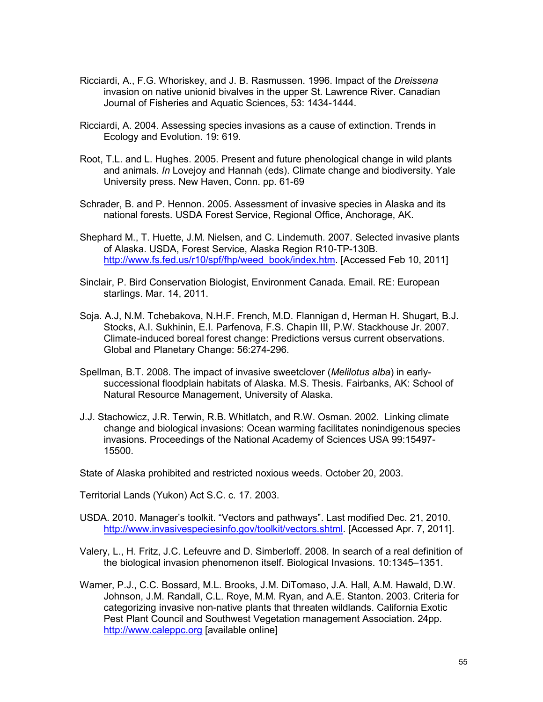- Ricciardi, A., F.G. Whoriskey, and J. B. Rasmussen. 1996. Impact of the *Dreissena* invasion on native unionid bivalves in the upper St. Lawrence River. Canadian Journal of Fisheries and Aquatic Sciences, 53: 1434-1444.
- Ricciardi, A. 2004. Assessing species invasions as a cause of extinction. Trends in Ecology and Evolution. 19: 619.
- Root, T.L. and L. Hughes. 2005. Present and future phenological change in wild plants and animals. *In* Lovejoy and Hannah (eds). Climate change and biodiversity. Yale University press. New Haven, Conn. pp. 61-69
- Schrader, B. and P. Hennon. 2005. Assessment of invasive species in Alaska and its national forests. USDA Forest Service, Regional Office, Anchorage, AK.
- Shephard M., T. Huette, J.M. Nielsen, and C. Lindemuth. 2007. Selected invasive plants of Alaska. USDA, Forest Service, Alaska Region R10-TP-130B. http://www.fs.fed.us/r10/spf/fhp/weed\_book/index.htm. [Accessed Feb 10, 2011]
- Sinclair, P. Bird Conservation Biologist, Environment Canada. Email. RE: European starlings. Mar. 14, 2011.
- Soja. A.J, N.M. Tchebakova, N.H.F. French, M.D. Flannigan d, Herman H. Shugart, B.J. Stocks, A.I. Sukhinin, E.I. Parfenova, F.S. Chapin III, P.W. Stackhouse Jr. 2007. Climate-induced boreal forest change: Predictions versus current observations. Global and Planetary Change: 56:274-296.
- Spellman, B.T. 2008. The impact of invasive sweetclover (*Melilotus alba*) in earlysuccessional floodplain habitats of Alaska. M.S. Thesis. Fairbanks, AK: School of Natural Resource Management, University of Alaska.
- J.J. Stachowicz, J.R. Terwin, R.B. Whitlatch, and R.W. Osman. 2002. Linking climate change and biological invasions: Ocean warming facilitates nonindigenous species invasions. Proceedings of the National Academy of Sciences USA 99:15497- 15500.

State of Alaska prohibited and restricted noxious weeds. October 20, 2003.

Territorial Lands (Yukon) Act S.C. c. 17. 2003.

- USDA. 2010. Manager's toolkit. "Vectors and pathways". Last modified Dec. 21, 2010. http://www.invasivespeciesinfo.gov/toolkit/vectors.shtml. [Accessed Apr. 7, 2011].
- Valery, L., H. Fritz, J.C. Lefeuvre and D. Simberloff. 2008. In search of a real definition of the biological invasion phenomenon itself. Biological Invasions. 10:1345–1351.
- Warner, P.J., C.C. Bossard, M.L. Brooks, J.M. DiTomaso, J.A. Hall, A.M. Hawald, D.W. Johnson, J.M. Randall, C.L. Roye, M.M. Ryan, and A.E. Stanton. 2003. Criteria for categorizing invasive non-native plants that threaten wildlands. California Exotic Pest Plant Council and Southwest Vegetation management Association. 24pp. http://www.caleppc.org [available online]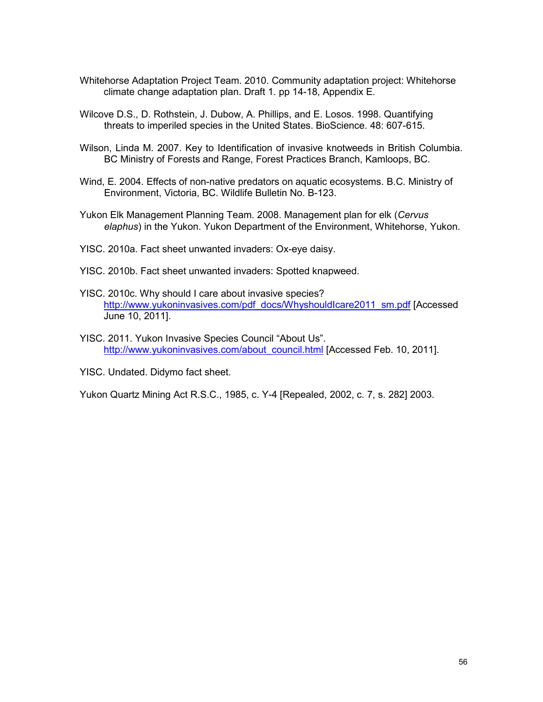- Whitehorse Adaptation Project Team. 2010. Community adaptation project: Whitehorse climate change adaptation plan. Draft 1. pp 14-18, Appendix E.
- Wilcove D.S., D. Rothstein, J. Dubow, A. Phillips, and E. Losos. 1998. Quantifying threats to imperiled species in the United States. BioScience. 48: 607-615.
- Wilson, Linda M. 2007. Key to Identification of invasive knotweeds in British Columbia. BC Ministry of Forests and Range, Forest Practices Branch, Kamloops, BC.
- Wind, E. 2004. Effects of non-native predators on aquatic ecosystems. B.C. Ministry of Environment, Victoria, BC. Wildlife Bulletin No. B-123.
- Yukon Elk Management Planning Team. 2008. Management plan for elk (*Cervus elaphus*) in the Yukon. Yukon Department of the Environment, Whitehorse, Yukon.
- YISC. 2010a. Fact sheet unwanted invaders: Ox-eye daisy.
- YISC. 2010b. Fact sheet unwanted invaders: Spotted knapweed.
- YISC. 2010c. Why should I care about invasive species? http://www.yukoninvasives.com/pdf\_docs/WhyshouldIcare2011\_sm.pdf [Accessed] June 10, 2011].
- YISC. 2011. Yukon Invasive Species Council "About Us". http://www.yukoninvasives.com/about\_council.html [Accessed Feb. 10, 2011].

YISC. Undated. Didymo fact sheet.

Yukon Quartz Mining Act R.S.C., 1985, c. Y-4 [Repealed, 2002, c. 7, s. 282] 2003.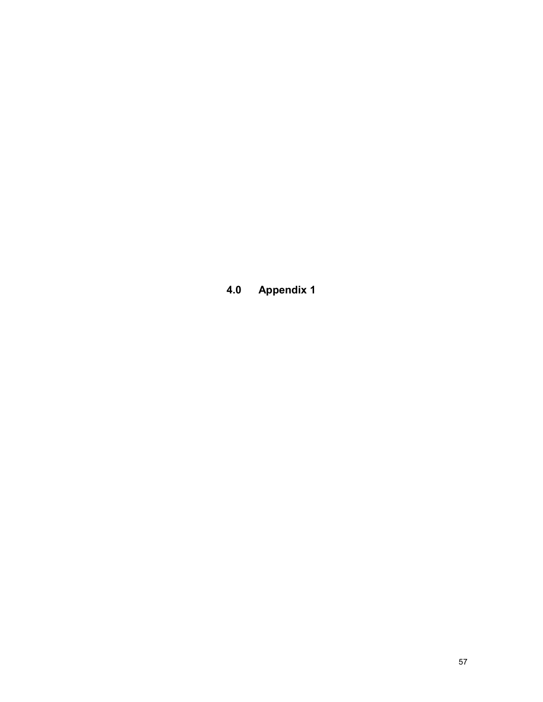**4.0 Appendix 1**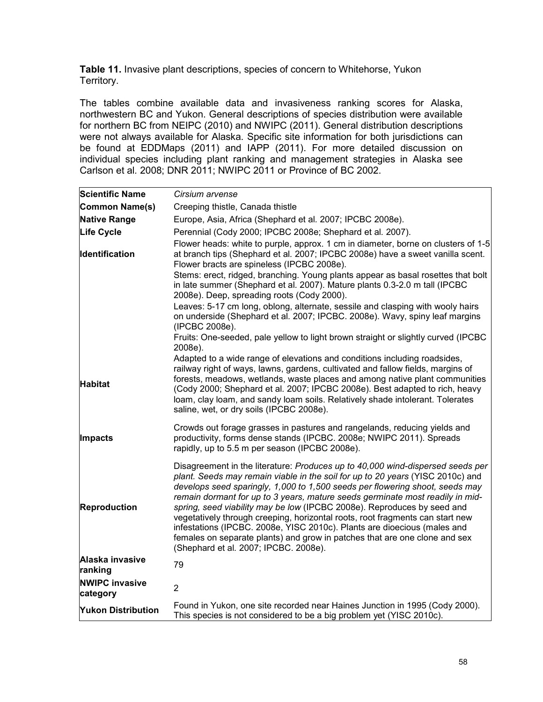**Table 11.** Invasive plant descriptions, species of concern to Whitehorse, Yukon Territory.

The tables combine available data and invasiveness ranking scores for Alaska, northwestern BC and Yukon. General descriptions of species distribution were available for northern BC from NEIPC (2010) and NWIPC (2011). General distribution descriptions were not always available for Alaska. Specific site information for both jurisdictions can be found at EDDMaps (2011) and IAPP (2011). For more detailed discussion on individual species including plant ranking and management strategies in Alaska see Carlson et al*.* 2008; DNR 2011; NWIPC 2011 or Province of BC 2002.

| <b>Scientific Name</b>            | Cirsium arvense                                                                                                                                                                                                                                                                                                                                                                                                                                                                                                                                                                                                                                                                                  |
|-----------------------------------|--------------------------------------------------------------------------------------------------------------------------------------------------------------------------------------------------------------------------------------------------------------------------------------------------------------------------------------------------------------------------------------------------------------------------------------------------------------------------------------------------------------------------------------------------------------------------------------------------------------------------------------------------------------------------------------------------|
| Common Name(s)                    |                                                                                                                                                                                                                                                                                                                                                                                                                                                                                                                                                                                                                                                                                                  |
| <b>Native Range</b>               | Creeping thistle, Canada thistle<br>Europe, Asia, Africa (Shephard et al. 2007; IPCBC 2008e).                                                                                                                                                                                                                                                                                                                                                                                                                                                                                                                                                                                                    |
| <b>Life Cycle</b>                 | Perennial (Cody 2000; IPCBC 2008e; Shephard et al. 2007).                                                                                                                                                                                                                                                                                                                                                                                                                                                                                                                                                                                                                                        |
| <b>Identification</b>             | Flower heads: white to purple, approx. 1 cm in diameter, borne on clusters of 1-5<br>at branch tips (Shephard et al. 2007; IPCBC 2008e) have a sweet vanilla scent.                                                                                                                                                                                                                                                                                                                                                                                                                                                                                                                              |
|                                   | Flower bracts are spineless (IPCBC 2008e).<br>Stems: erect, ridged, branching. Young plants appear as basal rosettes that bolt<br>in late summer (Shephard et al. 2007). Mature plants 0.3-2.0 m tall (IPCBC<br>2008e). Deep, spreading roots (Cody 2000).<br>Leaves: 5-17 cm long, oblong, alternate, sessile and clasping with wooly hairs                                                                                                                                                                                                                                                                                                                                                     |
|                                   | on underside (Shephard et al. 2007; IPCBC. 2008e). Wavy, spiny leaf margins<br>(IPCBC 2008e).                                                                                                                                                                                                                                                                                                                                                                                                                                                                                                                                                                                                    |
|                                   | Fruits: One-seeded, pale yellow to light brown straight or slightly curved (IPCBC<br>2008e).                                                                                                                                                                                                                                                                                                                                                                                                                                                                                                                                                                                                     |
| <b>Habitat</b>                    | Adapted to a wide range of elevations and conditions including roadsides,<br>railway right of ways, lawns, gardens, cultivated and fallow fields, margins of<br>forests, meadows, wetlands, waste places and among native plant communities<br>(Cody 2000; Shephard et al. 2007; IPCBC 2008e). Best adapted to rich, heavy<br>loam, clay loam, and sandy loam soils. Relatively shade intolerant. Tolerates<br>saline, wet, or dry soils (IPCBC 2008e).                                                                                                                                                                                                                                          |
| Impacts                           | Crowds out forage grasses in pastures and rangelands, reducing yields and<br>productivity, forms dense stands (IPCBC. 2008e; NWIPC 2011). Spreads<br>rapidly, up to 5.5 m per season (IPCBC 2008e).                                                                                                                                                                                                                                                                                                                                                                                                                                                                                              |
| <b>Reproduction</b>               | Disagreement in the literature: Produces up to 40,000 wind-dispersed seeds per<br>plant. Seeds may remain viable in the soil for up to 20 years (YISC 2010c) and<br>develops seed sparingly, 1,000 to 1,500 seeds per flowering shoot, seeds may<br>remain dormant for up to 3 years, mature seeds germinate most readily in mid-<br>spring, seed viability may be low (IPCBC 2008e). Reproduces by seed and<br>vegetatively through creeping, horizontal roots, root fragments can start new<br>infestations (IPCBC. 2008e, YISC 2010c). Plants are dioecious (males and<br>females on separate plants) and grow in patches that are one clone and sex<br>(Shephard et al. 2007; IPCBC. 2008e). |
| Alaska invasive<br>ranking        | 79                                                                                                                                                                                                                                                                                                                                                                                                                                                                                                                                                                                                                                                                                               |
| <b>NWIPC invasive</b><br>category | $\overline{2}$                                                                                                                                                                                                                                                                                                                                                                                                                                                                                                                                                                                                                                                                                   |
| <b>Yukon Distribution</b>         | Found in Yukon, one site recorded near Haines Junction in 1995 (Cody 2000).<br>This species is not considered to be a big problem yet (YISC 2010c).                                                                                                                                                                                                                                                                                                                                                                                                                                                                                                                                              |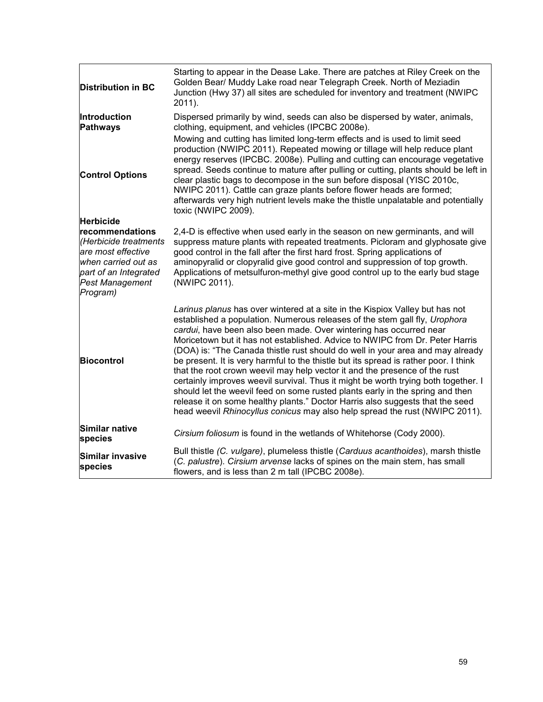|                                                                                                                                          | Starting to appear in the Dease Lake. There are patches at Riley Creek on the                                                                                                                                                                                                                                                                                                                                                                                                                                                                                                                                                                                                                                                                                                                                                                                                                                   |
|------------------------------------------------------------------------------------------------------------------------------------------|-----------------------------------------------------------------------------------------------------------------------------------------------------------------------------------------------------------------------------------------------------------------------------------------------------------------------------------------------------------------------------------------------------------------------------------------------------------------------------------------------------------------------------------------------------------------------------------------------------------------------------------------------------------------------------------------------------------------------------------------------------------------------------------------------------------------------------------------------------------------------------------------------------------------|
| <b>Distribution in BC</b>                                                                                                                | Golden Bear/ Muddy Lake road near Telegraph Creek. North of Meziadin<br>Junction (Hwy 37) all sites are scheduled for inventory and treatment (NWIPC<br>2011).                                                                                                                                                                                                                                                                                                                                                                                                                                                                                                                                                                                                                                                                                                                                                  |
| Introduction<br><b>Pathways</b>                                                                                                          | Dispersed primarily by wind, seeds can also be dispersed by water, animals,<br>clothing, equipment, and vehicles (IPCBC 2008e).                                                                                                                                                                                                                                                                                                                                                                                                                                                                                                                                                                                                                                                                                                                                                                                 |
| <b>Control Options</b>                                                                                                                   | Mowing and cutting has limited long-term effects and is used to limit seed<br>production (NWIPC 2011). Repeated mowing or tillage will help reduce plant<br>energy reserves (IPCBC. 2008e). Pulling and cutting can encourage vegetative<br>spread. Seeds continue to mature after pulling or cutting, plants should be left in<br>clear plastic bags to decompose in the sun before disposal (YISC 2010c,<br>NWIPC 2011). Cattle can graze plants before flower heads are formed;<br>afterwards very high nutrient levels make the thistle unpalatable and potentially<br>toxic (NWIPC 2009).                                                                                                                                                                                                                                                                                                                  |
| <b>Herbicide</b>                                                                                                                         |                                                                                                                                                                                                                                                                                                                                                                                                                                                                                                                                                                                                                                                                                                                                                                                                                                                                                                                 |
| recommendations<br>(Herbicide treatments<br>are most effective<br>when carried out as<br>part of an Integrated<br><b>Pest Management</b> | 2,4-D is effective when used early in the season on new germinants, and will<br>suppress mature plants with repeated treatments. Picloram and glyphosate give<br>good control in the fall after the first hard frost. Spring applications of<br>aminopyralid or clopyralid give good control and suppression of top growth.<br>Applications of metsulfuron-methyl give good control up to the early bud stage<br>(NWIPC 2011).                                                                                                                                                                                                                                                                                                                                                                                                                                                                                  |
| Program)                                                                                                                                 |                                                                                                                                                                                                                                                                                                                                                                                                                                                                                                                                                                                                                                                                                                                                                                                                                                                                                                                 |
| <b>Biocontrol</b>                                                                                                                        | Larinus planus has over wintered at a site in the Kispiox Valley but has not<br>established a population. Numerous releases of the stem gall fly, Urophora<br>cardui, have been also been made. Over wintering has occurred near<br>Moricetown but it has not established. Advice to NWIPC from Dr. Peter Harris<br>(DOA) is: "The Canada thistle rust should do well in your area and may already<br>be present. It is very harmful to the thistle but its spread is rather poor. I think<br>that the root crown weevil may help vector it and the presence of the rust<br>certainly improves weevil survival. Thus it might be worth trying both together. I<br>should let the weevil feed on some rusted plants early in the spring and then<br>release it on some healthy plants." Doctor Harris also suggests that the seed<br>head weevil Rhinocyllus conicus may also help spread the rust (NWIPC 2011). |
| Similar native<br>species                                                                                                                | Cirsium foliosum is found in the wetlands of Whitehorse (Cody 2000).                                                                                                                                                                                                                                                                                                                                                                                                                                                                                                                                                                                                                                                                                                                                                                                                                                            |
| Similar invasive<br>species                                                                                                              | Bull thistle (C. vulgare), plumeless thistle (Carduus acanthoides), marsh thistle<br>(C. palustre). Cirsium arvense lacks of spines on the main stem, has small<br>flowers, and is less than 2 m tall (IPCBC 2008e).                                                                                                                                                                                                                                                                                                                                                                                                                                                                                                                                                                                                                                                                                            |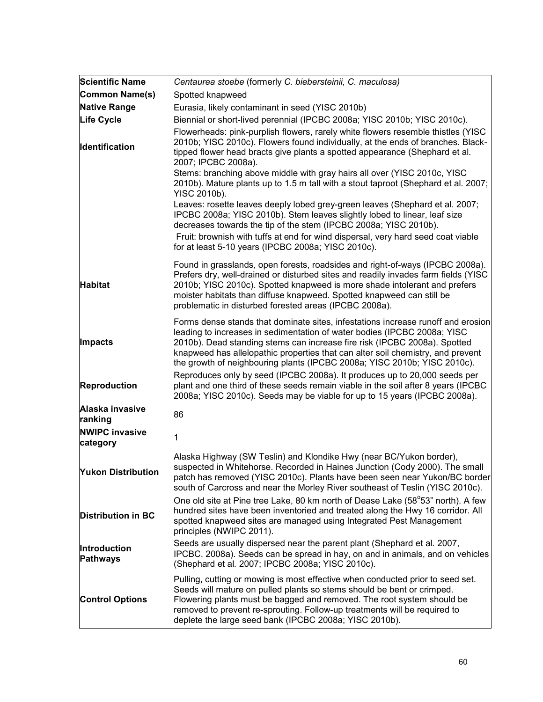| <b>Scientific Name</b>                 | Centaurea stoebe (formerly C. biebersteinii, C. maculosa)                                                                                                                                                                                                                                                                                                                                                |
|----------------------------------------|----------------------------------------------------------------------------------------------------------------------------------------------------------------------------------------------------------------------------------------------------------------------------------------------------------------------------------------------------------------------------------------------------------|
| <b>Common Name(s)</b>                  | Spotted knapweed                                                                                                                                                                                                                                                                                                                                                                                         |
| <b>Native Range</b>                    | Eurasia, likely contaminant in seed (YISC 2010b)                                                                                                                                                                                                                                                                                                                                                         |
| Life Cycle                             | Biennial or short-lived perennial (IPCBC 2008a; YISC 2010b; YISC 2010c).                                                                                                                                                                                                                                                                                                                                 |
| Identification                         | Flowerheads: pink-purplish flowers, rarely white flowers resemble thistles (YISC<br>2010b; YISC 2010c). Flowers found individually, at the ends of branches. Black-<br>tipped flower head bracts give plants a spotted appearance (Shephard et al.<br>2007; IPCBC 2008a).                                                                                                                                |
|                                        | Stems: branching above middle with gray hairs all over (YISC 2010c, YISC<br>2010b). Mature plants up to 1.5 m tall with a stout taproot (Shephard et al. 2007;<br>YISC 2010b).                                                                                                                                                                                                                           |
|                                        | Leaves: rosette leaves deeply lobed grey-green leaves (Shephard et al. 2007;<br>IPCBC 2008a; YISC 2010b). Stem leaves slightly lobed to linear, leaf size<br>decreases towards the tip of the stem (IPCBC 2008a; YISC 2010b).                                                                                                                                                                            |
|                                        | Fruit: brownish with tuffs at end for wind dispersal, very hard seed coat viable<br>for at least 5-10 years (IPCBC 2008a; YISC 2010c).                                                                                                                                                                                                                                                                   |
| <b>Habitat</b>                         | Found in grasslands, open forests, roadsides and right-of-ways (IPCBC 2008a).<br>Prefers dry, well-drained or disturbed sites and readily invades farm fields (YISC<br>2010b; YISC 2010c). Spotted knapweed is more shade intolerant and prefers<br>moister habitats than diffuse knapweed. Spotted knapweed can still be<br>problematic in disturbed forested areas (IPCBC 2008a).                      |
| <b>Impacts</b>                         | Forms dense stands that dominate sites, infestations increase runoff and erosion<br>leading to increases in sedimentation of water bodies (IPCBC 2008a; YISC<br>2010b). Dead standing stems can increase fire risk (IPCBC 2008a). Spotted<br>knapweed has allelopathic properties that can alter soil chemistry, and prevent<br>the growth of neighbouring plants (IPCBC 2008a; YISC 2010b; YISC 2010c). |
| <b>Reproduction</b>                    | Reproduces only by seed (IPCBC 2008a). It produces up to 20,000 seeds per<br>plant and one third of these seeds remain viable in the soil after 8 years (IPCBC<br>2008a; YISC 2010c). Seeds may be viable for up to 15 years (IPCBC 2008a).                                                                                                                                                              |
| Alaska invasive<br>ranking             | 86                                                                                                                                                                                                                                                                                                                                                                                                       |
| <b>NWIPC invasive</b><br>category      | 1                                                                                                                                                                                                                                                                                                                                                                                                        |
| <b>Yukon Distribution</b>              | Alaska Highway (SW Teslin) and Klondike Hwy (near BC/Yukon border),<br>suspected in Whitehorse. Recorded in Haines Junction (Cody 2000). The small<br>patch has removed (YISC 2010c). Plants have been seen near Yukon/BC border<br>south of Carcross and near the Morley River southeast of Teslin (YISC 2010c).                                                                                        |
| <b>Distribution in BC</b>              | One old site at Pine tree Lake, 80 km north of Dease Lake (58°53" north). A few<br>hundred sites have been inventoried and treated along the Hwy 16 corridor. All<br>spotted knapweed sites are managed using Integrated Pest Management<br>principles (NWIPC 2011).                                                                                                                                     |
| <b>Introduction</b><br><b>Pathways</b> | Seeds are usually dispersed near the parent plant (Shephard et al. 2007,<br>IPCBC. 2008a). Seeds can be spread in hay, on and in animals, and on vehicles<br>(Shephard et al. 2007; IPCBC 2008a; YISC 2010c).                                                                                                                                                                                            |
| <b>Control Options</b>                 | Pulling, cutting or mowing is most effective when conducted prior to seed set.<br>Seeds will mature on pulled plants so stems should be bent or crimped.<br>Flowering plants must be bagged and removed. The root system should be<br>removed to prevent re-sprouting. Follow-up treatments will be required to<br>deplete the large seed bank (IPCBC 2008a; YISC 2010b).                                |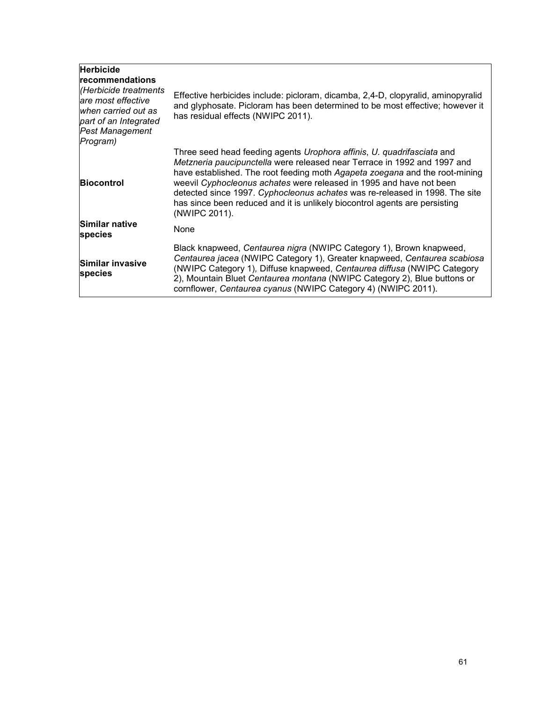| <b>Herbicide</b><br><b>recommendations</b><br>Herbicide treatments<br>are most effective<br>when carried out as<br>part of an Integrated<br><b>Pest Management</b><br>Program) | Effective herbicides include: picloram, dicamba, 2,4-D, clopyralid, aminopyralid<br>and glyphosate. Picloram has been determined to be most effective; however it<br>has residual effects (NWIPC 2011).                                                                                                                                                                                                                                                                                |
|--------------------------------------------------------------------------------------------------------------------------------------------------------------------------------|----------------------------------------------------------------------------------------------------------------------------------------------------------------------------------------------------------------------------------------------------------------------------------------------------------------------------------------------------------------------------------------------------------------------------------------------------------------------------------------|
| <b>Biocontrol</b>                                                                                                                                                              | Three seed head feeding agents Urophora affinis, U. quadrifasciata and<br>Metzneria paucipunctella were released near Terrace in 1992 and 1997 and<br>have established. The root feeding moth Agapeta zoegana and the root-mining<br>weevil Cyphocleonus achates were released in 1995 and have not been<br>detected since 1997. Cyphocleonus achates was re-released in 1998. The site<br>has since been reduced and it is unlikely biocontrol agents are persisting<br>(NWIPC 2011). |
| Similar native<br>species                                                                                                                                                      | None                                                                                                                                                                                                                                                                                                                                                                                                                                                                                   |
| Similar invasive<br>species                                                                                                                                                    | Black knapweed, Centaurea nigra (NWIPC Category 1), Brown knapweed,<br>Centaurea jacea (NWIPC Category 1), Greater knapweed, Centaurea scabiosa<br>(NWIPC Category 1), Diffuse knapweed, Centaurea diffusa (NWIPC Category<br>2), Mountain Bluet Centaurea montana (NWIPC Category 2), Blue buttons or<br>cornflower, Centaurea cyanus (NWIPC Category 4) (NWIPC 2011).                                                                                                                |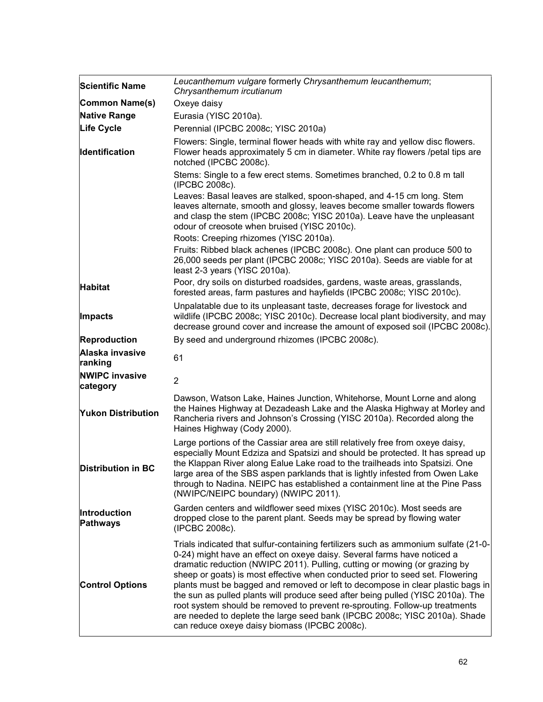| <b>Scientific Name</b>                                                                                                                                                                                                                                                                       | Leucanthemum vulgare formerly Chrysanthemum leucanthemum;<br>Chrysanthemum ircutianum                                                                                                                                                                                                                                                                                                                                                                                                                                                                                                                                                                                                                             |
|----------------------------------------------------------------------------------------------------------------------------------------------------------------------------------------------------------------------------------------------------------------------------------------------|-------------------------------------------------------------------------------------------------------------------------------------------------------------------------------------------------------------------------------------------------------------------------------------------------------------------------------------------------------------------------------------------------------------------------------------------------------------------------------------------------------------------------------------------------------------------------------------------------------------------------------------------------------------------------------------------------------------------|
| Common Name(s)                                                                                                                                                                                                                                                                               | Oxeye daisy                                                                                                                                                                                                                                                                                                                                                                                                                                                                                                                                                                                                                                                                                                       |
| <b>Native Range</b>                                                                                                                                                                                                                                                                          | Eurasia (YISC 2010a).                                                                                                                                                                                                                                                                                                                                                                                                                                                                                                                                                                                                                                                                                             |
| <b>Life Cycle</b>                                                                                                                                                                                                                                                                            | Perennial (IPCBC 2008c; YISC 2010a)                                                                                                                                                                                                                                                                                                                                                                                                                                                                                                                                                                                                                                                                               |
| <b>Identification</b>                                                                                                                                                                                                                                                                        | Flowers: Single, terminal flower heads with white ray and yellow disc flowers.<br>Flower heads approximately 5 cm in diameter. White ray flowers /petal tips are<br>notched (IPCBC 2008c).                                                                                                                                                                                                                                                                                                                                                                                                                                                                                                                        |
|                                                                                                                                                                                                                                                                                              | Stems: Single to a few erect stems. Sometimes branched, 0.2 to 0.8 m tall<br>(IPCBC 2008c).<br>Leaves: Basal leaves are stalked, spoon-shaped, and 4-15 cm long. Stem<br>leaves alternate, smooth and glossy, leaves become smaller towards flowers<br>and clasp the stem (IPCBC 2008c; YISC 2010a). Leave have the unpleasant<br>odour of creosote when bruised (YISC 2010c).                                                                                                                                                                                                                                                                                                                                    |
|                                                                                                                                                                                                                                                                                              | Roots: Creeping rhizomes (YISC 2010a).                                                                                                                                                                                                                                                                                                                                                                                                                                                                                                                                                                                                                                                                            |
|                                                                                                                                                                                                                                                                                              | Fruits: Ribbed black achenes (IPCBC 2008c). One plant can produce 500 to<br>26,000 seeds per plant (IPCBC 2008c; YISC 2010a). Seeds are viable for at<br>least 2-3 years (YISC 2010a).                                                                                                                                                                                                                                                                                                                                                                                                                                                                                                                            |
| <b>Habitat</b>                                                                                                                                                                                                                                                                               | Poor, dry soils on disturbed roadsides, gardens, waste areas, grasslands,<br>forested areas, farm pastures and hayfields (IPCBC 2008c; YISC 2010c).                                                                                                                                                                                                                                                                                                                                                                                                                                                                                                                                                               |
| <b>Impacts</b>                                                                                                                                                                                                                                                                               | Unpalatable due to its unpleasant taste, decreases forage for livestock and<br>wildlife (IPCBC 2008c; YISC 2010c). Decrease local plant biodiversity, and may<br>decrease ground cover and increase the amount of exposed soil (IPCBC 2008c).                                                                                                                                                                                                                                                                                                                                                                                                                                                                     |
| Reproduction                                                                                                                                                                                                                                                                                 | By seed and underground rhizomes (IPCBC 2008c).                                                                                                                                                                                                                                                                                                                                                                                                                                                                                                                                                                                                                                                                   |
| Alaska invasive<br>ranking                                                                                                                                                                                                                                                                   | 61                                                                                                                                                                                                                                                                                                                                                                                                                                                                                                                                                                                                                                                                                                                |
| <b>NWIPC invasive</b><br>category                                                                                                                                                                                                                                                            | $\overline{2}$                                                                                                                                                                                                                                                                                                                                                                                                                                                                                                                                                                                                                                                                                                    |
| Dawson, Watson Lake, Haines Junction, Whitehorse, Mount Lorne and along<br>the Haines Highway at Dezadeash Lake and the Alaska Highway at Morley and<br><b>Yukon Distribution</b><br>Rancheria rivers and Johnson's Crossing (YISC 2010a). Recorded along the<br>Haines Highway (Cody 2000). |                                                                                                                                                                                                                                                                                                                                                                                                                                                                                                                                                                                                                                                                                                                   |
| Distribution in BC                                                                                                                                                                                                                                                                           | Large portions of the Cassiar area are still relatively free from oxeye daisy,<br>especially Mount Edziza and Spatsizi and should be protected. It has spread up<br>the Klappan River along Ealue Lake road to the trailheads into Spatsizi. One<br>large area of the SBS aspen parklands that is lightly infested from Owen Lake<br>through to Nadina. NEIPC has established a containment line at the Pine Pass<br>(NWIPC/NEIPC boundary) (NWIPC 2011).                                                                                                                                                                                                                                                         |
| Introduction<br><b>Pathways</b>                                                                                                                                                                                                                                                              | Garden centers and wildflower seed mixes (YISC 2010c). Most seeds are<br>dropped close to the parent plant. Seeds may be spread by flowing water<br>(IPCBC 2008c).                                                                                                                                                                                                                                                                                                                                                                                                                                                                                                                                                |
| <b>Control Options</b>                                                                                                                                                                                                                                                                       | Trials indicated that sulfur-containing fertilizers such as ammonium sulfate (21-0-<br>0-24) might have an effect on oxeye daisy. Several farms have noticed a<br>dramatic reduction (NWIPC 2011). Pulling, cutting or mowing (or grazing by<br>sheep or goats) is most effective when conducted prior to seed set. Flowering<br>plants must be bagged and removed or left to decompose in clear plastic bags in<br>the sun as pulled plants will produce seed after being pulled (YISC 2010a). The<br>root system should be removed to prevent re-sprouting. Follow-up treatments<br>are needed to deplete the large seed bank (IPCBC 2008c; YISC 2010a). Shade<br>can reduce oxeye daisy biomass (IPCBC 2008c). |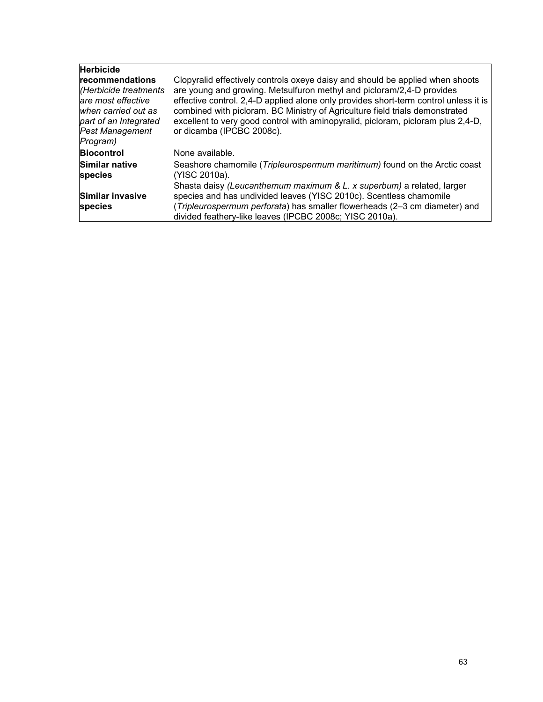| <b>Herbicide</b><br>recommendations<br>(Herbicide treatments<br>lare most effective<br>when carried out as<br>part of an Integrated<br><b>Pest Management</b><br>Program) | Clopyralid effectively controls oxeye daisy and should be applied when shoots<br>are young and growing. Metsulfuron methyl and picloram/2,4-D provides<br>effective control. 2,4-D applied alone only provides short-term control unless it is<br>combined with picloram. BC Ministry of Agriculture field trials demonstrated<br>excellent to very good control with aminopyralid, picloram, picloram plus 2,4-D,<br>or dicamba (IPCBC 2008c). |
|---------------------------------------------------------------------------------------------------------------------------------------------------------------------------|-------------------------------------------------------------------------------------------------------------------------------------------------------------------------------------------------------------------------------------------------------------------------------------------------------------------------------------------------------------------------------------------------------------------------------------------------|
| <b>Biocontrol</b><br>Similar native<br><b>species</b><br>Similar invasive<br><b>species</b>                                                                               | None available.<br>Seashore chamomile (Tripleurospermum maritimum) found on the Arctic coast<br>(YISC 2010a).<br>Shasta daisy (Leucanthemum maximum & L. x superbum) a related, larger<br>species and has undivided leaves (YISC 2010c). Scentless chamomile<br>(Tripleurospermum perforata) has smaller flowerheads (2-3 cm diameter) and<br>divided feathery-like leaves (IPCBC 2008c; YISC 2010a).                                           |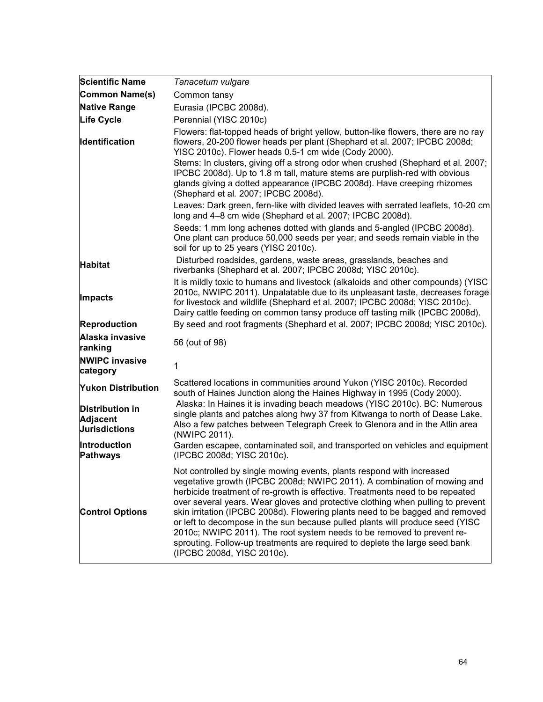| <b>Scientific Name</b>                                            | Tanacetum vulgare                                                                                                                                                                                                                                                                                                                                                                                                                                                                                                                                                                                                                                                              |
|-------------------------------------------------------------------|--------------------------------------------------------------------------------------------------------------------------------------------------------------------------------------------------------------------------------------------------------------------------------------------------------------------------------------------------------------------------------------------------------------------------------------------------------------------------------------------------------------------------------------------------------------------------------------------------------------------------------------------------------------------------------|
| Common Name(s)                                                    | Common tansy                                                                                                                                                                                                                                                                                                                                                                                                                                                                                                                                                                                                                                                                   |
| <b>Native Range</b>                                               | Eurasia (IPCBC 2008d).                                                                                                                                                                                                                                                                                                                                                                                                                                                                                                                                                                                                                                                         |
| <b>Life Cycle</b>                                                 | Perennial (YISC 2010c)                                                                                                                                                                                                                                                                                                                                                                                                                                                                                                                                                                                                                                                         |
| <b>Identification</b>                                             | Flowers: flat-topped heads of bright yellow, button-like flowers, there are no ray<br>flowers, 20-200 flower heads per plant (Shephard et al. 2007; IPCBC 2008d;<br>YISC 2010c). Flower heads 0.5-1 cm wide (Cody 2000).<br>Stems: In clusters, giving off a strong odor when crushed (Shephard et al. 2007;<br>IPCBC 2008d). Up to 1.8 m tall, mature stems are purplish-red with obvious<br>glands giving a dotted appearance (IPCBC 2008d). Have creeping rhizomes<br>(Shephard et al. 2007; IPCBC 2008d).                                                                                                                                                                  |
|                                                                   | Leaves: Dark green, fern-like with divided leaves with serrated leaflets, 10-20 cm<br>long and 4-8 cm wide (Shephard et al. 2007; IPCBC 2008d).                                                                                                                                                                                                                                                                                                                                                                                                                                                                                                                                |
|                                                                   | Seeds: 1 mm long achenes dotted with glands and 5-angled (IPCBC 2008d).<br>One plant can produce 50,000 seeds per year, and seeds remain viable in the<br>soil for up to 25 years (YISC 2010c).                                                                                                                                                                                                                                                                                                                                                                                                                                                                                |
| <b>Habitat</b>                                                    | Disturbed roadsides, gardens, waste areas, grasslands, beaches and<br>riverbanks (Shephard et al. 2007; IPCBC 2008d; YISC 2010c).                                                                                                                                                                                                                                                                                                                                                                                                                                                                                                                                              |
| Impacts                                                           | It is mildly toxic to humans and livestock (alkaloids and other compounds) (YISC<br>2010c, NWIPC 2011). Unpalatable due to its unpleasant taste, decreases forage<br>for livestock and wildlife (Shephard et al. 2007; IPCBC 2008d; YISC 2010c).<br>Dairy cattle feeding on common tansy produce off tasting milk (IPCBC 2008d).                                                                                                                                                                                                                                                                                                                                               |
| <b>Reproduction</b>                                               | By seed and root fragments (Shephard et al. 2007; IPCBC 2008d; YISC 2010c).                                                                                                                                                                                                                                                                                                                                                                                                                                                                                                                                                                                                    |
| Alaska invasive<br>ranking                                        | 56 (out of 98)                                                                                                                                                                                                                                                                                                                                                                                                                                                                                                                                                                                                                                                                 |
| <b>NWIPC invasive</b><br>category                                 | 1                                                                                                                                                                                                                                                                                                                                                                                                                                                                                                                                                                                                                                                                              |
| <b>Yukon Distribution</b>                                         | Scattered locations in communities around Yukon (YISC 2010c). Recorded<br>south of Haines Junction along the Haines Highway in 1995 (Cody 2000).                                                                                                                                                                                                                                                                                                                                                                                                                                                                                                                               |
| <b>Distribution in</b><br><b>Adjacent</b><br><b>Jurisdictions</b> | Alaska: In Haines it is invading beach meadows (YISC 2010c). BC: Numerous<br>single plants and patches along hwy 37 from Kitwanga to north of Dease Lake.<br>Also a few patches between Telegraph Creek to Glenora and in the Atlin area<br>(NWIPC 2011).                                                                                                                                                                                                                                                                                                                                                                                                                      |
| <b>Introduction</b><br><b>Pathways</b>                            | Garden escapee, contaminated soil, and transported on vehicles and equipment<br>(IPCBC 2008d; YISC 2010c).                                                                                                                                                                                                                                                                                                                                                                                                                                                                                                                                                                     |
| <b>Control Options</b>                                            | Not controlled by single mowing events, plants respond with increased<br>vegetative growth (IPCBC 2008d; NWIPC 2011). A combination of mowing and<br>herbicide treatment of re-growth is effective. Treatments need to be repeated<br>over several years. Wear gloves and protective clothing when pulling to prevent<br>skin irritation (IPCBC 2008d). Flowering plants need to be bagged and removed<br>or left to decompose in the sun because pulled plants will produce seed (YISC<br>2010c; NWIPC 2011). The root system needs to be removed to prevent re-<br>sprouting. Follow-up treatments are required to deplete the large seed bank<br>(IPCBC 2008d, YISC 2010c). |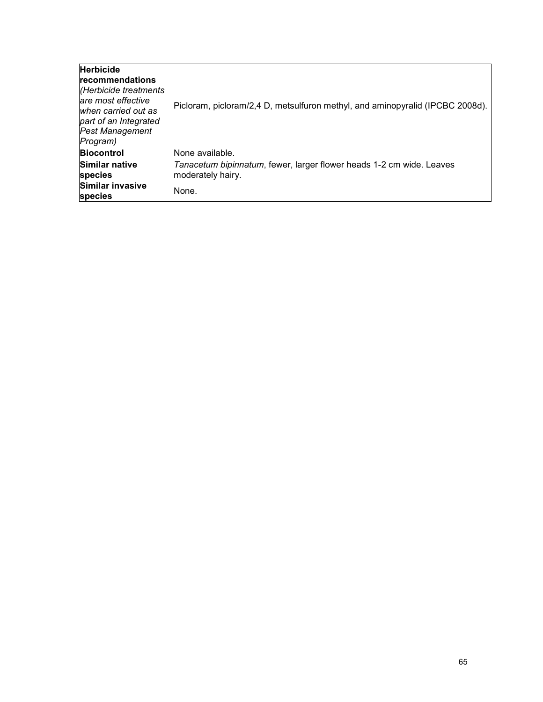| <b>Herbicide</b><br>recommendations<br>(Herbicide treatments<br>lare most effective<br>when carried out as<br>part of an Integrated<br><b>Pest Management</b><br>Program) | Picloram, picloram/2,4 D, metsulfuron methyl, and aminopyralid (IPCBC 2008d).             |
|---------------------------------------------------------------------------------------------------------------------------------------------------------------------------|-------------------------------------------------------------------------------------------|
| <b>Biocontrol</b>                                                                                                                                                         | None available.                                                                           |
| Similar native<br>species                                                                                                                                                 | Tanacetum bipinnatum, fewer, larger flower heads 1-2 cm wide. Leaves<br>moderately hairy. |
| Similar invasive<br>species                                                                                                                                               | None.                                                                                     |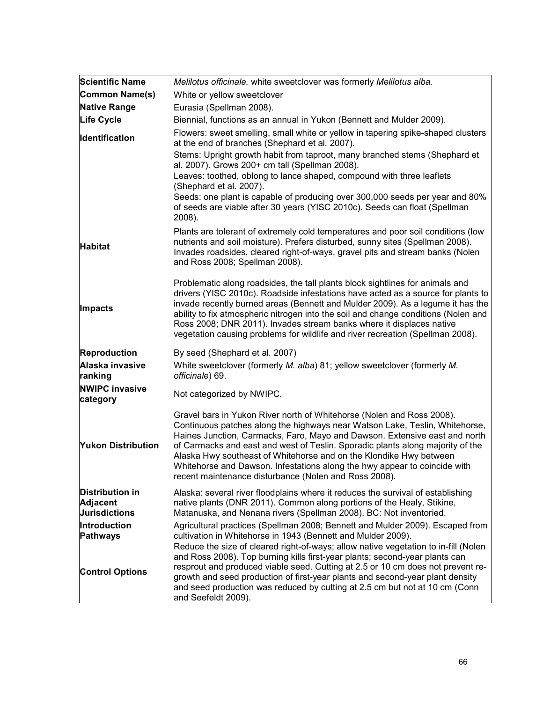| <b>Scientific Name</b>                                            | Melilotus officinale. white sweetclover was formerly Melilotus alba.                                                                                                                                                                                                                                                                                                                                                                                                                                                             |
|-------------------------------------------------------------------|----------------------------------------------------------------------------------------------------------------------------------------------------------------------------------------------------------------------------------------------------------------------------------------------------------------------------------------------------------------------------------------------------------------------------------------------------------------------------------------------------------------------------------|
| Common Name(s)                                                    | White or yellow sweetclover                                                                                                                                                                                                                                                                                                                                                                                                                                                                                                      |
| <b>Native Range</b>                                               | Eurasia (Spellman 2008).                                                                                                                                                                                                                                                                                                                                                                                                                                                                                                         |
| <b>Life Cycle</b>                                                 | Biennial, functions as an annual in Yukon (Bennett and Mulder 2009).                                                                                                                                                                                                                                                                                                                                                                                                                                                             |
| <b>Identification</b>                                             | Flowers: sweet smelling, small white or yellow in tapering spike-shaped clusters<br>at the end of branches (Shephard et al. 2007).                                                                                                                                                                                                                                                                                                                                                                                               |
|                                                                   | Stems: Upright growth habit from taproot, many branched stems (Shephard et<br>al. 2007). Grows 200+ cm tall (Spellman 2008).<br>Leaves: toothed, oblong to lance shaped, compound with three leaflets                                                                                                                                                                                                                                                                                                                            |
|                                                                   | (Shephard et al. 2007).                                                                                                                                                                                                                                                                                                                                                                                                                                                                                                          |
|                                                                   | Seeds: one plant is capable of producing over 300,000 seeds per year and 80%<br>of seeds are viable after 30 years (YISC 2010c). Seeds can float (Spellman<br>2008).                                                                                                                                                                                                                                                                                                                                                             |
| <b>Habitat</b>                                                    | Plants are tolerant of extremely cold temperatures and poor soil conditions (low<br>nutrients and soil moisture). Prefers disturbed, sunny sites (Spellman 2008).<br>Invades roadsides, cleared right-of-ways, gravel pits and stream banks (Nolen<br>and Ross 2008; Spellman 2008).                                                                                                                                                                                                                                             |
| Impacts                                                           | Problematic along roadsides, the tall plants block sightlines for animals and<br>drivers (YISC 2010c). Roadside infestations have acted as a source for plants to<br>invade recently burned areas (Bennett and Mulder 2009). As a legume it has the<br>ability to fix atmospheric nitrogen into the soil and change conditions (Nolen and<br>Ross 2008; DNR 2011). Invades stream banks where it displaces native<br>vegetation causing problems for wildlife and river recreation (Spellman 2008).                              |
| Reproduction                                                      | By seed (Shephard et al. 2007)                                                                                                                                                                                                                                                                                                                                                                                                                                                                                                   |
| Alaska invasive<br>ranking                                        | White sweetclover (formerly M. alba) 81; yellow sweetclover (formerly M.<br>officinale) 69.                                                                                                                                                                                                                                                                                                                                                                                                                                      |
| <b>NWIPC invasive</b><br>category                                 | Not categorized by NWIPC.                                                                                                                                                                                                                                                                                                                                                                                                                                                                                                        |
| <b>Yukon Distribution</b>                                         | Gravel bars in Yukon River north of Whitehorse (Nolen and Ross 2008).<br>Continuous patches along the highways near Watson Lake, Teslin, Whitehorse,<br>Haines Junction, Carmacks, Faro, Mayo and Dawson. Extensive east and north<br>of Carmacks and east and west of Teslin. Sporadic plants along majority of the<br>Alaska Hwy southeast of Whitehorse and on the Klondike Hwy between<br>Whitehorse and Dawson. Infestations along the hwy appear to coincide with<br>recent maintenance disturbance (Nolen and Ross 2008). |
| <b>Distribution in</b><br><b>Adjacent</b><br><b>Jurisdictions</b> | Alaska: several river floodplains where it reduces the survival of establishing<br>native plants (DNR 2011). Common along portions of the Healy, Stikine,<br>Matanuska, and Nenana rivers (Spellman 2008). BC: Not inventoried.                                                                                                                                                                                                                                                                                                  |
| Introduction<br>Pathways                                          | Agricultural practices (Spellman 2008; Bennett and Mulder 2009). Escaped from<br>cultivation in Whitehorse in 1943 (Bennett and Mulder 2009).<br>Reduce the size of cleared right-of-ways; allow native vegetation to in-fill (Nolen<br>and Ross 2008). Top burning kills first-year plants; second-year plants can                                                                                                                                                                                                              |
| <b>Control Options</b>                                            | resprout and produced viable seed. Cutting at 2.5 or 10 cm does not prevent re-<br>growth and seed production of first-year plants and second-year plant density<br>and seed production was reduced by cutting at 2.5 cm but not at 10 cm (Conn<br>and Seefeldt 2009).                                                                                                                                                                                                                                                           |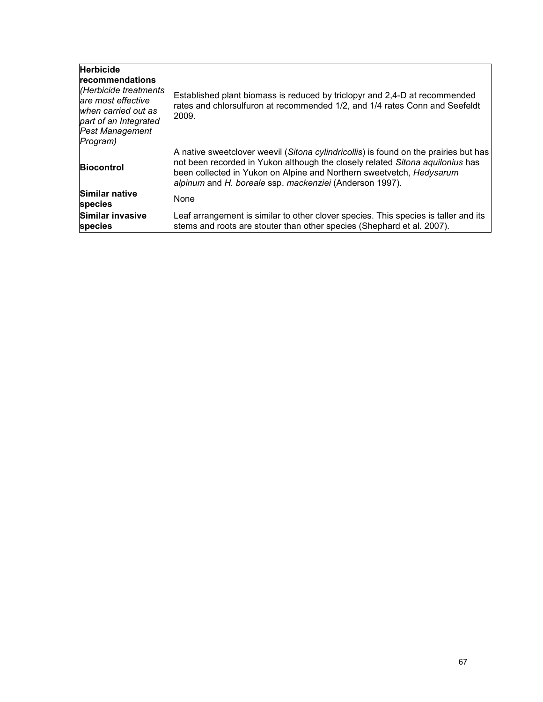| <b>Herbicide</b><br><b>recommendations</b><br>(Herbicide treatments<br>are most effective<br>when carried out as<br>part of an Integrated<br><b>Pest Management</b><br>Program) | Established plant biomass is reduced by triclopyr and 2,4-D at recommended<br>rates and chlorsulfuron at recommended 1/2, and 1/4 rates Conn and Seefeldt<br>2009.                                                                                                                                       |
|---------------------------------------------------------------------------------------------------------------------------------------------------------------------------------|----------------------------------------------------------------------------------------------------------------------------------------------------------------------------------------------------------------------------------------------------------------------------------------------------------|
| <b>Biocontrol</b>                                                                                                                                                               | A native sweetclover weevil (Sitona cylindricollis) is found on the prairies but has<br>not been recorded in Yukon although the closely related Sitona aquilonius has<br>been collected in Yukon on Alpine and Northern sweetvetch, Hedysarum<br>alpinum and H. boreale ssp. mackenziei (Anderson 1997). |
| Similar native<br><b>species</b>                                                                                                                                                | <b>None</b>                                                                                                                                                                                                                                                                                              |
| Similar invasive<br><b>species</b>                                                                                                                                              | Leaf arrangement is similar to other clover species. This species is taller and its<br>stems and roots are stouter than other species (Shephard et al. 2007).                                                                                                                                            |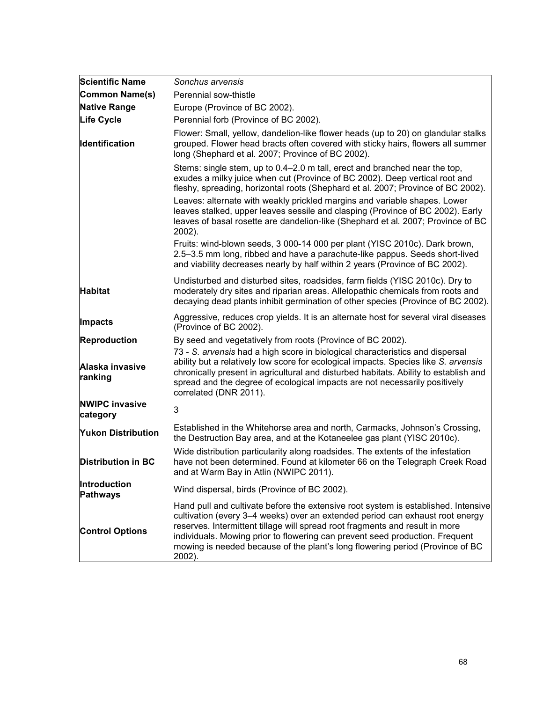| <b>Scientific Name</b>            | Sonchus arvensis                                                                                                                                                                                                                                                                                                                                                                                                               |
|-----------------------------------|--------------------------------------------------------------------------------------------------------------------------------------------------------------------------------------------------------------------------------------------------------------------------------------------------------------------------------------------------------------------------------------------------------------------------------|
| Common Name(s)                    | Perennial sow-thistle                                                                                                                                                                                                                                                                                                                                                                                                          |
| <b>Native Range</b>               | Europe (Province of BC 2002).                                                                                                                                                                                                                                                                                                                                                                                                  |
| <b>Life Cycle</b>                 | Perennial forb (Province of BC 2002).                                                                                                                                                                                                                                                                                                                                                                                          |
| Identification                    | Flower: Small, yellow, dandelion-like flower heads (up to 20) on glandular stalks<br>grouped. Flower head bracts often covered with sticky hairs, flowers all summer<br>long (Shephard et al. 2007; Province of BC 2002).                                                                                                                                                                                                      |
|                                   | Stems: single stem, up to 0.4–2.0 m tall, erect and branched near the top,<br>exudes a milky juice when cut (Province of BC 2002). Deep vertical root and<br>fleshy, spreading, horizontal roots (Shephard et al. 2007; Province of BC 2002).                                                                                                                                                                                  |
|                                   | Leaves: alternate with weakly prickled margins and variable shapes. Lower<br>leaves stalked, upper leaves sessile and clasping (Province of BC 2002). Early<br>leaves of basal rosette are dandelion-like (Shephard et al. 2007; Province of BC<br>2002).                                                                                                                                                                      |
|                                   | Fruits: wind-blown seeds, 3 000-14 000 per plant (YISC 2010c). Dark brown,<br>2.5-3.5 mm long, ribbed and have a parachute-like pappus. Seeds short-lived<br>and viability decreases nearly by half within 2 years (Province of BC 2002).                                                                                                                                                                                      |
| <b>Habitat</b>                    | Undisturbed and disturbed sites, roadsides, farm fields (YISC 2010c). Dry to<br>moderately dry sites and riparian areas. Allelopathic chemicals from roots and<br>decaying dead plants inhibit germination of other species (Province of BC 2002).                                                                                                                                                                             |
| Impacts                           | Aggressive, reduces crop yields. It is an alternate host for several viral diseases<br>(Province of BC 2002).                                                                                                                                                                                                                                                                                                                  |
| <b>Reproduction</b>               | By seed and vegetatively from roots (Province of BC 2002).                                                                                                                                                                                                                                                                                                                                                                     |
| Alaska invasive<br>ranking        | 73 - S. arvensis had a high score in biological characteristics and dispersal<br>ability but a relatively low score for ecological impacts. Species like S. arvensis<br>chronically present in agricultural and disturbed habitats. Ability to establish and<br>spread and the degree of ecological impacts are not necessarily positively<br>correlated (DNR 2011).                                                           |
| <b>NWIPC invasive</b><br>category | 3                                                                                                                                                                                                                                                                                                                                                                                                                              |
| <b>Yukon Distribution</b>         | Established in the Whitehorse area and north, Carmacks, Johnson's Crossing,<br>the Destruction Bay area, and at the Kotaneelee gas plant (YISC 2010c).                                                                                                                                                                                                                                                                         |
| <b>Distribution in BC</b>         | Wide distribution particularity along roadsides. The extents of the infestation<br>have not been determined. Found at kilometer 66 on the Telegraph Creek Road<br>and at Warm Bay in Atlin (NWIPC 2011).                                                                                                                                                                                                                       |
| <b>Introduction</b><br>Pathways   | Wind dispersal, birds (Province of BC 2002).                                                                                                                                                                                                                                                                                                                                                                                   |
| <b>Control Options</b>            | Hand pull and cultivate before the extensive root system is established. Intensive<br>cultivation (every 3–4 weeks) over an extended period can exhaust root energy<br>reserves. Intermittent tillage will spread root fragments and result in more<br>individuals. Mowing prior to flowering can prevent seed production. Frequent<br>mowing is needed because of the plant's long flowering period (Province of BC<br>2002). |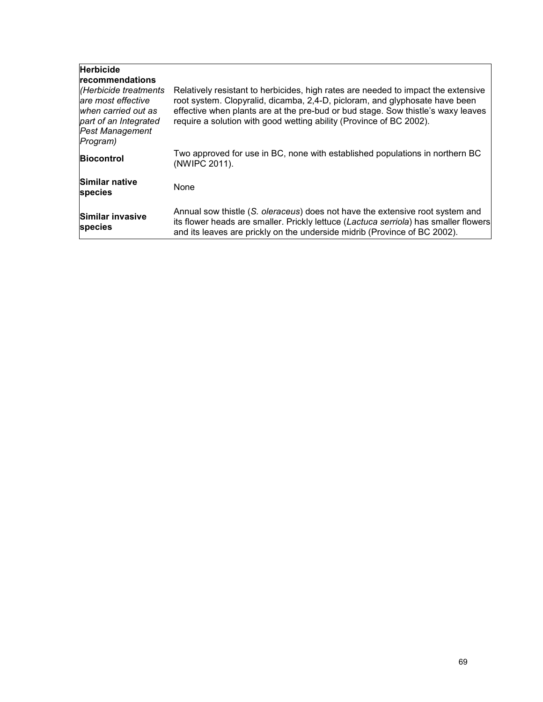| <b>Herbicide</b><br><b>recommendations</b><br>(Herbicide treatments<br>are most effective<br>when carried out as<br>part of an Integrated<br><b>Pest Management</b><br>Program) | Relatively resistant to herbicides, high rates are needed to impact the extensive<br>root system. Clopyralid, dicamba, 2,4-D, picloram, and glyphosate have been<br>effective when plants are at the pre-bud or bud stage. Sow thistle's waxy leaves<br>require a solution with good wetting ability (Province of BC 2002). |
|---------------------------------------------------------------------------------------------------------------------------------------------------------------------------------|-----------------------------------------------------------------------------------------------------------------------------------------------------------------------------------------------------------------------------------------------------------------------------------------------------------------------------|
| <b>Biocontrol</b>                                                                                                                                                               | Two approved for use in BC, none with established populations in northern BC<br>(NWIPC 2011).                                                                                                                                                                                                                               |
| Similar native<br>species                                                                                                                                                       | <b>None</b>                                                                                                                                                                                                                                                                                                                 |
| Similar invasive<br>species                                                                                                                                                     | Annual sow thistle (S. <i>oleraceus</i> ) does not have the extensive root system and<br>its flower heads are smaller. Prickly lettuce (Lactuca serriola) has smaller flowers<br>and its leaves are prickly on the underside midrib (Province of BC 2002).                                                                  |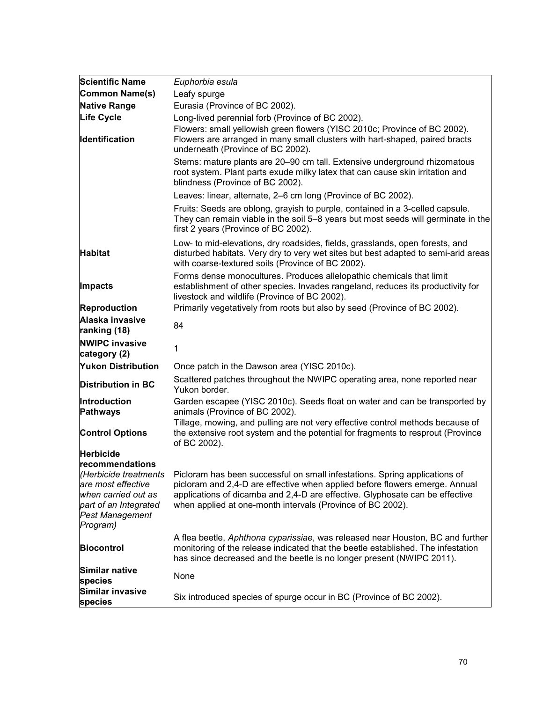| <b>Scientific Name</b>                                                                                                      | Euphorbia esula                                                                                                                                                                                                                                                                                                               |
|-----------------------------------------------------------------------------------------------------------------------------|-------------------------------------------------------------------------------------------------------------------------------------------------------------------------------------------------------------------------------------------------------------------------------------------------------------------------------|
| Common Name(s)                                                                                                              | Leafy spurge                                                                                                                                                                                                                                                                                                                  |
| Native Range                                                                                                                | Eurasia (Province of BC 2002).                                                                                                                                                                                                                                                                                                |
| Life Cycle                                                                                                                  | Long-lived perennial forb (Province of BC 2002).                                                                                                                                                                                                                                                                              |
| Identification                                                                                                              | Flowers: small yellowish green flowers (YISC 2010c; Province of BC 2002).<br>Flowers are arranged in many small clusters with hart-shaped, paired bracts<br>underneath (Province of BC 2002).                                                                                                                                 |
|                                                                                                                             | Stems: mature plants are 20-90 cm tall. Extensive underground rhizomatous<br>root system. Plant parts exude milky latex that can cause skin irritation and<br>blindness (Province of BC 2002).                                                                                                                                |
|                                                                                                                             | Leaves: linear, alternate, 2–6 cm long (Province of BC 2002).                                                                                                                                                                                                                                                                 |
|                                                                                                                             | Fruits: Seeds are oblong, grayish to purple, contained in a 3-celled capsule.<br>They can remain viable in the soil 5–8 years but most seeds will germinate in the<br>first 2 years (Province of BC 2002).                                                                                                                    |
| <b>Habitat</b>                                                                                                              | Low- to mid-elevations, dry roadsides, fields, grasslands, open forests, and<br>disturbed habitats. Very dry to very wet sites but best adapted to semi-arid areas<br>with coarse-textured soils (Province of BC 2002).                                                                                                       |
| Impacts                                                                                                                     | Forms dense monocultures. Produces allelopathic chemicals that limit<br>establishment of other species. Invades rangeland, reduces its productivity for<br>livestock and wildlife (Province of BC 2002).                                                                                                                      |
| <b>Reproduction</b>                                                                                                         | Primarily vegetatively from roots but also by seed (Province of BC 2002).                                                                                                                                                                                                                                                     |
| Alaska invasive<br>ranking (18)                                                                                             | 84                                                                                                                                                                                                                                                                                                                            |
| <b>NWIPC invasive</b><br>category (2)                                                                                       | 1                                                                                                                                                                                                                                                                                                                             |
| <b>Yukon Distribution</b>                                                                                                   | Once patch in the Dawson area (YISC 2010c).                                                                                                                                                                                                                                                                                   |
| <b>Distribution in BC</b>                                                                                                   | Scattered patches throughout the NWIPC operating area, none reported near<br>Yukon border.                                                                                                                                                                                                                                    |
| Introduction<br><b>Pathways</b>                                                                                             | Garden escapee (YISC 2010c). Seeds float on water and can be transported by<br>animals (Province of BC 2002).                                                                                                                                                                                                                 |
| <b>Control Options</b>                                                                                                      | Tillage, mowing, and pulling are not very effective control methods because of<br>the extensive root system and the potential for fragments to resprout (Province<br>of BC 2002).                                                                                                                                             |
| <b>Herbicide</b>                                                                                                            |                                                                                                                                                                                                                                                                                                                               |
| recommendations<br>are most effective<br>when carried out as<br>part of an Integrated<br><b>Pest Management</b><br>Program) | (Herbicide treatments Picloram has been successful on small infestations. Spring applications of<br>picloram and 2,4-D are effective when applied before flowers emerge. Annual<br>applications of dicamba and 2,4-D are effective. Glyphosate can be effective<br>when applied at one-month intervals (Province of BC 2002). |
| <b>Biocontrol</b>                                                                                                           | A flea beetle, Aphthona cyparissiae, was released near Houston, BC and further<br>monitoring of the release indicated that the beetle established. The infestation<br>has since decreased and the beetle is no longer present (NWIPC 2011).                                                                                   |
| Similar native<br>species                                                                                                   | None                                                                                                                                                                                                                                                                                                                          |
| Similar invasive<br>species                                                                                                 | Six introduced species of spurge occur in BC (Province of BC 2002).                                                                                                                                                                                                                                                           |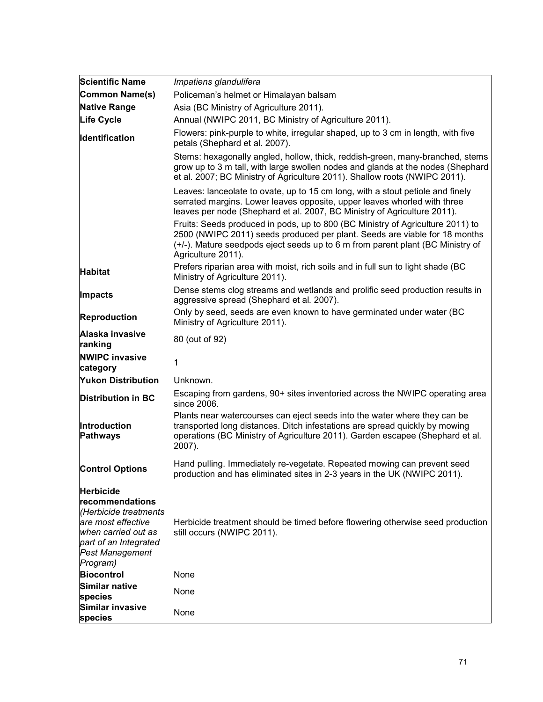| <b>Scientific Name</b>                                                                                                                                            | Impatiens glandulifera                                                                                                                                                                                                                                               |
|-------------------------------------------------------------------------------------------------------------------------------------------------------------------|----------------------------------------------------------------------------------------------------------------------------------------------------------------------------------------------------------------------------------------------------------------------|
| Common Name(s)                                                                                                                                                    | Policeman's helmet or Himalayan balsam                                                                                                                                                                                                                               |
| Native Range                                                                                                                                                      | Asia (BC Ministry of Agriculture 2011).                                                                                                                                                                                                                              |
| <b>Life Cycle</b>                                                                                                                                                 | Annual (NWIPC 2011, BC Ministry of Agriculture 2011).                                                                                                                                                                                                                |
| <b>Identification</b>                                                                                                                                             | Flowers: pink-purple to white, irregular shaped, up to 3 cm in length, with five<br>petals (Shephard et al. 2007).                                                                                                                                                   |
|                                                                                                                                                                   | Stems: hexagonally angled, hollow, thick, reddish-green, many-branched, stems<br>grow up to 3 m tall, with large swollen nodes and glands at the nodes (Shephard<br>et al. 2007; BC Ministry of Agriculture 2011). Shallow roots (NWIPC 2011).                       |
|                                                                                                                                                                   | Leaves: lanceolate to ovate, up to 15 cm long, with a stout petiole and finely<br>serrated margins. Lower leaves opposite, upper leaves whorled with three<br>leaves per node (Shephard et al. 2007, BC Ministry of Agriculture 2011).                               |
|                                                                                                                                                                   | Fruits: Seeds produced in pods, up to 800 (BC Ministry of Agriculture 2011) to<br>2500 (NWIPC 2011) seeds produced per plant. Seeds are viable for 18 months<br>(+/-). Mature seedpods eject seeds up to 6 m from parent plant (BC Ministry of<br>Agriculture 2011). |
| <b>Habitat</b>                                                                                                                                                    | Prefers riparian area with moist, rich soils and in full sun to light shade (BC<br>Ministry of Agriculture 2011).                                                                                                                                                    |
| Impacts                                                                                                                                                           | Dense stems clog streams and wetlands and prolific seed production results in<br>aggressive spread (Shephard et al. 2007).                                                                                                                                           |
| Reproduction                                                                                                                                                      | Only by seed, seeds are even known to have germinated under water (BC<br>Ministry of Agriculture 2011).                                                                                                                                                              |
| Alaska invasive<br>ranking                                                                                                                                        | 80 (out of 92)                                                                                                                                                                                                                                                       |
| <b>NWIPC invasive</b><br>category                                                                                                                                 | 1                                                                                                                                                                                                                                                                    |
| <b>Yukon Distribution</b>                                                                                                                                         | Unknown.                                                                                                                                                                                                                                                             |
| <b>Distribution in BC</b>                                                                                                                                         | Escaping from gardens, 90+ sites inventoried across the NWIPC operating area<br>since 2006.                                                                                                                                                                          |
| <b>Introduction</b><br><b>Pathways</b>                                                                                                                            | Plants near watercourses can eject seeds into the water where they can be<br>transported long distances. Ditch infestations are spread quickly by mowing<br>operations (BC Ministry of Agriculture 2011). Garden escapee (Shephard et al.<br>2007).                  |
| <b>Control Options</b>                                                                                                                                            | Hand pulling. Immediately re-vegetate. Repeated mowing can prevent seed<br>production and has eliminated sites in 2-3 years in the UK (NWIPC 2011).                                                                                                                  |
| Herbicide<br>recommendations<br>(Herbicide treatments<br>are most effective<br>when carried out as<br>part of an Integrated<br><b>Pest Management</b><br>Program) | Herbicide treatment should be timed before flowering otherwise seed production<br>still occurs (NWIPC 2011).                                                                                                                                                         |
| Biocontrol                                                                                                                                                        | None                                                                                                                                                                                                                                                                 |
| Similar native<br>species                                                                                                                                         | None                                                                                                                                                                                                                                                                 |
| Similar invasive<br><b>species</b>                                                                                                                                | None                                                                                                                                                                                                                                                                 |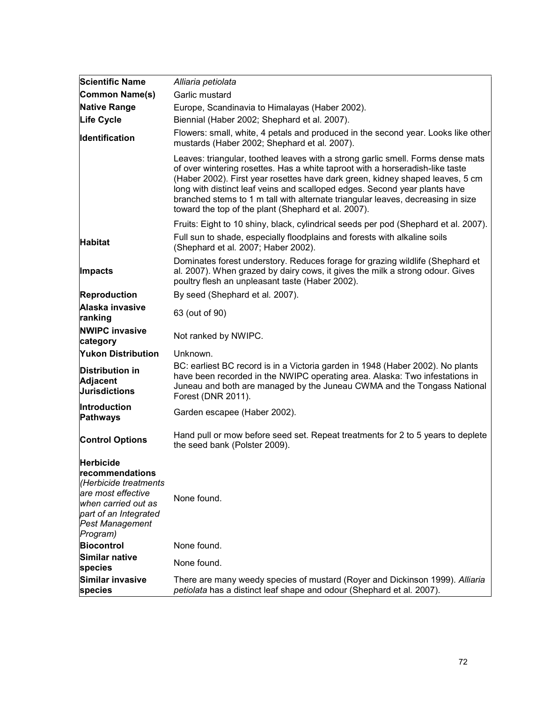| <b>Scientific Name</b>                                                                                                                               | Alliaria petiolata                                                                                                                                                                                                                                                                                                                                                                                                                                                        |
|------------------------------------------------------------------------------------------------------------------------------------------------------|---------------------------------------------------------------------------------------------------------------------------------------------------------------------------------------------------------------------------------------------------------------------------------------------------------------------------------------------------------------------------------------------------------------------------------------------------------------------------|
| Common Name(s)                                                                                                                                       | Garlic mustard                                                                                                                                                                                                                                                                                                                                                                                                                                                            |
| Native Range                                                                                                                                         | Europe, Scandinavia to Himalayas (Haber 2002).                                                                                                                                                                                                                                                                                                                                                                                                                            |
| Life Cycle                                                                                                                                           | Biennial (Haber 2002; Shephard et al. 2007).                                                                                                                                                                                                                                                                                                                                                                                                                              |
| Identification                                                                                                                                       | Flowers: small, white, 4 petals and produced in the second year. Looks like other<br>mustards (Haber 2002; Shephard et al. 2007).                                                                                                                                                                                                                                                                                                                                         |
|                                                                                                                                                      | Leaves: triangular, toothed leaves with a strong garlic smell. Forms dense mats<br>of over wintering rosettes. Has a white taproot with a horseradish-like taste<br>(Haber 2002). First year rosettes have dark green, kidney shaped leaves, 5 cm<br>long with distinct leaf veins and scalloped edges. Second year plants have<br>branched stems to 1 m tall with alternate triangular leaves, decreasing in size<br>toward the top of the plant (Shephard et al. 2007). |
|                                                                                                                                                      | Fruits: Eight to 10 shiny, black, cylindrical seeds per pod (Shephard et al. 2007).                                                                                                                                                                                                                                                                                                                                                                                       |
| <b>Habitat</b>                                                                                                                                       | Full sun to shade, especially floodplains and forests with alkaline soils<br>(Shephard et al. 2007; Haber 2002).                                                                                                                                                                                                                                                                                                                                                          |
| Impacts                                                                                                                                              | Dominates forest understory. Reduces forage for grazing wildlife (Shephard et<br>al. 2007). When grazed by dairy cows, it gives the milk a strong odour. Gives<br>poultry flesh an unpleasant taste (Haber 2002).                                                                                                                                                                                                                                                         |
| <b>Reproduction</b>                                                                                                                                  | By seed (Shephard et al. 2007).                                                                                                                                                                                                                                                                                                                                                                                                                                           |
| Alaska invasive<br>ranking                                                                                                                           | 63 (out of 90)                                                                                                                                                                                                                                                                                                                                                                                                                                                            |
| <b>NWIPC invasive</b><br>category                                                                                                                    | Not ranked by NWIPC.                                                                                                                                                                                                                                                                                                                                                                                                                                                      |
| <b>Yukon Distribution</b>                                                                                                                            | Unknown.                                                                                                                                                                                                                                                                                                                                                                                                                                                                  |
| <b>Distribution in</b><br><b>Adjacent</b><br><b>Jurisdictions</b>                                                                                    | BC: earliest BC record is in a Victoria garden in 1948 (Haber 2002). No plants<br>have been recorded in the NWIPC operating area. Alaska: Two infestations in<br>Juneau and both are managed by the Juneau CWMA and the Tongass National<br>Forest (DNR 2011).                                                                                                                                                                                                            |
| Introduction<br><b>Pathways</b>                                                                                                                      | Garden escapee (Haber 2002).                                                                                                                                                                                                                                                                                                                                                                                                                                              |
| <b>Control Options</b>                                                                                                                               | Hand pull or mow before seed set. Repeat treatments for 2 to 5 years to deplete<br>the seed bank (Polster 2009).                                                                                                                                                                                                                                                                                                                                                          |
| <b>Herbicide</b>                                                                                                                                     |                                                                                                                                                                                                                                                                                                                                                                                                                                                                           |
| recommendations<br>(Herbicide treatments<br>are most effective<br>when carried out as<br>part of an Integrated<br><b>Pest Management</b><br>Program) | None found.                                                                                                                                                                                                                                                                                                                                                                                                                                                               |
| <b>Biocontrol</b>                                                                                                                                    | None found.                                                                                                                                                                                                                                                                                                                                                                                                                                                               |
| Similar native<br>species                                                                                                                            | None found.                                                                                                                                                                                                                                                                                                                                                                                                                                                               |
| Similar invasive<br>species                                                                                                                          | There are many weedy species of mustard (Royer and Dickinson 1999). Alliaria<br>petiolata has a distinct leaf shape and odour (Shephard et al. 2007).                                                                                                                                                                                                                                                                                                                     |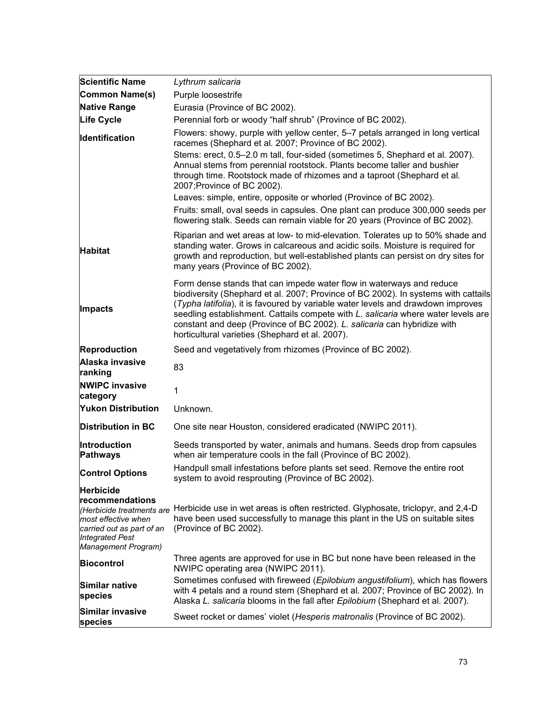| <b>Scientific Name</b>                                                                                                                            | Lythrum salicaria                                                                                                                                                                                                                                                                                                                                                                                                                                                  |
|---------------------------------------------------------------------------------------------------------------------------------------------------|--------------------------------------------------------------------------------------------------------------------------------------------------------------------------------------------------------------------------------------------------------------------------------------------------------------------------------------------------------------------------------------------------------------------------------------------------------------------|
| Common Name(s)                                                                                                                                    | Purple loosestrife                                                                                                                                                                                                                                                                                                                                                                                                                                                 |
| <b>Native Range</b>                                                                                                                               | Eurasia (Province of BC 2002).                                                                                                                                                                                                                                                                                                                                                                                                                                     |
| Life Cycle                                                                                                                                        | Perennial forb or woody "half shrub" (Province of BC 2002).                                                                                                                                                                                                                                                                                                                                                                                                        |
| <b>Identification</b>                                                                                                                             | Flowers: showy, purple with yellow center, 5-7 petals arranged in long vertical<br>racemes (Shephard et al. 2007; Province of BC 2002).                                                                                                                                                                                                                                                                                                                            |
|                                                                                                                                                   | Stems: erect, 0.5-2.0 m tall, four-sided (sometimes 5, Shephard et al. 2007).<br>Annual stems from perennial rootstock. Plants become taller and bushier<br>through time. Rootstock made of rhizomes and a taproot (Shephard et al.<br>2007; Province of BC 2002).                                                                                                                                                                                                 |
|                                                                                                                                                   | Leaves: simple, entire, opposite or whorled (Province of BC 2002).                                                                                                                                                                                                                                                                                                                                                                                                 |
|                                                                                                                                                   | Fruits: small, oval seeds in capsules. One plant can produce 300,000 seeds per<br>flowering stalk. Seeds can remain viable for 20 years (Province of BC 2002).                                                                                                                                                                                                                                                                                                     |
| <b>Habitat</b>                                                                                                                                    | Riparian and wet areas at low- to mid-elevation. Tolerates up to 50% shade and<br>standing water. Grows in calcareous and acidic soils. Moisture is required for<br>growth and reproduction, but well-established plants can persist on dry sites for<br>many years (Province of BC 2002).                                                                                                                                                                         |
| Impacts                                                                                                                                           | Form dense stands that can impede water flow in waterways and reduce<br>biodiversity (Shephard et al. 2007; Province of BC 2002). In systems with cattails<br>(Typha latifolia), it is favoured by variable water levels and drawdown improves<br>seedling establishment. Cattails compete with L. salicaria where water levels are<br>constant and deep (Province of BC 2002). L. salicaria can hybridize with<br>horticultural varieties (Shephard et al. 2007). |
| <b>Reproduction</b>                                                                                                                               | Seed and vegetatively from rhizomes (Province of BC 2002).                                                                                                                                                                                                                                                                                                                                                                                                         |
| Alaska invasive<br>ranking                                                                                                                        | 83                                                                                                                                                                                                                                                                                                                                                                                                                                                                 |
| <b>NWIPC invasive</b><br>category                                                                                                                 | 1                                                                                                                                                                                                                                                                                                                                                                                                                                                                  |
| <b>Yukon Distribution</b>                                                                                                                         | Unknown.                                                                                                                                                                                                                                                                                                                                                                                                                                                           |
| <b>Distribution in BC</b>                                                                                                                         | One site near Houston, considered eradicated (NWIPC 2011).                                                                                                                                                                                                                                                                                                                                                                                                         |
| <b>Introduction</b><br><b>Pathways</b>                                                                                                            | Seeds transported by water, animals and humans. Seeds drop from capsules<br>when air temperature cools in the fall (Province of BC 2002).                                                                                                                                                                                                                                                                                                                          |
| <b>Control Options</b>                                                                                                                            | Handpull small infestations before plants set seed. Remove the entire root<br>system to avoid resprouting (Province of BC 2002).                                                                                                                                                                                                                                                                                                                                   |
| <b>Herbicide</b>                                                                                                                                  |                                                                                                                                                                                                                                                                                                                                                                                                                                                                    |
| recommendations<br>(Herbicide treatments are<br>most effective when<br>carried out as part of an<br><b>Integrated Pest</b><br>Management Program) | Herbicide use in wet areas is often restricted. Glyphosate, triclopyr, and 2,4-D<br>have been used successfully to manage this plant in the US on suitable sites<br>(Province of BC 2002).                                                                                                                                                                                                                                                                         |
| <b>Biocontrol</b>                                                                                                                                 | Three agents are approved for use in BC but none have been released in the<br>NWIPC operating area (NWIPC 2011).                                                                                                                                                                                                                                                                                                                                                   |
| Similar native<br>species                                                                                                                         | Sometimes confused with fireweed (Epilobium angustifolium), which has flowers<br>with 4 petals and a round stem (Shephard et al. 2007; Province of BC 2002). In<br>Alaska L. salicaria blooms in the fall after Epilobium (Shephard et al. 2007).                                                                                                                                                                                                                  |
| Similar invasive<br>species                                                                                                                       | Sweet rocket or dames' violet (Hesperis matronalis (Province of BC 2002).                                                                                                                                                                                                                                                                                                                                                                                          |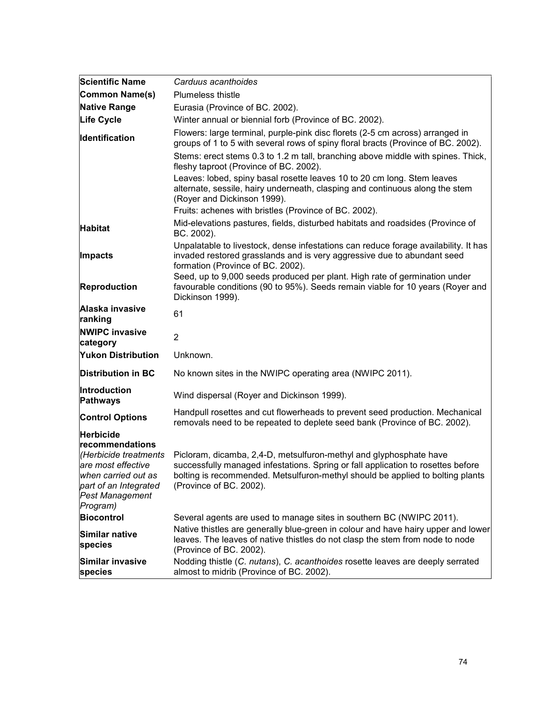| <b>Scientific Name</b>                                                                                                                                                   | Carduus acanthoides                                                                                                                                                                                                                                                 |
|--------------------------------------------------------------------------------------------------------------------------------------------------------------------------|---------------------------------------------------------------------------------------------------------------------------------------------------------------------------------------------------------------------------------------------------------------------|
| Common Name(s)                                                                                                                                                           | <b>Plumeless thistle</b>                                                                                                                                                                                                                                            |
| <b>Native Range</b>                                                                                                                                                      | Eurasia (Province of BC. 2002).                                                                                                                                                                                                                                     |
| <b>Life Cycle</b>                                                                                                                                                        | Winter annual or biennial forb (Province of BC. 2002).                                                                                                                                                                                                              |
| Identification                                                                                                                                                           | Flowers: large terminal, purple-pink disc florets (2-5 cm across) arranged in<br>groups of 1 to 5 with several rows of spiny floral bracts (Province of BC. 2002).                                                                                                  |
|                                                                                                                                                                          | Stems: erect stems 0.3 to 1.2 m tall, branching above middle with spines. Thick,<br>fleshy taproot (Province of BC. 2002).                                                                                                                                          |
|                                                                                                                                                                          | Leaves: lobed, spiny basal rosette leaves 10 to 20 cm long. Stem leaves<br>alternate, sessile, hairy underneath, clasping and continuous along the stem<br>(Royer and Dickinson 1999).                                                                              |
|                                                                                                                                                                          | Fruits: achenes with bristles (Province of BC. 2002).                                                                                                                                                                                                               |
| <b>Habitat</b>                                                                                                                                                           | Mid-elevations pastures, fields, disturbed habitats and roadsides (Province of<br>BC. 2002).                                                                                                                                                                        |
| Impacts                                                                                                                                                                  | Unpalatable to livestock, dense infestations can reduce forage availability. It has<br>invaded restored grasslands and is very aggressive due to abundant seed<br>formation (Province of BC. 2002).                                                                 |
| Reproduction                                                                                                                                                             | Seed, up to 9,000 seeds produced per plant. High rate of germination under<br>favourable conditions (90 to 95%). Seeds remain viable for 10 years (Royer and<br>Dickinson 1999).                                                                                    |
| Alaska invasive<br>ranking                                                                                                                                               | 61                                                                                                                                                                                                                                                                  |
| <b>NWIPC invasive</b><br>category                                                                                                                                        | $\overline{2}$                                                                                                                                                                                                                                                      |
| <b>Yukon Distribution</b>                                                                                                                                                | Unknown.                                                                                                                                                                                                                                                            |
| <b>Distribution in BC</b>                                                                                                                                                | No known sites in the NWIPC operating area (NWIPC 2011).                                                                                                                                                                                                            |
| Introduction<br><b>Pathways</b>                                                                                                                                          | Wind dispersal (Royer and Dickinson 1999).                                                                                                                                                                                                                          |
| <b>Control Options</b>                                                                                                                                                   | Handpull rosettes and cut flowerheads to prevent seed production. Mechanical<br>removals need to be repeated to deplete seed bank (Province of BC. 2002).                                                                                                           |
| <b>Herbicide</b><br>recommendations<br>(Herbicide treatments<br>are most effective<br>when carried out as<br>part of an Integrated<br><b>Pest Management</b><br>Program) | Picloram, dicamba, 2,4-D, metsulfuron-methyl and glyphosphate have<br>successfully managed infestations. Spring or fall application to rosettes before<br>bolting is recommended. Metsulfuron-methyl should be applied to bolting plants<br>(Province of BC. 2002). |
| <b>Biocontrol</b>                                                                                                                                                        | Several agents are used to manage sites in southern BC (NWIPC 2011).                                                                                                                                                                                                |
| Similar native<br>species                                                                                                                                                | Native thistles are generally blue-green in colour and have hairy upper and lower<br>leaves. The leaves of native thistles do not clasp the stem from node to node<br>(Province of BC. 2002).                                                                       |
| Similar invasive<br>species                                                                                                                                              | Nodding thistle (C. nutans), C. acanthoides rosette leaves are deeply serrated<br>almost to midrib (Province of BC. 2002).                                                                                                                                          |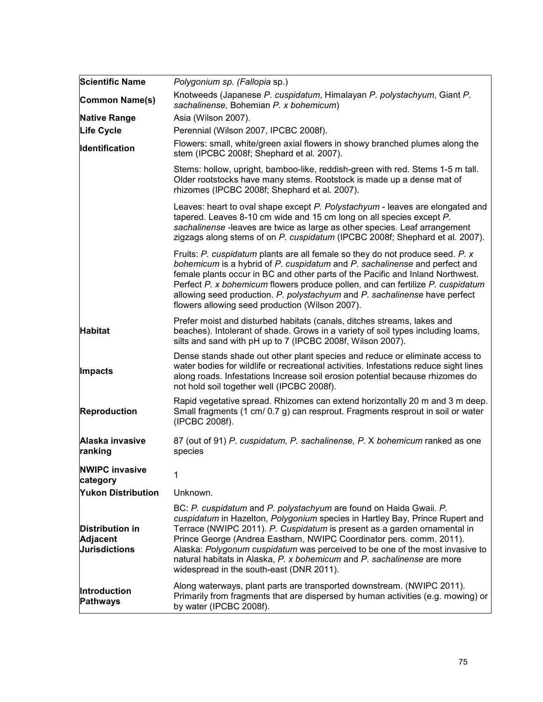| <b>Scientific Name</b>                                            | Polygonium sp. (Fallopia sp.)                                                                                                                                                                                                                                                                                                                                                                                                                                                                                |
|-------------------------------------------------------------------|--------------------------------------------------------------------------------------------------------------------------------------------------------------------------------------------------------------------------------------------------------------------------------------------------------------------------------------------------------------------------------------------------------------------------------------------------------------------------------------------------------------|
| Common Name(s)                                                    | Knotweeds (Japanese P. cuspidatum, Himalayan P. polystachyum, Giant P.<br>sachalinense, Bohemian P. x bohemicum)                                                                                                                                                                                                                                                                                                                                                                                             |
| <b>Native Range</b>                                               | Asia (Wilson 2007).                                                                                                                                                                                                                                                                                                                                                                                                                                                                                          |
| <b>Life Cycle</b>                                                 | Perennial (Wilson 2007, IPCBC 2008f).                                                                                                                                                                                                                                                                                                                                                                                                                                                                        |
| Identification                                                    | Flowers: small, white/green axial flowers in showy branched plumes along the<br>stem (IPCBC 2008f; Shephard et al. 2007).                                                                                                                                                                                                                                                                                                                                                                                    |
|                                                                   | Stems: hollow, upright, bamboo-like, reddish-green with red. Stems 1-5 m tall.<br>Older rootstocks have many stems. Rootstock is made up a dense mat of<br>rhizomes (IPCBC 2008f; Shephard et al. 2007).                                                                                                                                                                                                                                                                                                     |
|                                                                   | Leaves: heart to oval shape except P. Polystachyum - leaves are elongated and<br>tapered. Leaves 8-10 cm wide and 15 cm long on all species except P.<br>sachalinense -leaves are twice as large as other species. Leaf arrangement<br>zigzags along stems of on P. cuspidatum (IPCBC 2008f; Shephard et al. 2007).                                                                                                                                                                                          |
|                                                                   | Fruits: P. cuspidatum plants are all female so they do not produce seed. P. x<br>bohemicum is a hybrid of P. cuspidatum and P. sachalinense and perfect and<br>female plants occur in BC and other parts of the Pacific and Inland Northwest.<br>Perfect P. x bohemicum flowers produce pollen, and can fertilize P. cuspidatum<br>allowing seed production. P. polystachyum and P. sachalinense have perfect<br>flowers allowing seed production (Wilson 2007).                                             |
| <b>Habitat</b>                                                    | Prefer moist and disturbed habitats (canals, ditches streams, lakes and<br>beaches). Intolerant of shade. Grows in a variety of soil types including loams,<br>silts and sand with pH up to 7 (IPCBC 2008f, Wilson 2007).                                                                                                                                                                                                                                                                                    |
| <b>Impacts</b>                                                    | Dense stands shade out other plant species and reduce or eliminate access to<br>water bodies for wildlife or recreational activities. Infestations reduce sight lines<br>along roads. Infestations Increase soil erosion potential because rhizomes do<br>not hold soil together well (IPCBC 2008f).                                                                                                                                                                                                         |
| <b>Reproduction</b>                                               | Rapid vegetative spread. Rhizomes can extend horizontally 20 m and 3 m deep.<br>Small fragments (1 cm/ 0.7 g) can resprout. Fragments resprout in soil or water<br>(IPCBC 2008f).                                                                                                                                                                                                                                                                                                                            |
| Alaska invasive<br>ranking                                        | 87 (out of 91) P. cuspidatum, P. sachalinense, P. X bohemicum ranked as one<br>species                                                                                                                                                                                                                                                                                                                                                                                                                       |
| <b>NWIPC invasive</b><br>category                                 | 1                                                                                                                                                                                                                                                                                                                                                                                                                                                                                                            |
| <b>Yukon Distribution</b>                                         | Unknown.                                                                                                                                                                                                                                                                                                                                                                                                                                                                                                     |
| <b>Distribution in</b><br><b>Adjacent</b><br><b>Jurisdictions</b> | BC: P. cuspidatum and P. polystachyum are found on Haida Gwaii. P.<br>cuspidatum in Hazelton, Polygonium species in Hartley Bay, Prince Rupert and<br>Terrace (NWIPC 2011). P. Cuspidatum is present as a garden ornamental in<br>Prince George (Andrea Eastham, NWIPC Coordinator pers. comm. 2011).<br>Alaska: Polygonum cuspidatum was perceived to be one of the most invasive to<br>natural habitats in Alaska, P. x bohemicum and P. sachalinense are more<br>widespread in the south-east (DNR 2011). |
| Introduction<br>Pathways                                          | Along waterways, plant parts are transported downstream. (NWIPC 2011).<br>Primarily from fragments that are dispersed by human activities (e.g. mowing) or<br>by water (IPCBC 2008f).                                                                                                                                                                                                                                                                                                                        |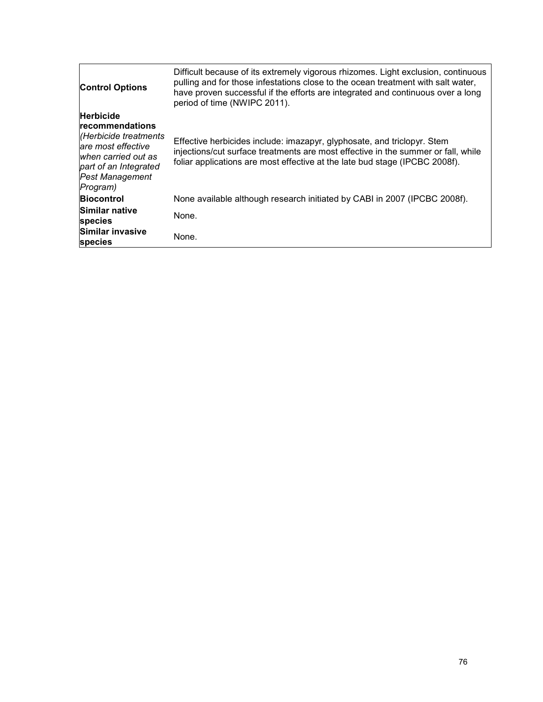| <b>Control Options</b>                                                                                                                                                   | Difficult because of its extremely vigorous rhizomes. Light exclusion, continuous<br>pulling and for those infestations close to the ocean treatment with salt water,<br>have proven successful if the efforts are integrated and continuous over a long<br>period of time (NWIPC 2011). |
|--------------------------------------------------------------------------------------------------------------------------------------------------------------------------|------------------------------------------------------------------------------------------------------------------------------------------------------------------------------------------------------------------------------------------------------------------------------------------|
| <b>Herbicide</b><br>recommendations<br>Herbicide treatments<br>lare most effective<br>when carried out as<br>part of an Integrated<br><b>Pest Management</b><br>Program) | Effective herbicides include: imazapyr, glyphosate, and triclopyr. Stem<br>injections/cut surface treatments are most effective in the summer or fall, while<br>foliar applications are most effective at the late bud stage (IPCBC 2008f).                                              |
| <b>Biocontrol</b>                                                                                                                                                        | None available although research initiated by CABI in 2007 (IPCBC 2008f).                                                                                                                                                                                                                |
| <b>Similar native</b><br>species                                                                                                                                         | None.                                                                                                                                                                                                                                                                                    |
| Similar invasive<br><b>species</b>                                                                                                                                       | None.                                                                                                                                                                                                                                                                                    |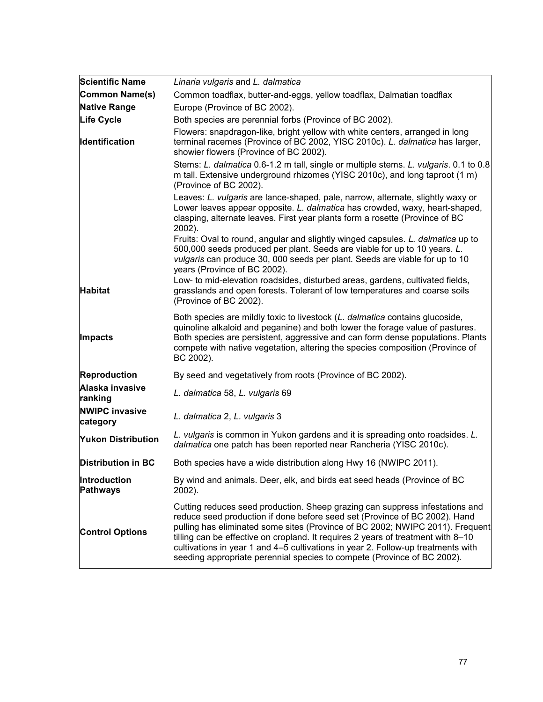| <b>Scientific Name</b>            | Linaria vulgaris and L. dalmatica                                                                                                                                                                                                                                                                                                                                                                                                                                                              |
|-----------------------------------|------------------------------------------------------------------------------------------------------------------------------------------------------------------------------------------------------------------------------------------------------------------------------------------------------------------------------------------------------------------------------------------------------------------------------------------------------------------------------------------------|
| Common Name(s)                    | Common toadflax, butter-and-eggs, yellow toadflax, Dalmatian toadflax                                                                                                                                                                                                                                                                                                                                                                                                                          |
| <b>Native Range</b>               | Europe (Province of BC 2002).                                                                                                                                                                                                                                                                                                                                                                                                                                                                  |
| <b>Life Cycle</b>                 | Both species are perennial forbs (Province of BC 2002).                                                                                                                                                                                                                                                                                                                                                                                                                                        |
| <b>Identification</b>             | Flowers: snapdragon-like, bright yellow with white centers, arranged in long<br>terminal racemes (Province of BC 2002, YISC 2010c). L. dalmatica has larger,<br>showier flowers (Province of BC 2002).                                                                                                                                                                                                                                                                                         |
|                                   | Stems: L. dalmatica 0.6-1.2 m tall, single or multiple stems. L. vulgaris. 0.1 to 0.8<br>m tall. Extensive underground rhizomes (YISC 2010c), and long taproot (1 m)<br>(Province of BC 2002).                                                                                                                                                                                                                                                                                                 |
|                                   | Leaves: L. vulgaris are lance-shaped, pale, narrow, alternate, slightly waxy or<br>Lower leaves appear opposite. L. dalmatica has crowded, waxy, heart-shaped,<br>clasping, alternate leaves. First year plants form a rosette (Province of BC<br>2002).                                                                                                                                                                                                                                       |
|                                   | Fruits: Oval to round, angular and slightly winged capsules. L. dalmatica up to<br>500,000 seeds produced per plant. Seeds are viable for up to 10 years. L.<br>vulgaris can produce 30, 000 seeds per plant. Seeds are viable for up to 10<br>years (Province of BC 2002).                                                                                                                                                                                                                    |
| <b>Habitat</b>                    | Low- to mid-elevation roadsides, disturbed areas, gardens, cultivated fields,<br>grasslands and open forests. Tolerant of low temperatures and coarse soils<br>(Province of BC 2002).                                                                                                                                                                                                                                                                                                          |
| Impacts                           | Both species are mildly toxic to livestock (L. dalmatica contains glucoside,<br>quinoline alkaloid and peganine) and both lower the forage value of pastures.<br>Both species are persistent, aggressive and can form dense populations. Plants<br>compete with native vegetation, altering the species composition (Province of<br>BC 2002).                                                                                                                                                  |
| <b>Reproduction</b>               | By seed and vegetatively from roots (Province of BC 2002).                                                                                                                                                                                                                                                                                                                                                                                                                                     |
| Alaska invasive<br>ranking        | L. dalmatica 58, L. vulgaris 69                                                                                                                                                                                                                                                                                                                                                                                                                                                                |
| <b>NWIPC invasive</b><br>category | L. dalmatica 2, L. vulgaris 3                                                                                                                                                                                                                                                                                                                                                                                                                                                                  |
| <b>Yukon Distribution</b>         | L. vulgaris is common in Yukon gardens and it is spreading onto roadsides. L.<br>dalmatica one patch has been reported near Rancheria (YISC 2010c).                                                                                                                                                                                                                                                                                                                                            |
| <b>Distribution in BC</b>         | Both species have a wide distribution along Hwy 16 (NWIPC 2011).                                                                                                                                                                                                                                                                                                                                                                                                                               |
| Introduction<br>Pathways          | By wind and animals. Deer, elk, and birds eat seed heads (Province of BC<br>2002).                                                                                                                                                                                                                                                                                                                                                                                                             |
| <b>Control Options</b>            | Cutting reduces seed production. Sheep grazing can suppress infestations and<br>reduce seed production if done before seed set (Province of BC 2002). Hand<br>pulling has eliminated some sites (Province of BC 2002; NWIPC 2011). Frequent<br>tilling can be effective on cropland. It requires 2 years of treatment with 8-10<br>cultivations in year 1 and 4-5 cultivations in year 2. Follow-up treatments with<br>seeding appropriate perennial species to compete (Province of BC 2002). |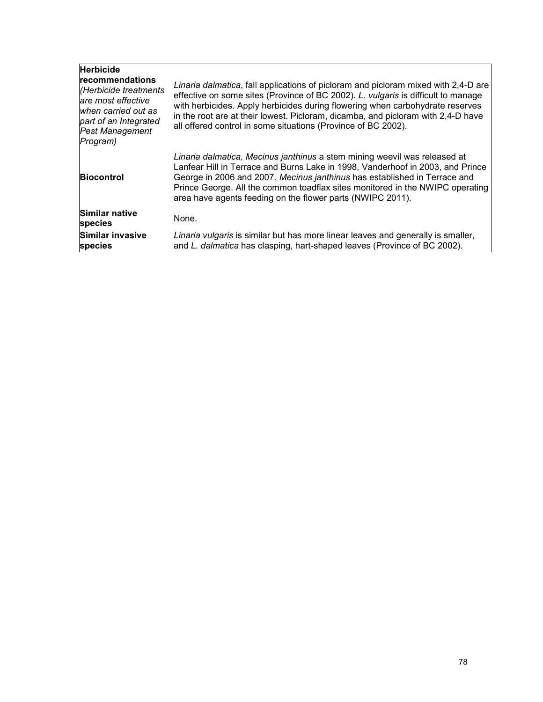| <b>Herbicide</b><br><b>recommendations</b><br>(Herbicide treatments<br>are most effective<br>when carried out as<br>part of an Integrated<br>Pest Management<br>Program) | Linaria dalmatica, fall applications of picloram and picloram mixed with 2,4-D are<br>effective on some sites (Province of BC 2002). L. vulgaris is difficult to manage<br>with herbicides. Apply herbicides during flowering when carbohydrate reserves<br>in the root are at their lowest. Picloram, dicamba, and picloram with 2,4-D have<br>all offered control in some situations (Province of BC 2002). |
|--------------------------------------------------------------------------------------------------------------------------------------------------------------------------|---------------------------------------------------------------------------------------------------------------------------------------------------------------------------------------------------------------------------------------------------------------------------------------------------------------------------------------------------------------------------------------------------------------|
| <b>Biocontrol</b>                                                                                                                                                        | Linaria dalmatica, Mecinus janthinus a stem mining weevil was released at<br>Lanfear Hill in Terrace and Burns Lake in 1998, Vanderhoof in 2003, and Prince<br>George in 2006 and 2007. Mecinus janthinus has established in Terrace and<br>Prince George. All the common toadflax sites monitored in the NWIPC operating<br>area have agents feeding on the flower parts (NWIPC 2011).                       |
| Similar native<br>species                                                                                                                                                | None.                                                                                                                                                                                                                                                                                                                                                                                                         |
| <b>Similar invasive</b><br>species                                                                                                                                       | Linaria vulgaris is similar but has more linear leaves and generally is smaller,<br>and L. dalmatica has clasping, hart-shaped leaves (Province of BC 2002).                                                                                                                                                                                                                                                  |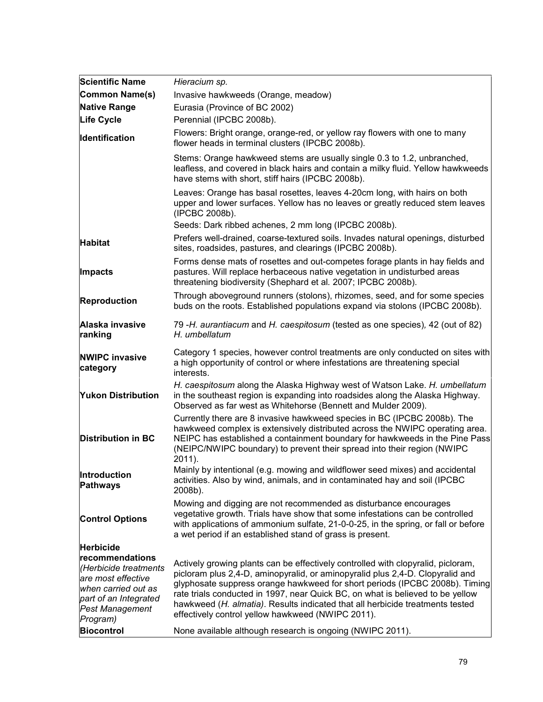| <b>Scientific Name</b>                                                                                                                               | Hieracium sp.                                                                                                                                                                                                                                                                                                                                                                                                                                                            |
|------------------------------------------------------------------------------------------------------------------------------------------------------|--------------------------------------------------------------------------------------------------------------------------------------------------------------------------------------------------------------------------------------------------------------------------------------------------------------------------------------------------------------------------------------------------------------------------------------------------------------------------|
| Common Name(s)                                                                                                                                       | Invasive hawkweeds (Orange, meadow)                                                                                                                                                                                                                                                                                                                                                                                                                                      |
| <b>Native Range</b>                                                                                                                                  | Eurasia (Province of BC 2002)                                                                                                                                                                                                                                                                                                                                                                                                                                            |
| <b>Life Cycle</b>                                                                                                                                    | Perennial (IPCBC 2008b).                                                                                                                                                                                                                                                                                                                                                                                                                                                 |
| <b>Identification</b>                                                                                                                                | Flowers: Bright orange, orange-red, or yellow ray flowers with one to many<br>flower heads in terminal clusters (IPCBC 2008b).                                                                                                                                                                                                                                                                                                                                           |
|                                                                                                                                                      | Stems: Orange hawkweed stems are usually single 0.3 to 1.2, unbranched,<br>leafless, and covered in black hairs and contain a milky fluid. Yellow hawkweeds<br>have stems with short, stiff hairs (IPCBC 2008b).                                                                                                                                                                                                                                                         |
|                                                                                                                                                      | Leaves: Orange has basal rosettes, leaves 4-20cm long, with hairs on both<br>upper and lower surfaces. Yellow has no leaves or greatly reduced stem leaves<br>(IPCBC 2008b).                                                                                                                                                                                                                                                                                             |
|                                                                                                                                                      | Seeds: Dark ribbed achenes, 2 mm long (IPCBC 2008b).                                                                                                                                                                                                                                                                                                                                                                                                                     |
| <b>Habitat</b>                                                                                                                                       | Prefers well-drained, coarse-textured soils. Invades natural openings, disturbed<br>sites, roadsides, pastures, and clearings (IPCBC 2008b).                                                                                                                                                                                                                                                                                                                             |
| Impacts                                                                                                                                              | Forms dense mats of rosettes and out-competes forage plants in hay fields and<br>pastures. Will replace herbaceous native vegetation in undisturbed areas<br>threatening biodiversity (Shephard et al. 2007; IPCBC 2008b).                                                                                                                                                                                                                                               |
| <b>Reproduction</b>                                                                                                                                  | Through aboveground runners (stolons), rhizomes, seed, and for some species<br>buds on the roots. Established populations expand via stolons (IPCBC 2008b).                                                                                                                                                                                                                                                                                                              |
| Alaska invasive<br>ranking                                                                                                                           | 79 -H. aurantiacum and H. caespitosum (tested as one species), 42 (out of 82)<br>H. umbellatum                                                                                                                                                                                                                                                                                                                                                                           |
| <b>NWIPC invasive</b><br>category                                                                                                                    | Category 1 species, however control treatments are only conducted on sites with<br>a high opportunity of control or where infestations are threatening special<br>interests.                                                                                                                                                                                                                                                                                             |
| <b>Yukon Distribution</b>                                                                                                                            | H. caespitosum along the Alaska Highway west of Watson Lake. H. umbellatum<br>in the southeast region is expanding into roadsides along the Alaska Highway.<br>Observed as far west as Whitehorse (Bennett and Mulder 2009).                                                                                                                                                                                                                                             |
| <b>Distribution in BC</b>                                                                                                                            | Currently there are 8 invasive hawkweed species in BC (IPCBC 2008b). The<br>hawkweed complex is extensively distributed across the NWIPC operating area.<br>NEIPC has established a containment boundary for hawkweeds in the Pine Pass<br>(NEIPC/NWIPC boundary) to prevent their spread into their region (NWIPC<br>2011).                                                                                                                                             |
| Introduction<br><b>Pathways</b>                                                                                                                      | Mainly by intentional (e.g. mowing and wildflower seed mixes) and accidental<br>activities. Also by wind, animals, and in contaminated hay and soil (IPCBC<br>2008b).                                                                                                                                                                                                                                                                                                    |
| <b>Control Options</b>                                                                                                                               | Mowing and digging are not recommended as disturbance encourages<br>vegetative growth. Trials have show that some infestations can be controlled<br>with applications of ammonium sulfate, 21-0-0-25, in the spring, or fall or before<br>a wet period if an established stand of grass is present.                                                                                                                                                                      |
| <b>Herbicide</b>                                                                                                                                     |                                                                                                                                                                                                                                                                                                                                                                                                                                                                          |
| recommendations<br>(Herbicide treatments<br>are most effective<br>when carried out as<br>part of an Integrated<br><b>Pest Management</b><br>Program) | Actively growing plants can be effectively controlled with clopyralid, picloram,<br>picloram plus 2,4-D, aminopyralid, or aminopyralid plus 2,4-D. Clopyralid and<br>glyphosate suppress orange hawkweed for short periods (IPCBC 2008b). Timing<br>rate trials conducted in 1997, near Quick BC, on what is believed to be yellow<br>hawkweed (H. almatia). Results indicated that all herbicide treatments tested<br>effectively control yellow hawkweed (NWIPC 2011). |
| <b>Biocontrol</b>                                                                                                                                    | None available although research is ongoing (NWIPC 2011).                                                                                                                                                                                                                                                                                                                                                                                                                |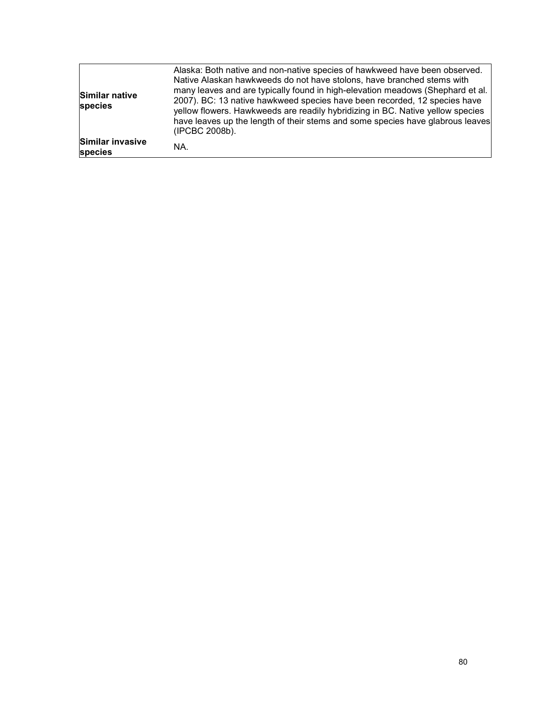| Similar native<br>species   | Alaska: Both native and non-native species of hawkweed have been observed.<br>Native Alaskan hawkweeds do not have stolons, have branched stems with<br>many leaves and are typically found in high-elevation meadows (Shephard et al.<br>2007). BC: 13 native hawkweed species have been recorded, 12 species have<br>yellow flowers. Hawkweeds are readily hybridizing in BC. Native yellow species<br>have leaves up the length of their stems and some species have glabrous leaves<br>(IPCBC 2008b). |
|-----------------------------|-----------------------------------------------------------------------------------------------------------------------------------------------------------------------------------------------------------------------------------------------------------------------------------------------------------------------------------------------------------------------------------------------------------------------------------------------------------------------------------------------------------|
| Similar invasive<br>species | NA.                                                                                                                                                                                                                                                                                                                                                                                                                                                                                                       |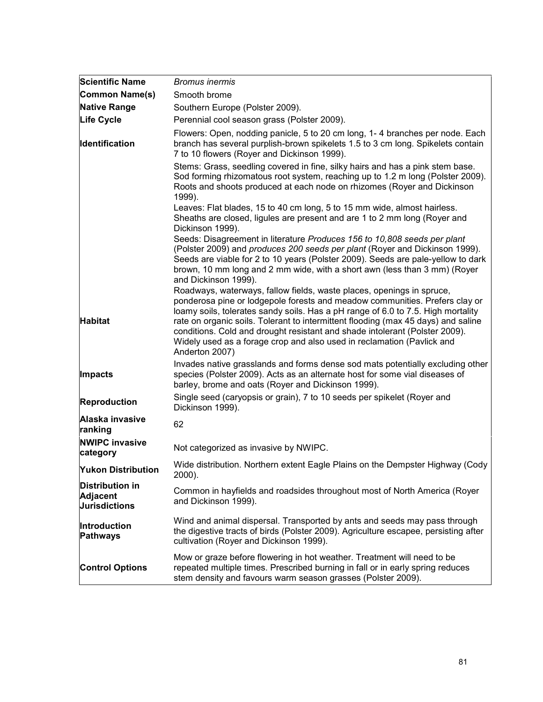| <b>Scientific Name</b>                                     | <i>Bromus inermis</i>                                                                                                                                                                                                                                                                                                                                                                                                                                                                                    |
|------------------------------------------------------------|----------------------------------------------------------------------------------------------------------------------------------------------------------------------------------------------------------------------------------------------------------------------------------------------------------------------------------------------------------------------------------------------------------------------------------------------------------------------------------------------------------|
| Common Name(s)                                             | Smooth brome                                                                                                                                                                                                                                                                                                                                                                                                                                                                                             |
| <b>Native Range</b>                                        | Southern Europe (Polster 2009).                                                                                                                                                                                                                                                                                                                                                                                                                                                                          |
| <b>Life Cycle</b>                                          | Perennial cool season grass (Polster 2009).                                                                                                                                                                                                                                                                                                                                                                                                                                                              |
| Identification                                             | Flowers: Open, nodding panicle, 5 to 20 cm long, 1-4 branches per node. Each<br>branch has several purplish-brown spikelets 1.5 to 3 cm long. Spikelets contain<br>7 to 10 flowers (Royer and Dickinson 1999).                                                                                                                                                                                                                                                                                           |
|                                                            | Stems: Grass, seedling covered in fine, silky hairs and has a pink stem base.<br>Sod forming rhizomatous root system, reaching up to 1.2 m long (Polster 2009).<br>Roots and shoots produced at each node on rhizomes (Royer and Dickinson<br>1999).                                                                                                                                                                                                                                                     |
|                                                            | Leaves: Flat blades, 15 to 40 cm long, 5 to 15 mm wide, almost hairless.<br>Sheaths are closed, ligules are present and are 1 to 2 mm long (Royer and<br>Dickinson 1999).                                                                                                                                                                                                                                                                                                                                |
|                                                            | Seeds: Disagreement in literature Produces 156 to 10,808 seeds per plant<br>(Polster 2009) and produces 200 seeds per plant (Royer and Dickinson 1999).<br>Seeds are viable for 2 to 10 years (Polster 2009). Seeds are pale-yellow to dark<br>brown, 10 mm long and 2 mm wide, with a short awn (less than 3 mm) (Royer<br>and Dickinson 1999).                                                                                                                                                         |
| <b>Habitat</b>                                             | Roadways, waterways, fallow fields, waste places, openings in spruce,<br>ponderosa pine or lodgepole forests and meadow communities. Prefers clay or<br>loamy soils, tolerates sandy soils. Has a pH range of 6.0 to 7.5. High mortality<br>rate on organic soils. Tolerant to intermittent flooding (max 45 days) and saline<br>conditions. Cold and drought resistant and shade intolerant (Polster 2009).<br>Widely used as a forage crop and also used in reclamation (Pavlick and<br>Anderton 2007) |
| <b>Impacts</b>                                             | Invades native grasslands and forms dense sod mats potentially excluding other<br>species (Polster 2009). Acts as an alternate host for some vial diseases of<br>barley, brome and oats (Royer and Dickinson 1999).                                                                                                                                                                                                                                                                                      |
| Reproduction                                               | Single seed (caryopsis or grain), 7 to 10 seeds per spikelet (Royer and<br>Dickinson 1999).                                                                                                                                                                                                                                                                                                                                                                                                              |
| Alaska invasive<br>ranking                                 | 62                                                                                                                                                                                                                                                                                                                                                                                                                                                                                                       |
| <b>NWIPC invasive</b><br>category                          | Not categorized as invasive by NWIPC.                                                                                                                                                                                                                                                                                                                                                                                                                                                                    |
| <b>Yukon Distribution</b>                                  | Wide distribution. Northern extent Eagle Plains on the Dempster Highway (Cody<br>2000).                                                                                                                                                                                                                                                                                                                                                                                                                  |
| <b>Distribution in</b><br>Adjacent<br><b>Jurisdictions</b> | Common in hayfields and roadsides throughout most of North America (Royer<br>and Dickinson 1999).                                                                                                                                                                                                                                                                                                                                                                                                        |
| Introduction<br>Pathways                                   | Wind and animal dispersal. Transported by ants and seeds may pass through<br>the digestive tracts of birds (Polster 2009). Agriculture escapee, persisting after<br>cultivation (Royer and Dickinson 1999).                                                                                                                                                                                                                                                                                              |
| <b>Control Options</b>                                     | Mow or graze before flowering in hot weather. Treatment will need to be<br>repeated multiple times. Prescribed burning in fall or in early spring reduces<br>stem density and favours warm season grasses (Polster 2009).                                                                                                                                                                                                                                                                                |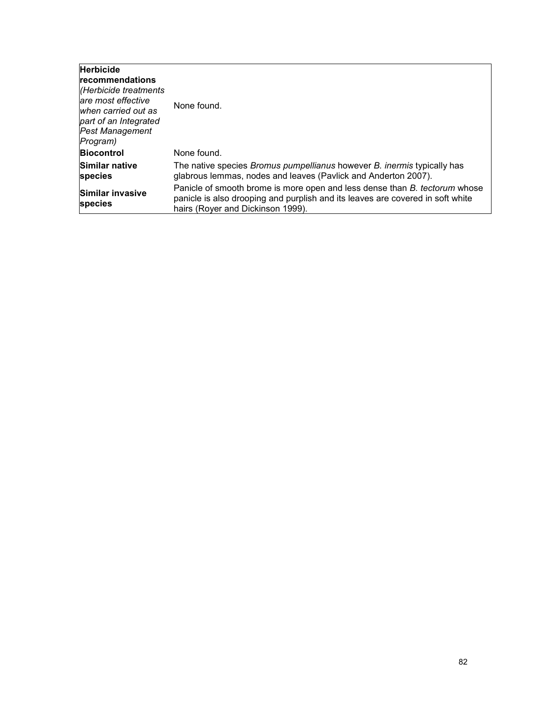| <b>Herbicide</b><br>Irecommendations<br>Herbicide treatments<br>lare most effective<br>lwhen carried out as<br>part of an Integrated<br><b>Pest Management</b><br>Program) | None found.                                                                                                                                                                                       |
|----------------------------------------------------------------------------------------------------------------------------------------------------------------------------|---------------------------------------------------------------------------------------------------------------------------------------------------------------------------------------------------|
| <b>Biocontrol</b>                                                                                                                                                          | None found.                                                                                                                                                                                       |
| Similar native<br><b>species</b>                                                                                                                                           | The native species <i>Bromus pumpellianus</i> however <i>B. inermis</i> typically has<br>glabrous lemmas, nodes and leaves (Pavlick and Anderton 2007).                                           |
| Similar invasive<br><b>species</b>                                                                                                                                         | Panicle of smooth brome is more open and less dense than B. tectorum whose<br>panicle is also drooping and purplish and its leaves are covered in soft white<br>hairs (Royer and Dickinson 1999). |